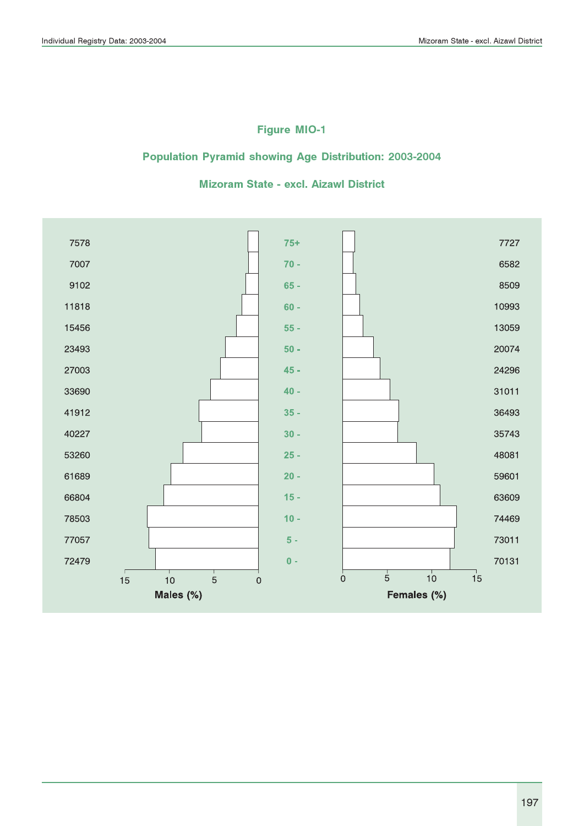### Figure MIO-1

#### Population Pyramid showing Age Distribution: 2003-2004

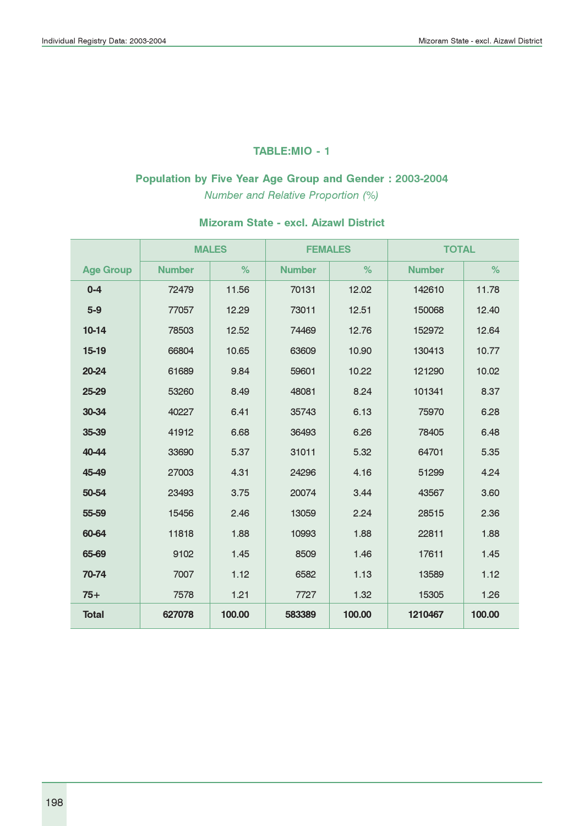#### TABLE:MIO - 1

# Population by Five Year Age Group and Gender : 2003-2004

Number and Relative Proportion (%)

|                  |               | <b>MALES</b> | <b>FEMALES</b> |        | <b>TOTAL</b>  |        |
|------------------|---------------|--------------|----------------|--------|---------------|--------|
| <b>Age Group</b> | <b>Number</b> | $\%$         | <b>Number</b>  | %      | <b>Number</b> | %      |
| $0 - 4$          | 72479         | 11.56        | 70131          | 12.02  | 142610        | 11.78  |
| $5-9$            | 77057         | 12.29        | 73011          | 12.51  | 150068        | 12.40  |
| $10-14$          | 78503         | 12.52        | 74469          | 12.76  | 152972        | 12.64  |
| 15-19            | 66804         | 10.65        | 63609          | 10.90  | 130413        | 10.77  |
| 20-24            | 61689         | 9.84         | 59601          | 10.22  | 121290        | 10.02  |
| 25-29            | 53260         | 8.49         | 48081          | 8.24   | 101341        | 8.37   |
| 30-34            | 40227         | 6.41         | 35743          | 6.13   | 75970         | 6.28   |
| 35-39            | 41912         | 6.68         | 36493          | 6.26   | 78405         | 6.48   |
| 40-44            | 33690         | 5.37         | 31011          | 5.32   | 64701         | 5.35   |
| 45-49            | 27003         | 4.31         | 24296          | 4.16   | 51299         | 4.24   |
| 50-54            | 23493         | 3.75         | 20074          | 3.44   | 43567         | 3.60   |
| 55-59            | 15456         | 2.46         | 13059          | 2.24   | 28515         | 2.36   |
| 60-64            | 11818         | 1.88         | 10993          | 1.88   | 22811         | 1.88   |
| 65-69            | 9102          | 1.45         | 8509           | 1.46   | 17611         | 1.45   |
| 70-74            | 7007          | 1.12         | 6582           | 1.13   | 13589         | 1.12   |
| $75+$            | 7578          | 1.21         | 7727           | 1.32   | 15305         | 1.26   |
| <b>Total</b>     | 627078        | 100,00       | 583389         | 100,00 | 1210467       | 100,00 |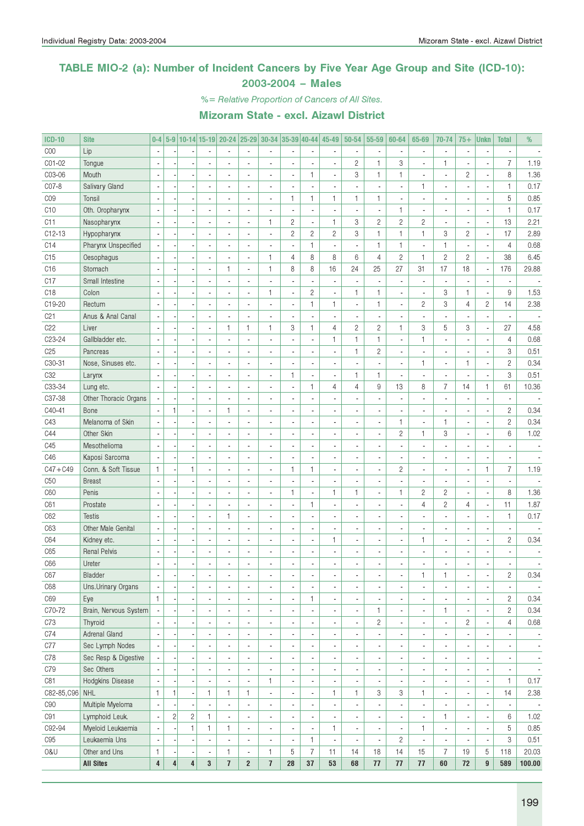#### TABLE MIO-2 (a): Number of Incident Cancers by Five Year Age Group and Site (ICD-10): 2003-2004 – Males

%= Relative Proportion of Cancers of All Sites.

| <b>ICD-10</b>    | <b>Site</b>               | $0 - 4$                  |                         |                |                          | 5-9 10-14 15-19 20-24 25-29 30-34 35-39 40-44 |                          |                          |                          |                          | 45-49                    | 50-54                    | 55-59                    | 60-64          | 65-69                    | 70-74                    | $75+$                    | <b>Unkn</b>              | <b>Total</b>    | %                        |
|------------------|---------------------------|--------------------------|-------------------------|----------------|--------------------------|-----------------------------------------------|--------------------------|--------------------------|--------------------------|--------------------------|--------------------------|--------------------------|--------------------------|----------------|--------------------------|--------------------------|--------------------------|--------------------------|-----------------|--------------------------|
| C <sub>00</sub>  | Lip                       | $\overline{\phantom{a}}$ |                         |                |                          |                                               |                          |                          |                          |                          |                          |                          | $\blacksquare$           |                |                          | $\overline{\phantom{a}}$ |                          |                          |                 |                          |
| CO1-02           | Tongue                    |                          |                         |                |                          |                                               |                          | $\overline{a}$           |                          | ä,                       |                          | $\overline{c}$           | $\mathbf{1}$             | 3              |                          | $\mathbf{1}$             |                          |                          | $\overline{7}$  | 1.19                     |
| C03-06           | Mouth                     | ÷,                       |                         |                |                          |                                               |                          | $\overline{\phantom{a}}$ | ÷,                       | $\mathbf{1}$             |                          | 3                        | $\mathbf{1}$             | $\mathbf{1}$   | $\overline{a}$           | $\overline{\phantom{a}}$ | $\overline{c}$           | $\overline{a}$           | 8               | 1.36                     |
| C07-8            | Salivary Gland            |                          |                         |                |                          |                                               |                          | $\blacksquare$           |                          | ÷,                       |                          |                          | $\blacksquare$           |                | $\mathbf{1}$             | ٠                        |                          | ä,                       | $\mathbf{1}$    | 0.17                     |
| C <sub>0</sub> 9 | Tonsil                    |                          |                         |                |                          |                                               |                          | $\blacksquare$           | $\mathbf{1}$             | $\mathbf{1}$             | $\mathbf{1}$             | 1                        | $\mathbf{1}$             |                |                          | $\overline{a}$           |                          | ä,                       | $\sqrt{5}$      | 0.85                     |
| C10              | Oth. Oropharynx           |                          |                         |                |                          |                                               |                          | $\overline{a}$           |                          | $\overline{\phantom{a}}$ |                          |                          | $\blacksquare$           | $\mathbf{1}$   |                          | ä,                       |                          | ä,                       | $\mathbf{1}$    | 0.17                     |
| C <sub>11</sub>  | Nasopharynx               | ÷,                       |                         |                |                          |                                               |                          | 1                        | $\mathbf{2}$             | $\overline{\phantom{a}}$ | $\mathbf{1}$             | 3                        | $\sqrt{2}$               | $\overline{c}$ | $\overline{c}$           | ä,                       |                          | Ĭ.                       | 13              | 2.21                     |
| C12-13           | Hypopharynx               |                          |                         |                |                          |                                               |                          | $\blacksquare$           | $\sqrt{2}$               | $\overline{c}$           | $\overline{c}$           | 3                        | $\mathbf{1}$             | $\mathbf{1}$   | 1                        | 3                        | $\mathbf{2}$             | Ĭ.                       | 17              | 2.89                     |
| C14              | Pharynx Unspecified       |                          |                         |                |                          |                                               |                          |                          |                          | $\mathbf{1}$             |                          |                          | $\mathbf{1}$             | $\mathbf{1}$   |                          | $\mathbf{1}$             |                          | ä,                       | $\overline{4}$  | 0.68                     |
| C15              | Oesophagus                |                          |                         |                | $\overline{\phantom{a}}$ |                                               | ×,                       | 1                        | 4                        | 8                        | 8                        | 6                        | $\overline{4}$           | $\overline{c}$ | $\mathbf{1}$             | $\overline{c}$           | $\overline{c}$           | Ĭ.                       | 38              | 6.45                     |
| C16              | Stomach                   | ÷,                       |                         |                | $\overline{\phantom{a}}$ | 1                                             | $\blacksquare$           | 1                        | 8                        | 8                        | 16                       | 24                       | 25                       | 27             | 31                       | 17                       | 18                       | $\overline{\phantom{a}}$ | 176             | 29.88                    |
| C17              | Small Intestine           |                          |                         |                |                          |                                               | ×,                       |                          |                          | $\overline{\phantom{a}}$ |                          |                          | $\blacksquare$           |                | ä,                       | $\overline{\phantom{a}}$ |                          | ä,                       |                 |                          |
| C <sub>18</sub>  | Colon                     |                          |                         |                |                          |                                               |                          | 1                        | ä,                       | $\overline{c}$           |                          | 1                        | $\mathbf{1}$             |                | $\overline{a}$           | 3                        | $\mathbf{1}$             | Ĭ.                       | 9               | 1.53                     |
| C19-20           | Rectum                    |                          |                         |                | $\overline{\phantom{a}}$ |                                               | ×,                       | $\blacksquare$           | ä,                       | $\mathbf{1}$             | $\mathbf{1}$             | ä,                       | $\mathbf{1}$             |                | $\overline{c}$           | 3                        | 4                        | $\overline{c}$           | 14              | 2.38                     |
| C <sub>21</sub>  | Anus & Anal Canal         |                          |                         |                | $\overline{\phantom{a}}$ |                                               |                          | $\blacksquare$           |                          | $\overline{\phantom{a}}$ |                          |                          | $\blacksquare$           |                |                          | $\overline{\phantom{a}}$ |                          |                          |                 |                          |
| C22              | Liver                     | ÷,                       |                         |                | ÷,                       | 1                                             | $\mathbf{1}$             | 1                        | 3                        | $\mathbf{1}$             | $\overline{4}$           | $\overline{c}$           | $\overline{c}$           | $\mathbf{1}$   | 3                        | 5                        | 3                        | Ĭ.                       | 27              | 4.58                     |
| C23-24           | Gallbladder etc.          | Ĭ.                       |                         |                | $\overline{\phantom{a}}$ |                                               |                          | ÷,                       |                          | $\overline{\phantom{a}}$ | 1                        | 1                        | $\mathbf{1}$             |                | 1                        | ÷,                       |                          | ä,                       | $\overline{4}$  | 0.68                     |
| C25              | Pancreas                  | ÷,                       |                         |                |                          |                                               |                          | $\overline{\phantom{a}}$ |                          | ÷,                       |                          | 1                        | $\overline{c}$           |                |                          | $\overline{\phantom{a}}$ |                          | Ĭ.                       | 3               | 0.51                     |
| C30-31           | Nose, Sinuses etc.        | $\overline{\phantom{a}}$ |                         |                |                          |                                               |                          | $\overline{\phantom{a}}$ |                          | $\blacksquare$           |                          |                          | $\blacksquare$           |                | $\mathbf{1}$             | $\overline{\phantom{a}}$ | $\mathbf{1}$             | ÷,                       | $\overline{c}$  | 0.34                     |
| C <sub>32</sub>  | Larynx                    |                          |                         |                |                          |                                               | ä,                       | $\overline{\phantom{a}}$ | $\mathbf{1}$             | $\overline{\phantom{a}}$ |                          | 1                        | $\mathbf{1}$             |                |                          | ä,                       |                          | Ĭ.                       | 3               | 0.51                     |
| C33-34           | Lung etc.                 | $\overline{\phantom{a}}$ |                         |                | $\overline{\phantom{a}}$ |                                               |                          | $\blacksquare$           | ä,                       | $\mathbf{1}$             | $\overline{4}$           | 4                        | 9                        | 13             | 8                        | $\overline{7}$           | 14                       | $\mathbf{1}$             | 61              | 10.36                    |
| C37-38           | Other Thoracic Organs     |                          |                         |                | $\overline{\phantom{a}}$ |                                               |                          | $\blacksquare$           |                          | ÷,                       |                          |                          | $\blacksquare$           |                |                          | ä,                       |                          | ä,                       |                 |                          |
| C40-41           | Bone                      |                          | 1                       |                | $\overline{\phantom{a}}$ | 1                                             | $\overline{\phantom{a}}$ | $\blacksquare$           |                          | ÷,                       |                          |                          | $\blacksquare$           |                |                          | $\overline{\phantom{a}}$ |                          | $\overline{a}$           | $\overline{c}$  | 0.34                     |
| C43              | Melanoma of Skin          | ÷,                       |                         |                |                          |                                               |                          | $\blacksquare$           |                          | ÷,                       |                          |                          | $\blacksquare$           | $\mathbf{1}$   | ä,                       | $\mathbf{1}$             |                          | Ĭ.                       | $\overline{c}$  | 0.34                     |
| C44              | Other Skin                |                          |                         |                |                          |                                               |                          | $\blacksquare$           |                          | ÷,                       |                          |                          |                          | $\overline{c}$ | $\mathbf{1}$             | 3                        |                          | $\overline{a}$           | $6\phantom{1}6$ | 1.02                     |
|                  | Mesothelioma              |                          |                         |                |                          |                                               |                          |                          |                          |                          |                          |                          | $\blacksquare$           |                |                          |                          |                          |                          |                 |                          |
| C45              |                           |                          |                         |                |                          |                                               |                          | $\blacksquare$           |                          | ÷,                       |                          |                          | $\blacksquare$           |                |                          | $\overline{\phantom{a}}$ |                          |                          |                 |                          |
| C46              | Kaposi Sarcoma            |                          |                         |                |                          |                                               |                          | $\blacksquare$           |                          | $\blacksquare$           |                          |                          | $\blacksquare$           |                |                          | $\overline{\phantom{a}}$ |                          |                          |                 |                          |
| $C47 + C49$      | Conn. & Soft Tissue       | 1                        |                         | $\mathbf{1}$   |                          |                                               |                          | $\blacksquare$           | 1                        | $\mathbf{1}$             |                          |                          | $\blacksquare$           | $\overline{c}$ | ä,                       | ä,                       |                          | $\mathbf{1}$             | $\overline{7}$  | 1.19                     |
| C50              | <b>Breast</b>             |                          |                         |                |                          |                                               |                          | $\blacksquare$           |                          | $\blacksquare$           |                          |                          | $\blacksquare$           |                | ä,                       | ä,                       |                          | ÷,                       |                 |                          |
| C60              | Penis                     | ÷,                       |                         |                |                          |                                               |                          | $\blacksquare$           | 1                        | $\blacksquare$           | $\mathbf{1}$             | 1                        | $\blacksquare$           | 1              | $\overline{c}$           | $\overline{c}$           |                          | Ĭ.                       | 8               | 1.36                     |
| C61              | Prostate                  | ÷,                       |                         |                |                          |                                               |                          | $\blacksquare$           | ä,                       | $\mathbf{1}$             |                          |                          | $\blacksquare$           |                | $\overline{4}$           | $\overline{c}$           | 4                        | ÷,                       | 11              | 1.87                     |
| C62              | <b>Testis</b>             |                          |                         |                | $\overline{\phantom{a}}$ | 1                                             | $\blacksquare$           | $\blacksquare$           |                          | $\overline{\phantom{a}}$ |                          |                          | $\blacksquare$           |                |                          | $\overline{\phantom{a}}$ |                          | ä,                       | $\mathbf{1}$    | 0.17                     |
| C63              | <b>Other Male Genital</b> | Ĭ.                       |                         |                |                          |                                               |                          | $\overline{\phantom{a}}$ | ä,                       | $\overline{\phantom{a}}$ |                          |                          | $\blacksquare$           |                |                          | $\overline{\phantom{a}}$ |                          | $\overline{a}$           |                 |                          |
| C64              | Kidney etc.               |                          |                         |                |                          |                                               | ×,                       | $\overline{\phantom{a}}$ | ä,                       | $\overline{\phantom{a}}$ | $\mathbf{1}$             |                          | $\blacksquare$           |                | $\mathbf{1}$             | $\overline{\phantom{a}}$ |                          | ä,                       | $\overline{c}$  | 0.34                     |
| C65              | <b>Renal Pelvis</b>       | ÷,                       |                         |                |                          |                                               | ×,                       | $\overline{\phantom{a}}$ | ä,                       | ÷,                       |                          |                          | $\blacksquare$           |                |                          | $\overline{\phantom{a}}$ |                          |                          |                 |                          |
| C66              | Ureter                    | $\overline{\phantom{a}}$ |                         |                | $\overline{\phantom{a}}$ | ä,                                            | $\overline{\phantom{a}}$ | $\blacksquare$           | ä,                       | ÷,                       |                          |                          | ä,                       |                |                          | $\overline{\phantom{a}}$ |                          |                          |                 |                          |
| C67              | Bladder                   | $\overline{\phantom{a}}$ |                         | $\blacksquare$ |                          |                                               |                          | ٠                        | ٠                        | $\overline{\phantom{a}}$ | ٠                        | ٠                        | ٠                        | ٠              | 1                        | $\mathbf{1}$             | $\overline{\phantom{a}}$ |                          | $\overline{c}$  | 0.34                     |
| C68              | Uns. Urinary Organs       | $\blacksquare$           |                         |                |                          | ٠                                             | $\blacksquare$           | $\overline{\phantom{a}}$ | $\overline{\phantom{a}}$ | $\overline{\phantom{a}}$ | $\overline{\phantom{a}}$ | ٠                        | $\overline{\phantom{a}}$ | ×,             | $\blacksquare$           | $\overline{\phantom{a}}$ |                          | $\overline{\phantom{a}}$ |                 |                          |
| C69              | Eye                       | $\mathbf{1}$             |                         |                | ٠                        | ٠                                             | $\overline{\phantom{a}}$ | $\overline{\phantom{a}}$ | ä,                       | $\mathbf{1}$             | $\overline{a}$           | $\overline{\phantom{a}}$ | $\blacksquare$           |                | $\overline{\phantom{a}}$ | $\overline{\phantom{a}}$ |                          | ä,                       | $\overline{c}$  | 0.34                     |
| C70-72           | Brain, Nervous System     | $\overline{\phantom{a}}$ |                         |                | ٠                        | ä,                                            | $\overline{\phantom{a}}$ | $\overline{\phantom{a}}$ |                          | $\overline{\phantom{a}}$ |                          | ٠                        | $\mathbf{1}$             | ×,             | $\overline{\phantom{a}}$ | $\mathbf{1}$             |                          | ä,                       | $\mathbf{2}$    | 0.34                     |
| C73              | Thyroid                   | $\overline{\phantom{a}}$ |                         |                |                          | ٠                                             | $\overline{\phantom{a}}$ | $\overline{\phantom{a}}$ |                          | $\blacksquare$           |                          | ٠                        | $\overline{c}$           |                | $\overline{\phantom{a}}$ | $\overline{\phantom{a}}$ | $\overline{c}$           | ÷,                       | 4               | 0.68                     |
| C74              | Adrenal Gland             | $\overline{\phantom{a}}$ |                         |                | ٠                        | ٠                                             | $\blacksquare$           | $\overline{\phantom{a}}$ |                          | $\blacksquare$           |                          | ٠                        | $\blacksquare$           |                | $\blacksquare$           | $\overline{\phantom{a}}$ |                          | ä,                       |                 | $\overline{\phantom{a}}$ |
| C77              | Sec Lymph Nodes           |                          |                         |                | ٠                        | ٠                                             | $\overline{\phantom{a}}$ | $\overline{\phantom{a}}$ |                          | $\overline{\phantom{a}}$ |                          | ٠                        | $\overline{\phantom{a}}$ |                | $\blacksquare$           | $\overline{\phantom{a}}$ |                          | Ĭ.                       |                 | $\overline{\phantom{a}}$ |
| C78              | Sec Resp & Digestive      |                          |                         |                | ٠                        | ٠                                             | $\overline{\phantom{a}}$ | $\overline{\phantom{a}}$ |                          | $\overline{\phantom{a}}$ |                          | ٠                        | $\overline{\phantom{a}}$ |                | $\blacksquare$           | $\overline{\phantom{a}}$ |                          | Ĭ.                       | ٠               | $\overline{\phantom{a}}$ |
| C79              | Sec Others                |                          |                         |                | ٠                        | ٠                                             | $\overline{\phantom{a}}$ | $\overline{\phantom{a}}$ |                          | $\overline{\phantom{a}}$ |                          | ٠                        | ÷,                       |                | $\overline{\phantom{a}}$ | $\overline{\phantom{a}}$ |                          | ä,                       | ٠               | $\overline{\phantom{a}}$ |
| C81              | Hodgkins Disease          | $\overline{\phantom{a}}$ |                         |                |                          |                                               | $\overline{\phantom{a}}$ | 1                        |                          | $\overline{\phantom{a}}$ |                          | ٠                        | $\overline{\phantom{a}}$ |                | ä,                       | $\overline{\phantom{a}}$ |                          | Ĭ.                       | $\mathbf{1}$    | 0.17                     |
| $C82 - 85, C96$  | <b>NHL</b>                | $\mathbf{1}$             | 1                       | ÷,             | $\mathbf{1}$             | 1                                             | $\mathbf{1}$             | $\overline{\phantom{a}}$ |                          | $\overline{\phantom{a}}$ | $\mathbf{1}$             | $\mathbf{1}$             | 3                        | 3              | $\mathbf{1}$             | $\overline{\phantom{a}}$ |                          | Ĭ.                       | 14              | 2.38                     |
| C90              | Multiple Myeloma          | $\overline{\phantom{a}}$ |                         |                |                          | $\blacksquare$                                | $\overline{\phantom{a}}$ | $\overline{\phantom{a}}$ |                          | $\overline{\phantom{a}}$ |                          | ä,                       | $\blacksquare$           |                | $\overline{\phantom{a}}$ | ä,                       |                          | ä,                       |                 | $\overline{\phantom{a}}$ |
| C <sub>91</sub>  | Lymphoid Leuk.            | $\overline{\phantom{a}}$ | $\overline{c}$          | $\overline{c}$ | $\mathbf{1}$             | $\blacksquare$                                | $\overline{\phantom{a}}$ | $\overline{\phantom{a}}$ | ä,                       | $\overline{\phantom{a}}$ |                          | $\blacksquare$           | ÷,                       |                | ä,                       | $\mathbf{1}$             |                          | ä,                       | 6               | 1.02                     |
| C92-94           | Myeloid Leukaemia         | i,                       |                         | $\mathbf{1}$   | $\mathbf{1}$             | 1                                             | $\overline{\phantom{a}}$ | $\overline{\phantom{a}}$ | ä,                       | $\overline{\phantom{a}}$ | 1                        | $\blacksquare$           | ÷,                       |                | 1                        | $\overline{\phantom{a}}$ |                          | ä,                       | 5               | 0.85                     |
| C <sub>95</sub>  | Leukaemia Uns             | ÷,                       |                         | ÷,             | $\overline{\phantom{a}}$ |                                               | $\overline{\phantom{a}}$ | $\overline{\phantom{a}}$ | ÷                        | $\mathbf{1}$             |                          |                          | ÷,                       | $\overline{c}$ | ä,                       | $\overline{\phantom{a}}$ |                          | ä,                       | 3               | 0.51                     |
| 0&U              | Other and Uns             | 1                        |                         |                | $\overline{\phantom{a}}$ | 1                                             | $\blacksquare$           | 1                        | 5                        | $\overline{7}$           | 11                       | 14                       | 18                       | 14             | 15                       | $\overline{7}$           | 19                       | 5                        | 118             | 20.03                    |
|                  | <b>All Sites</b>          | $\overline{\mathbf{4}}$  | $\overline{\mathbf{r}}$ | 4              | $\mathbf{3}$             | $\overline{1}$                                | $\boldsymbol{2}$         | $\overline{1}$           | 28                       | 37                       | 53                       | 68                       | 77                       | $77\,$         | $77\,$                   | 60                       | $72\,$                   | 9                        | 589             | 100.00                   |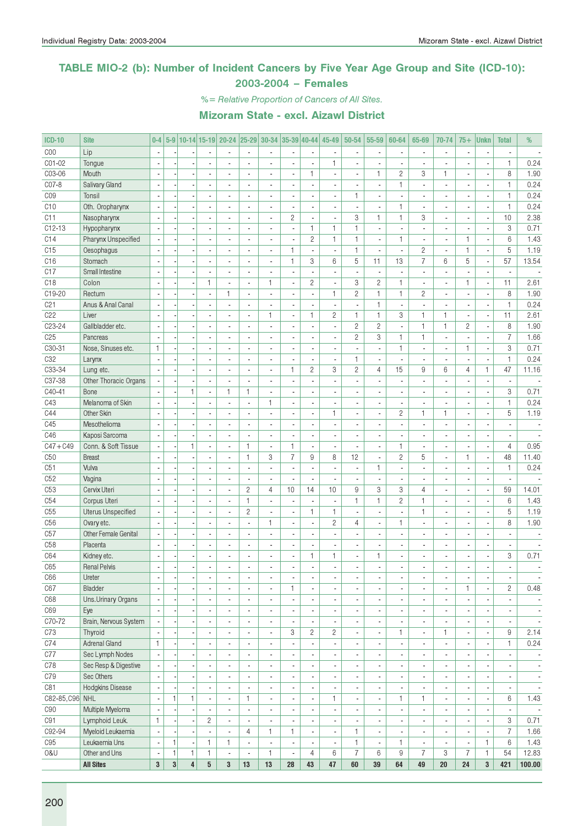#### TABLE MIO-2 (b): Number of Incident Cancers by Five Year Age Group and Site (ICD-10): 2003-2004 – Females

%= Relative Proportion of Cancers of All Sites.

| <b>ICD-10</b>   | <b>Site</b>                         | $0-4$                    |              |                          |                              |                                |                                  | 5-9 10-14 15-19 20-24 25-29 30-34 35-39 40-44        |                              |                                | 45-49                    | 50-54                        | 55-59                                     | 60-64                    | 65-69                                      | 70-74                                      | $75+$                    | <b>Unkn</b>                    | <b>Total</b>             | %                        |
|-----------------|-------------------------------------|--------------------------|--------------|--------------------------|------------------------------|--------------------------------|----------------------------------|------------------------------------------------------|------------------------------|--------------------------------|--------------------------|------------------------------|-------------------------------------------|--------------------------|--------------------------------------------|--------------------------------------------|--------------------------|--------------------------------|--------------------------|--------------------------|
| COO             | Lip                                 | $\overline{\phantom{a}}$ |              |                          |                              |                                |                                  |                                                      |                              |                                |                          |                              | $\overline{\phantom{a}}$                  |                          |                                            | ä,                                         |                          |                                |                          |                          |
| C01-02          | Tongue                              |                          |              |                          |                              |                                |                                  | ä,                                                   |                              | $\overline{a}$                 | $\mathbf{1}$             |                              |                                           |                          |                                            |                                            |                          |                                | $\mathbf{1}$             | 0.24                     |
| C03-06          | Mouth                               | $\overline{\phantom{a}}$ |              |                          | ä,                           | $\blacksquare$                 |                                  | $\blacksquare$                                       | $\overline{a}$               | $\mathbf{1}$                   | $\overline{\phantom{a}}$ | ä,                           | 1                                         | $\mathbf{2}$             | 3                                          | $\mathbf{1}$                               | $\overline{\phantom{a}}$ | ÷,                             | 8                        | 1.90                     |
| C07-8           | Salivary Gland                      | $\overline{\phantom{a}}$ |              |                          | $\overline{a}$               | $\overline{\phantom{a}}$       | $\overline{a}$                   | $\overline{\phantom{a}}$                             | ä,                           | $\overline{\phantom{a}}$       | $\overline{\phantom{a}}$ | $\overline{a}$               | $\overline{\phantom{a}}$                  | $\mathbf{1}$             | ÷.                                         | $\blacksquare$                             | $\blacksquare$           | ÷,                             | $\mathbf{1}$             | 0.24                     |
| C <sub>09</sub> | Tonsil                              | $\overline{\phantom{a}}$ |              |                          |                              | ٠                              |                                  | $\overline{\phantom{a}}$                             | ٠                            | $\overline{\phantom{a}}$       | $\overline{\phantom{a}}$ | $\mathbf{1}$                 | $\overline{\phantom{a}}$                  | ä,                       | ä,                                         | $\blacksquare$                             | $\blacksquare$           | $\overline{\phantom{a}}$       | 1                        | 0.24                     |
| C10             | Oth. Oropharynx                     |                          |              |                          |                              |                                |                                  |                                                      |                              | ÷,                             |                          |                              |                                           | $\mathbf{1}$             |                                            | $\overline{a}$                             |                          |                                | $\mathbf{1}$             | 0.24                     |
| C11             | Nasopharynx                         | $\overline{\phantom{a}}$ |              |                          | $\overline{a}$               | $\overline{a}$                 | $\overline{a}$                   | $\blacksquare$                                       | $\overline{c}$               | $\blacksquare$                 | $\overline{\phantom{a}}$ | 3                            | $\mathbf{1}$                              | $\mathbf{1}$             | 3                                          | $\overline{\phantom{a}}$                   | $\overline{\phantom{a}}$ | $\overline{\phantom{a}}$       | 10                       | 2.38                     |
| $C12-13$        | Hypopharynx                         |                          |              |                          | ä,                           | $\overline{a}$                 | $\overline{a}$                   | ÷,                                                   | ÷,                           | $\mathbf{1}$                   | $\mathbf{1}$             | $\mathbf{1}$                 | $\overline{\phantom{a}}$                  |                          |                                            | $\overline{a}$                             |                          | ÷,                             | 3                        | 0.71                     |
| C14             | Pharynx Unspecified                 |                          |              |                          | $\overline{a}$               | $\overline{a}$                 |                                  | $\blacksquare$                                       | ÷                            | $\overline{c}$                 | $\mathbf{1}$             | $\mathbf{1}$                 | $\blacksquare$                            | $\mathbf{1}$             | $\overline{a}$                             | $\overline{\phantom{a}}$                   | $\mathbf{1}$             | ł,                             | $6\phantom{1}6$          | 1.43                     |
| C15             | Oesophagus                          | $\sim$                   |              |                          | ä,                           | ä,                             | $\overline{a}$                   | $\blacksquare$                                       | $\mathbf{1}$                 | $\overline{\phantom{a}}$       | $\sim$                   | $\mathbf{1}$                 | $\overline{\phantom{a}}$                  | $\overline{\phantom{a}}$ | $\overline{2}$                             | $\overline{a}$                             | $\mathbf{1}$             | ÷,                             | 5                        | 1.19                     |
| C16             | Stomach                             | $\overline{\phantom{a}}$ |              |                          | ä,                           | $\blacksquare$                 | $\overline{a}$                   | $\blacksquare$                                       | $\mathbf{1}$                 | 3                              | 6                        | 5                            | 11                                        | 13                       | $\overline{7}$                             | 6                                          | 5                        | ÷,                             | 57                       | 13.54                    |
| C17             | Small Intestine                     |                          |              |                          | ٠                            | $\overline{\phantom{a}}$       | $\blacksquare$                   | ä,                                                   | ٠                            | $\overline{\phantom{a}}$       | $\overline{\phantom{a}}$ | ٠                            | $\overline{\phantom{a}}$                  | ×,                       | $\overline{\phantom{a}}$                   | ٠                                          |                          | $\qquad \qquad \blacksquare$   | $\overline{\phantom{m}}$ |                          |
| C <sub>18</sub> | Colon                               | $\overline{\phantom{a}}$ |              |                          | $\mathbf{1}$                 | $\mathbf{r}$                   |                                  | 1                                                    | ÷,                           | $\overline{c}$                 | ÷,                       | 3                            | $\overline{c}$                            | $\mathbf{1}$             | $\overline{a}$                             | $\overline{a}$                             | $\mathbf{1}$             | ÷,                             | 11                       | 2.61                     |
| C19-20          | Rectum                              |                          |              |                          | ä,                           | $\mathbf{1}$                   | $\overline{a}$                   | $\overline{\phantom{a}}$                             | ÷.                           | $\overline{\phantom{a}}$       | $\mathbf{1}$             | $\overline{c}$               | $\mathbf{1}$                              | $\mathbf{1}$             | $\overline{2}$                             | $\overline{a}$                             | $\overline{\phantom{a}}$ | $\overline{\phantom{a}}$       | 8                        | 1.90                     |
| C21             | Anus & Anal Canal                   |                          |              |                          |                              |                                |                                  |                                                      |                              | $\overline{\phantom{a}}$       |                          |                              | 1                                         |                          |                                            |                                            |                          |                                | $\mathbf{1}$             | 0.24                     |
| C <sub>22</sub> | Liver                               | $\overline{a}$           |              |                          |                              | $\overline{a}$                 |                                  | 1                                                    | L                            | $\mathbf{1}$                   | $\overline{c}$           | $\mathbf{1}$                 | $\mathbf{1}$                              | 3                        | $\mathbf{1}$                               | $\mathbf{1}$                               | $\overline{\phantom{a}}$ | ÷,                             | 11                       | 2.61                     |
| C23-24          | Gallbladder etc.                    | $\overline{\phantom{a}}$ |              |                          | $\overline{a}$               | $\overline{\phantom{a}}$       | $\overline{a}$                   | $\overline{\phantom{a}}$                             | ä,                           | $\blacksquare$                 | $\overline{\phantom{a}}$ | $\overline{c}$               | $\overline{c}$                            | $\overline{\phantom{a}}$ | $\mathbf{1}$                               | $\mathbf{1}$                               | $\overline{c}$           | $\blacksquare$                 | 8                        | 1.90                     |
| C25             | Pancreas                            | $\sim$                   |              |                          | ä,                           | $\blacksquare$                 |                                  | $\blacksquare$                                       | ä,                           | $\overline{\phantom{a}}$       | $\overline{\phantom{a}}$ | $\mathbf{2}$                 | 3                                         | $\mathbf{1}$             | $\mathbf{1}$                               | ä,                                         |                          | ÷,                             | $\overline{7}$           | 1.66                     |
| C30-31          | Nose, Sinuses etc.                  | $\mathbf{1}$             |              |                          |                              | ٠                              |                                  | $\overline{a}$                                       | $\overline{\phantom{a}}$     | $\overline{\phantom{a}}$       |                          |                              | $\overline{\phantom{a}}$                  | $\mathbf{1}$             |                                            | $\blacksquare$                             | $\mathbf{1}$             | ٠                              | 3                        | 0.71                     |
| C32             | Larynx                              | $\sim$                   |              |                          |                              | ä,                             |                                  | $\blacksquare$                                       | ä,                           | $\overline{\phantom{a}}$       | $\overline{\phantom{a}}$ | $\mathbf{1}$                 | $\blacksquare$                            | $\overline{a}$           | ÷,                                         | $\overline{\phantom{a}}$                   | $\overline{\phantom{a}}$ | ä,                             | $\mathbf{1}$             | 0.24                     |
| C33-34          | Lung etc.                           |                          |              |                          | ÷,                           | $\overline{a}$                 | $\overline{a}$                   | $\overline{a}$                                       | $\mathbf{1}$                 | $\overline{c}$                 | 3                        | $\overline{2}$               | $\overline{4}$                            | 15                       | 9                                          | 6                                          | $\overline{4}$           | $\mathbf{1}$                   | 47                       | 11.16                    |
| C37-38          | Other Thoracic Organs               |                          |              |                          | ä,                           | $\overline{a}$                 |                                  | $\overline{a}$                                       |                              | $\overline{\phantom{a}}$       |                          |                              | $\blacksquare$                            |                          |                                            | $\overline{a}$                             |                          | ł,                             |                          |                          |
| C40-41          | Bone                                | $\sim$                   |              | $\mathbf{1}$             | ÷,                           | $\mathbf{1}$                   | $\mathbf{1}$                     | $\overline{a}$                                       | $\overline{a}$               | $\overline{\phantom{a}}$       |                          |                              | $\blacksquare$                            | ÷,                       | ÷,                                         | ÷.                                         |                          | ÷,                             | 3                        | 0.71                     |
| C43             | Melanoma of Skin                    | $\mathbf{r}$             |              |                          | ÷.                           | $\overline{a}$                 | $\overline{a}$                   | $\mathbf{1}$                                         | $\overline{a}$               | $\overline{\phantom{a}}$       | $\overline{\phantom{a}}$ | $\overline{a}$               | $\blacksquare$                            | $\overline{\phantom{a}}$ | ÷.                                         | $\overline{\phantom{a}}$                   | $\overline{a}$           | $\overline{\phantom{a}}$       | $\mathbf{1}$             | 0.24                     |
| C44             | Other Skin                          | $\overline{a}$           |              |                          | ä,                           | ä,                             |                                  | $\blacksquare$                                       | ٠                            | $\overline{\phantom{a}}$       | 1.                       |                              | $\overline{\phantom{a}}$                  | $\overline{c}$           | 1                                          | 1                                          | $\blacksquare$           | $\overline{\phantom{a}}$       | 5                        | 1.19                     |
| C45             | Mesothelioma                        |                          |              |                          |                              | ä,                             |                                  | $\overline{a}$                                       | ٠                            | $\blacksquare$                 |                          |                              | $\blacksquare$                            |                          |                                            | $\overline{a}$                             |                          | ×,                             |                          |                          |
| C46             | Kaposi Sarcoma                      |                          |              |                          | $\overline{a}$               | $\overline{a}$                 | $\overline{a}$                   | $\overline{a}$                                       | $\overline{a}$               | $\overline{\phantom{a}}$       | $\overline{\phantom{a}}$ |                              | $\overline{\phantom{a}}$                  | $\overline{a}$           | ä,                                         | $\overline{a}$                             |                          | ÷,                             | $\blacksquare$           |                          |
| $C47 + C49$     | Conn. & Soft Tissue                 |                          |              | $\mathbf{1}$             | ä,                           | $\overline{a}$                 | $\mathbf{1}$                     | $\overline{a}$                                       | $\mathbf{1}$                 | $\overline{\phantom{a}}$       | $\overline{\phantom{a}}$ |                              | $\blacksquare$                            | $\mathbf{1}$             |                                            | ä,                                         |                          | $\overline{\phantom{a}}$       | $\overline{4}$           | 0.95                     |
| C50             | <b>Breast</b>                       |                          |              |                          |                              | $\blacksquare$                 | $\mathbf{1}$                     | 3                                                    | $\overline{7}$               | 9                              | 8                        | 12                           | $\blacksquare$                            | $\overline{c}$           | 5                                          | $\overline{a}$                             | $\mathbf{1}$             | ÷,                             | 48                       | 11.40                    |
| C51             | Vulva                               | $\overline{\phantom{a}}$ |              |                          | ä,                           | ä,                             |                                  | $\overline{\phantom{a}}$                             | ÷,                           | $\blacksquare$                 | $\overline{a}$           | ä,                           | $\mathbf{1}$                              | $\overline{a}$           | ÷,                                         | $\overline{\phantom{a}}$                   | $\overline{a}$           | ÷,                             | $\mathbf{1}$             | 0.24                     |
| C52             | Vagina                              | $\sim$                   |              |                          | ä,                           | $\overline{\phantom{a}}$       | $\overline{\phantom{a}}$         | $\overline{\phantom{a}}$                             | ÷,                           | $\blacksquare$                 | $\sim$                   | ä,                           | ÷.                                        | $\overline{\phantom{a}}$ | ÷,                                         | $\overline{\phantom{a}}$                   | $\blacksquare$           | ÷,                             | $\overline{\phantom{a}}$ | $\overline{\phantom{a}}$ |
| C <sub>53</sub> | Cervix Uteri                        |                          |              |                          | ä,                           | $\blacksquare$                 | $\overline{c}$                   | $\overline{4}$                                       | 10                           | 14                             | 10                       | 9                            | 3                                         | 3                        | 4                                          | $\overline{a}$                             | $\blacksquare$           | $\overline{\phantom{a}}$       | 59                       | 14.01                    |
| C54             | Corpus Uteri                        | $\overline{\phantom{a}}$ |              |                          |                              | ÷,                             | $\mathbf{1}$                     | ÷,                                                   | ä,                           | ÷,                             |                          | $\mathbf{1}$                 | $\mathbf{1}$                              | $\overline{c}$           | 1                                          | $\overline{a}$                             |                          | Ĩ.                             | $6\phantom{1}$           | 1.43                     |
| C55             | <b>Uterus Unspecified</b>           |                          |              |                          | $\overline{\phantom{a}}$     | ä,                             | $\overline{2}$                   | $\overline{\phantom{a}}$                             | $\overline{\phantom{a}}$     | $\mathbf{1}$                   | 1                        | $\overline{\phantom{a}}$     | $\blacksquare$                            | $\overline{\phantom{a}}$ | 1                                          | ٠                                          | $\overline{a}$           | $\overline{\phantom{a}}$       | 5                        | 1.19                     |
| C <sub>56</sub> | Ovary etc.                          |                          |              |                          | ÷,                           | ÷,                             | $\overline{a}$                   | 1                                                    | ÷,                           | $\overline{\phantom{a}}$       | $\overline{c}$           | 4                            | $\blacksquare$                            | $\mathbf{1}$             |                                            | ÷.                                         |                          | ä,                             | 8                        | 1.90                     |
| C57             | Other Female Genital                |                          |              |                          | $\overline{a}$               | $\blacksquare$                 |                                  | $\overline{a}$                                       |                              | $\overline{\phantom{a}}$       |                          |                              | $\overline{\phantom{a}}$                  |                          |                                            | $\overline{\phantom{a}}$                   |                          | ł,                             |                          |                          |
| C <sub>58</sub> | Placenta                            | $\overline{\phantom{a}}$ |              |                          | ä,                           | ä,                             | $\overline{\phantom{a}}$         | $\blacksquare$                                       | ä,                           | $\overline{\phantom{a}}$       | $\overline{a}$           | ä,                           | $\blacksquare$                            | ÷,                       | ÷.                                         | $\overline{a}$                             | $\overline{a}$           | l,                             | $\overline{\phantom{a}}$ |                          |
| C64             | Kidney etc.                         | $\overline{\phantom{a}}$ |              |                          | $\overline{\phantom{a}}$     | $\overline{\phantom{a}}$       | $\overline{a}$                   | $\blacksquare$                                       | ä,                           | $\mathbf{1}$                   | 1                        | $\overline{\phantom{a}}$     | 1                                         | $\overline{\phantom{a}}$ | ٠                                          | ٠                                          | $\overline{\phantom{a}}$ | $\overline{\phantom{a}}$       | 3                        | 0.71                     |
| C65             | <b>Renal Pelvis</b>                 | $\overline{\phantom{a}}$ |              |                          |                              | ä,                             |                                  |                                                      | L,                           | ä,                             | $\overline{\phantom{a}}$ |                              | $\overline{\phantom{a}}$                  |                          |                                            |                                            |                          |                                | $\overline{\phantom{a}}$ |                          |
| C66             | Ureter                              | ٠                        |              |                          | $\qquad \qquad \blacksquare$ | ٠                              | $\overline{\phantom{a}}$         | $\overline{\phantom{a}}$                             | $\qquad \qquad \blacksquare$ | $\overline{\phantom{a}}$       | $\overline{\phantom{a}}$ | $\qquad \qquad \blacksquare$ | ٠                                         | $\overline{\phantom{a}}$ | $\qquad \qquad \blacksquare$               | ۰                                          | $\overline{\phantom{a}}$ | $\overline{\phantom{a}}$       |                          | $\overline{\phantom{a}}$ |
| C67             | Bladder                             | $\overline{\phantom{a}}$ |              |                          | ä,                           | $\overline{\phantom{a}}$       | $\overline{\phantom{a}}$         | $\blacksquare$                                       | $\mathbf{1}$                 | $\overline{\phantom{a}}$       | $\overline{\phantom{a}}$ | ä,                           | $\blacksquare$                            | ä,                       | $\overline{\phantom{a}}$                   | $\overline{\phantom{a}}$                   | $\mathbf{1}$             | ÷,                             | $\overline{c}$           | 0.48                     |
| C68             | Uns.Urinary Organs                  | $\blacksquare$           |              |                          | $\overline{a}$               | $\blacksquare$                 | $\blacksquare$                   | $\blacksquare$                                       | $\overline{\phantom{a}}$     | $\overline{\phantom{a}}$       | $\blacksquare$           | $\overline{a}$               | $\overline{\phantom{a}}$                  | $\blacksquare$           | ٠                                          | $\overline{\phantom{a}}$                   |                          | $\overline{\phantom{a}}$       | $\blacksquare$           | $\overline{\phantom{a}}$ |
| C69             | Eye                                 |                          |              |                          |                              | $\blacksquare$                 | $\blacksquare$                   | $\blacksquare$                                       | ٠                            | $\overline{\phantom{a}}$       |                          |                              | $\overline{\phantom{a}}$                  |                          | $\overline{\phantom{a}}$                   | $\blacksquare$                             |                          | $\overline{\phantom{a}}$       | $\overline{\phantom{a}}$ | $\overline{\phantom{a}}$ |
| C70-72          | Brain, Nervous System               |                          |              |                          | ä,                           | ÷,                             | $\overline{a}$                   | $\blacksquare$                                       | $\overline{a}$               | $\blacksquare$                 |                          | ä,                           | $\overline{\phantom{a}}$                  |                          | $\overline{\phantom{a}}$                   | ä,                                         |                          | ÷,                             | $\overline{\phantom{a}}$ | $\overline{\phantom{a}}$ |
| C73             | Thyroid                             |                          |              |                          | ä,                           | $\overline{\phantom{a}}$       | $\overline{\phantom{a}}$         | $\overline{\phantom{a}}$                             | 3                            | $\overline{2}$                 | $\overline{c}$           | ٠                            | $\overline{\phantom{a}}$                  | 1                        | $\overline{\phantom{a}}$                   | 1                                          | $\overline{\phantom{a}}$ | $\overline{a}$                 | 9                        | 2.14                     |
| C74             | <b>Adrenal Gland</b>                | $\mathbf{1}$             |              |                          | $\overline{\phantom{a}}$     | $\blacksquare$                 | $\blacksquare$                   | $\overline{\phantom{a}}$                             | ÷,                           | $\overline{\phantom{a}}$       | $\blacksquare$           | $\overline{\phantom{a}}$     | $\overline{\phantom{a}}$                  | $\overline{\phantom{a}}$ | $\blacksquare$                             | ä,                                         | $\blacksquare$           | $\blacksquare$                 | $\mathbf{1}$             | 0.24                     |
| C <sub>77</sub> | Sec Lymph Nodes                     |                          |              |                          | ٠                            | $\overline{\phantom{a}}$       | $\overline{\phantom{a}}$         | $\overline{\phantom{a}}$                             | $\overline{\phantom{a}}$     | $\overline{\phantom{a}}$       | $\overline{\phantom{a}}$ | $\overline{\phantom{a}}$     | $\overline{\phantom{a}}$                  | $\overline{\phantom{a}}$ | $\overline{\phantom{a}}$                   | $\overline{\phantom{a}}$                   | $\blacksquare$           | ٠                              | $\overline{\phantom{a}}$ | $\overline{\phantom{a}}$ |
| C78             | Sec Resp & Digestive                |                          |              |                          | ÷,                           | $\blacksquare$                 |                                  | $\overline{a}$                                       | $\frac{1}{2}$                | $\overline{\phantom{a}}$       |                          |                              | $\overline{\phantom{a}}$                  |                          | ä,                                         | $\overline{\phantom{a}}$                   |                          | ÷,                             | $\overline{\phantom{a}}$ | $\overline{\phantom{a}}$ |
| C79             | Sec Others                          |                          |              |                          | $\overline{a}$               | $\overline{\phantom{a}}$       | $\blacksquare$                   | $\blacksquare$                                       | ٠                            | $\blacksquare$                 | $\overline{\phantom{a}}$ | $\overline{a}$               | $\overline{\phantom{a}}$                  | $\blacksquare$           | ٠                                          | $\blacksquare$                             |                          | $\overline{\phantom{a}}$       | $\blacksquare$           | $\overline{\phantom{a}}$ |
| C81             | Hodgkins Disease                    | ä,                       |              |                          | ä,                           | $\overline{a}$                 | $\overline{a}$                   | $\overline{a}$                                       | ä,                           | $\overline{\phantom{a}}$       |                          |                              | $\blacksquare$                            |                          |                                            | $\overline{\phantom{a}}$                   |                          | $\overline{\phantom{a}}$       |                          | $\overline{\phantom{a}}$ |
| C82-85, C96 NHL |                                     |                          | $\mathbf{1}$ | $\mathbf{1}$             |                              |                                | $\mathbf{1}$                     |                                                      |                              |                                | $\mathbf{1}$             |                              |                                           |                          | $\mathbf{1}$                               |                                            |                          |                                | 6                        |                          |
|                 | Multiple Myeloma                    | $\overline{\phantom{a}}$ |              |                          | ÷,                           | $\overline{\phantom{a}}$<br>÷. | $\blacksquare$                   | $\overline{\phantom{a}}$<br>$\overline{\phantom{a}}$ | ÷,                           | $\overline{\phantom{a}}$<br>ä, | $\mathbf{r}$             | ä,                           | $\overline{\phantom{a}}$<br>$\mathcal{L}$ | 1<br>$\overline{a}$      | ä,                                         | $\overline{\phantom{a}}$<br>$\overline{a}$ |                          | $\overline{\phantom{a}}$<br>÷, |                          | 1.43                     |
| C90             |                                     | $\mathbf{1}$             |              |                          |                              |                                |                                  |                                                      |                              |                                |                          |                              |                                           |                          |                                            |                                            |                          |                                |                          | $\overline{\phantom{a}}$ |
| C91<br>C92-94   | Lymphoid Leuk.<br>Myeloid Leukaemia | $\overline{\phantom{a}}$ |              |                          | $\mathbf{2}$<br>÷,           | $\overline{\phantom{a}}$       | $\blacksquare$<br>$\overline{4}$ | $\overline{\phantom{a}}$<br>1.                       | ÷,                           | $\overline{\phantom{a}}$       | $\overline{\phantom{a}}$ | ä,<br>$\mathbf{1}$           | $\overline{\phantom{a}}$                  | $\blacksquare$           | $\blacksquare$                             | ä,                                         | $\overline{\phantom{a}}$ | $\blacksquare$                 | 3<br>7                   | 0.71<br>1.66             |
|                 |                                     |                          | 1            | $\overline{\phantom{m}}$ |                              | $\overline{\phantom{a}}$       |                                  |                                                      | 1                            | $\overline{\phantom{a}}$       | $\overline{\phantom{a}}$ |                              | $\overline{\phantom{a}}$                  | $\overline{\phantom{a}}$ | $\overline{\phantom{a}}$                   | $\overline{\phantom{a}}$                   | $\overline{\phantom{a}}$ | $\overline{\phantom{a}}$       |                          |                          |
| C95             | Leukaemia Uns                       | $\blacksquare$           |              |                          | 1                            | 1                              | $\blacksquare$                   | $\blacksquare$                                       | $\overline{\phantom{a}}$     | $\overline{\phantom{a}}$<br>4  | $\overline{\phantom{a}}$ | 1<br>$\overline{7}$          | $\blacksquare$<br>6                       | 1<br>9                   | $\overline{\phantom{a}}$<br>$\overline{7}$ | $\overline{\phantom{a}}$                   |                          | 1                              | 6<br>54                  | 1.43                     |
| 0&U             | Other and Uns                       | $\blacksquare$           | 1            | 1                        | 1                            | $\overline{\phantom{a}}$       | $\overline{\phantom{a}}$         | 1                                                    | $\overline{\phantom{a}}$     |                                | 6                        |                              |                                           |                          |                                            | 3                                          | $\overline{7}$           | $\mathbf{1}$                   |                          | 12.83                    |
|                 | <b>All Sites</b>                    | $\bf 3$                  | 3            | $\overline{\mathbf{4}}$  | $\overline{\mathbf{5}}$      | $\mathbf{3}$                   | 13                               | 13                                                   | 28                           | 43                             | 47                       | ${\bf 60}$                   | 39                                        | 64                       | 49                                         | $20\,$                                     | 24                       | 3                              | 421                      | 100.00                   |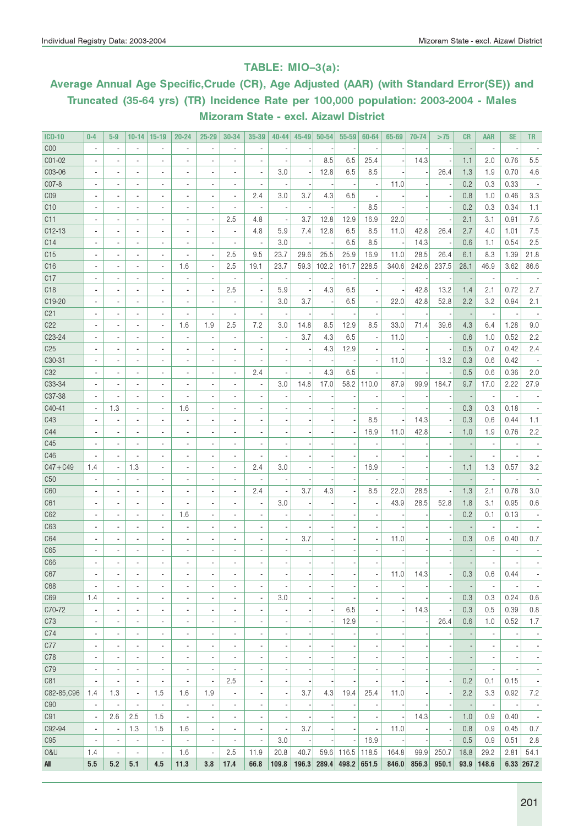#### TABLE: MIO–3(a):

### Average Annual Age Specific,Crude (CR), Age Adjusted (AAR) (with Standard Error(SE)) and Truncated (35-64 yrs) (TR) Incidence Rate per 100,000 population: 2003-2004 - Males Mizoram State - excl. Aizawl District

| <b>ICD-10</b>       | $0 - 4$                      | $5-9$                    | $10 - 14$                       | $15 - 19$                    | 20-24                    | $25 - 29$                | 30-34                        | 35-39                        | 40-44                    | 45-49 | $50 - 54$ | 55-59                    | 60-64                    | 65-69 | 70-74                    | >75                      | <b>CR</b>                | <b>AAR</b>               | <b>SE</b>                | <b>TR</b>                |
|---------------------|------------------------------|--------------------------|---------------------------------|------------------------------|--------------------------|--------------------------|------------------------------|------------------------------|--------------------------|-------|-----------|--------------------------|--------------------------|-------|--------------------------|--------------------------|--------------------------|--------------------------|--------------------------|--------------------------|
| C <sub>00</sub>     |                              |                          | ÷.                              |                              | $\overline{a}$           | ä,                       |                              |                              |                          |       |           |                          |                          |       |                          |                          |                          | $\blacksquare$           |                          |                          |
| CO1-02              |                              |                          | ä,                              | ä,                           |                          | Ĭ.                       |                              |                              |                          |       | 8.5       | 6.5                      | 25.4                     |       | 14.3                     |                          | 1.1                      | 2.0                      | 0.76                     | 5.5                      |
| C03-06              |                              |                          | $\overline{\phantom{a}}$        | ÷,                           | $\blacksquare$           | $\overline{a}$           | ٠                            | ä,                           | 3.0                      |       | 12.8      | 6.5                      | 8.5                      |       |                          | 26.4                     | 1.3                      | 1.9                      | 0.70                     | 4.6                      |
| C07-8               |                              |                          | ٠                               | $\overline{\phantom{a}}$     | $\blacksquare$           | $\overline{a}$           | $\overline{\phantom{a}}$     | ÷,                           |                          |       |           | $\overline{\phantom{a}}$ |                          | 11.0  |                          |                          | 0.2                      | 0.3                      | 0.33                     |                          |
| CO <sub>9</sub>     |                              | $\blacksquare$           | $\overline{\phantom{a}}$        | $\overline{a}$               | $\blacksquare$           | $\overline{a}$           | $\blacksquare$               | 2.4                          | 3.0                      | 3.7   | 4.3       | 6.5                      |                          |       |                          |                          | 0.8                      | 1.0                      | 0.46                     | 3.3                      |
| C10                 |                              | $\blacksquare$           | $\overline{\phantom{a}}$        | $\overline{\phantom{a}}$     | $\blacksquare$           | $\overline{a}$           | ٠                            | ٠                            | $\overline{a}$           |       |           | ÷,                       | 8.5                      |       |                          |                          | 0.2                      | 0.3                      | 0.34                     | 1.1                      |
| C11                 |                              | $\blacksquare$           | $\overline{\phantom{a}}$        | $\overline{\phantom{a}}$     | $\blacksquare$           | $\overline{a}$           | 2.5                          | 4.8                          | $\overline{\phantom{a}}$ | 3.7   | 12.8      | 12.9                     | 16.9                     | 22.0  |                          |                          | 2.1                      | 3.1                      | 0.91                     | 7.6                      |
| $C12-13$            |                              |                          | $\overline{\phantom{a}}$        | $\overline{\phantom{a}}$     | $\blacksquare$           | $\overline{a}$           | ٠                            | 4.8                          | 5.9                      | 7.4   | 12.8      | 6.5                      | 8.5                      | 11.0  | 42.8                     | 26.4                     | 2.7                      | 4.0                      | 1.01                     | 7.5                      |
| C14                 | ä,                           | $\blacksquare$           | $\overline{\phantom{a}}$        | $\overline{\phantom{a}}$     | $\blacksquare$           | ÷,                       |                              | ×,                           | 3.0                      |       |           | 6.5                      | 8.5                      |       | 14.3                     |                          | 0.6                      | 1.1                      | 0.54                     | 2.5                      |
| C15                 |                              | $\blacksquare$           | $\blacksquare$                  | $\overline{\phantom{a}}$     | ä,                       | ÷,                       | 2.5                          | 9.5                          | 23.7                     | 29.6  | 25.5      | 25.9                     | 16.9                     | 11.0  | 28.5                     | 26.4                     | 6.1                      | 8.3                      | 1.39                     | 21.8                     |
| C16                 |                              | $\blacksquare$           | ٠                               | $\overline{\phantom{a}}$     | 1.6                      | ÷,                       | 2.5                          | 19.1                         | 23.7                     | 59.3  | 102.2     | 161.7                    | 228.5                    | 340.6 | 242.6                    | 237.5                    | 28.1                     | 46.9                     | 3.62                     | 86.6                     |
| C17                 |                              |                          | ٠                               | $\overline{\phantom{a}}$     | $\overline{a}$           | ÷,                       | ٠                            | ×,                           | $\overline{\phantom{a}}$ |       |           |                          |                          |       |                          |                          |                          | $\overline{\phantom{a}}$ |                          |                          |
| C <sub>18</sub>     |                              | $\blacksquare$           | $\blacksquare$                  | $\overline{\phantom{a}}$     | $\overline{\phantom{a}}$ | $\overline{a}$           | 2.5                          | ä,                           | 5.9                      |       | 4.3       | 6.5                      |                          |       | 42.8                     | 13.2                     | 1.4                      | 2.1                      | 0.72                     | 2.7                      |
| C19-20              |                              |                          | $\overline{\phantom{a}}$        | $\overline{\phantom{a}}$     | $\overline{a}$           | $\overline{a}$           | ٠                            | ÷,                           | 3.0                      | 3.7   |           | 6.5                      |                          | 22.0  | 42.8                     | 52.8                     | 2.2                      | 3.2                      | 0.94                     | 2.1                      |
| C <sub>21</sub>     | $\overline{\phantom{a}}$     |                          | $\overline{\phantom{a}}$        | $\overline{\phantom{a}}$     | $\overline{a}$           | $\frac{1}{2}$            | ٠                            | ä,                           | $\overline{a}$           |       |           |                          |                          |       |                          |                          | $\overline{\phantom{a}}$ | $\overline{\phantom{a}}$ |                          |                          |
| C22                 |                              | $\blacksquare$           | $\overline{\phantom{a}}$        | $\overline{\phantom{a}}$     | 1.6                      | 1.9                      | 2.5                          | 7.2                          | 3.0                      | 14.8  | 8.5       | 12.9                     | 8.5                      | 33.0  | 71.4                     | 39.6                     | 4.3                      | 6.4                      | 1.28                     | 9.0                      |
| C <sub>2</sub> 3-24 |                              |                          | $\overline{\phantom{a}}$        | $\overline{\phantom{a}}$     | $\overline{a}$           | $\overline{a}$           | ٠                            | ÷,                           | $\overline{\phantom{a}}$ | 3.7   | 4.3       | 6.5                      |                          | 11.0  |                          |                          | 0.6                      | 1.0                      | 0.52                     | 2.2                      |
| C <sub>25</sub>     |                              | $\blacksquare$           | $\overline{\phantom{a}}$        | $\overline{\phantom{a}}$     | $\overline{a}$           | $\overline{a}$           | ٠                            | $\overline{a}$               | ÷                        |       | 4.3       | 12.9                     |                          |       |                          |                          | 0.5                      | 0.7                      | 0.42                     | 2.4                      |
| C30-31              |                              | $\blacksquare$           | $\blacksquare$                  | $\overline{\phantom{a}}$     | $\blacksquare$           | $\overline{a}$           | ٠                            |                              |                          |       |           |                          |                          | 11.0  |                          | 13.2                     | 0.3                      | 0.6                      | 0.42                     |                          |
| C <sub>32</sub>     |                              | $\blacksquare$           | $\overline{\phantom{a}}$        | $\overline{\phantom{a}}$     | $\blacksquare$           | $\overline{a}$           | $\blacksquare$               | 2.4                          | Ĭ.                       |       | 4.3       | 6.5                      |                          |       |                          |                          | 0.5                      | 0.6                      | 0.36                     | 2.0                      |
| C33-34              |                              | $\overline{\phantom{a}}$ | $\overline{\phantom{a}}$        | $\overline{\phantom{a}}$     | $\overline{a}$           | $\overline{a}$           | $\overline{\phantom{a}}$     | ä,                           | 3.0                      | 14.8  | 17.0      | 58.2                     | 110.0                    | 87.9  | 99.9                     | 184.7                    | 9.7                      | 17.0                     | 2.22                     | 27.9                     |
| C37-38              |                              | $\blacksquare$           | $\blacksquare$                  | $\overline{\phantom{a}}$     | ä,                       |                          |                              | ä,                           |                          |       |           |                          |                          |       |                          |                          |                          | $\overline{\phantom{a}}$ |                          |                          |
| C40-41              |                              | 1.3                      | $\blacksquare$                  | $\overline{\phantom{a}}$     | 1.6                      |                          |                              |                              |                          |       |           |                          |                          |       |                          |                          | 0.3                      | 0.3                      | 0.18                     |                          |
| C43                 |                              | $\overline{\phantom{a}}$ | $\overline{\phantom{a}}$        | $\overline{a}$               |                          |                          |                              |                              |                          |       |           |                          | 8.5                      |       | 14.3                     |                          | 0.3                      | 0.6                      | 0.44                     | 1.1                      |
| C44                 |                              | $\overline{\phantom{a}}$ | $\overline{\phantom{a}}$        | $\overline{\phantom{a}}$     | $\blacksquare$           | ٠                        | $\blacksquare$               |                              | ł,                       |       |           |                          | 16.9                     | 11.0  | 42.8                     |                          | 1.0                      | 1.9                      | 0.76                     | 2.2                      |
| C45                 |                              | $\blacksquare$           | $\overline{\phantom{a}}$        | $\overline{\phantom{a}}$     | $\blacksquare$           | ٠                        | $\blacksquare$               |                              | ×,                       |       |           |                          |                          |       |                          |                          |                          | $\overline{\phantom{a}}$ |                          |                          |
| C46                 |                              | $\blacksquare$           |                                 |                              | $\overline{\phantom{a}}$ |                          | $\blacksquare$               |                              |                          |       |           |                          |                          |       |                          |                          |                          | $\blacksquare$           |                          |                          |
| $C47 + C49$         |                              |                          | $\overline{\phantom{a}}$<br>1.3 | $\overline{\phantom{a}}$     | $\blacksquare$           | $\frac{1}{2}$            | $\overline{\phantom{a}}$     | 2.4                          | 3.0                      |       |           |                          | 16.9                     |       |                          |                          |                          | 1.3                      | 0.57                     | 3.2                      |
|                     | 1.4                          | $\overline{\phantom{a}}$ |                                 | $\overline{\phantom{a}}$     |                          | $\overline{a}$           |                              |                              |                          |       |           | ×,                       |                          |       |                          |                          | 1.1                      |                          |                          |                          |
| C50                 |                              | $\blacksquare$           | ٠                               | ٠                            | $\blacksquare$           | ٠                        | $\blacksquare$               |                              |                          |       |           |                          |                          |       |                          |                          |                          | $\blacksquare$           |                          |                          |
| C60                 | $\blacksquare$               | $\blacksquare$           | $\blacksquare$                  | $\overline{\phantom{a}}$     | $\overline{a}$           | $\overline{a}$           | $\overline{\phantom{a}}$     | 2.4                          | ä,                       | 3.7   | 4.3       | $\overline{\phantom{a}}$ | 8.5                      | 22.0  | 28.5                     |                          | 1.3                      | 2.1                      | 0.78                     | 3.0                      |
| C61                 | $\blacksquare$               | $\blacksquare$           | $\blacksquare$                  | $\overline{\phantom{a}}$     | $\overline{a}$           | ٠                        | ٠                            | $\overline{\phantom{a}}$     | 3.0                      |       |           |                          |                          | 43.9  | 28.5                     | 52.8                     | 1.8                      | 3.1                      | 0.95                     | 0.6                      |
| C62                 | $\overline{\phantom{a}}$     | $\overline{a}$           | $\overline{\phantom{a}}$        | $\blacksquare$               | 1.6                      | $\overline{a}$           | $\overline{\phantom{a}}$     | $\overline{\phantom{a}}$     |                          |       |           |                          |                          |       |                          |                          | 0.2                      | 0.1                      | 0.13                     |                          |
| C63                 | $\overline{\phantom{a}}$     | $\sim$                   | ٠                               | $\overline{\phantom{a}}$     | $\overline{\phantom{a}}$ |                          |                              | $\overline{\phantom{a}}$     |                          |       |           |                          |                          |       |                          |                          |                          | $\overline{a}$           |                          |                          |
| C64                 | $\overline{\phantom{a}}$     | $\overline{\phantom{a}}$ | $\overline{a}$                  | $\overline{\phantom{a}}$     | $\overline{\phantom{a}}$ |                          |                              | $\overline{a}$               | ÷,                       | 3.7   |           |                          |                          | 11.0  |                          |                          | 0.3                      | 0.6                      | 0.40                     | 0.7                      |
| C65                 | $\overline{\phantom{a}}$     |                          | ٠                               | ٠                            | $\overline{a}$           | $\overline{a}$           |                              |                              |                          |       |           |                          |                          |       |                          |                          |                          |                          |                          |                          |
| C66                 |                              |                          | $\overline{\phantom{a}}$        |                              |                          |                          |                              |                              |                          |       |           |                          |                          |       |                          |                          |                          |                          |                          |                          |
| C67                 | $\qquad \qquad \blacksquare$ |                          | $\overline{\phantom{a}}$        | $\overline{\phantom{a}}$     | $\overline{\phantom{a}}$ | $\overline{\phantom{a}}$ |                              | ۰                            | $\overline{\phantom{a}}$ |       |           | $\overline{\phantom{a}}$ |                          | 11.0  | 14.3                     |                          | 0.3                      | 0.6                      | 0.44                     |                          |
| C68                 | $\blacksquare$               | $\blacksquare$           | $\overline{\phantom{a}}$        | $\overline{\phantom{a}}$     | ä,                       | $\overline{a}$           | $\overline{\phantom{a}}$     | $\overline{\phantom{a}}$     | ÷,                       |       |           |                          |                          |       |                          |                          |                          | $\overline{\phantom{a}}$ |                          | $\overline{\phantom{a}}$ |
| C69                 | 1.4                          | $\overline{\phantom{a}}$ | $\overline{\phantom{a}}$        | $\overline{\phantom{a}}$     | ÷                        | $\overline{a}$           | $\overline{\phantom{a}}$     | $\overline{\phantom{a}}$     | 3.0                      |       |           |                          |                          |       |                          |                          | 0.3                      | 0.3                      | 0.24                     | 0.6                      |
| C70-72              | ÷,                           | $\blacksquare$           | $\overline{\phantom{a}}$        | $\overline{\phantom{a}}$     | $\blacksquare$           | $\overline{a}$           | $\blacksquare$               | ٠                            |                          |       |           | 6.5                      | $\overline{a}$           |       | 14.3                     |                          | 0.3                      | 0.5                      | 0.39                     | 0.8                      |
| C73                 | $\overline{\phantom{a}}$     | $\overline{\phantom{a}}$ | $\overline{\phantom{a}}$        | $\overline{\phantom{a}}$     | $\overline{\phantom{a}}$ | $\overline{a}$           | $\blacksquare$               | ٠                            | ÷                        |       |           | 12.9                     | ÷,                       |       |                          | 26.4                     | 0.6                      | 1.0                      | 0.52                     | 1.7                      |
| C74                 | ٠                            | $\overline{\phantom{a}}$ | $\overline{\phantom{a}}$        | $\overline{\phantom{a}}$     | $\overline{\phantom{a}}$ | $\overline{a}$           | $\blacksquare$               | ٠                            | ÷,                       |       |           |                          |                          |       |                          |                          |                          | ÷,                       |                          | $\overline{\phantom{a}}$ |
| C77                 | ٠                            | ٠                        | ٠                               | $\overline{\phantom{a}}$     |                          | $\frac{1}{2}$            | $\blacksquare$               | ٠                            | ×,                       |       |           |                          |                          |       |                          |                          |                          | ÷,                       |                          | $\overline{\phantom{a}}$ |
| C78                 | ٠                            | $\overline{\phantom{a}}$ | ٠                               | ÷,                           | ٠                        | $\frac{1}{2}$            | $\blacksquare$               | ä,                           |                          |       |           |                          |                          |       |                          |                          |                          | $\overline{\phantom{a}}$ |                          | $\overline{\phantom{a}}$ |
| C79                 | $\overline{\phantom{m}}$     | $\overline{\phantom{a}}$ | ٠                               | ÷,                           | $\blacksquare$           | $\overline{\phantom{a}}$ | $\blacksquare$               | ÷,                           |                          |       |           | $\overline{\phantom{a}}$ |                          |       |                          |                          |                          | $\overline{\phantom{a}}$ |                          | $\overline{\phantom{a}}$ |
| C81                 | $\overline{\phantom{a}}$     | $\overline{\phantom{a}}$ | $\blacksquare$                  | ٠                            | $\overline{\phantom{a}}$ | $\overline{\phantom{a}}$ | 2.5                          | ٠                            |                          |       |           | $\overline{\phantom{a}}$ |                          |       |                          |                          | 0.2                      | 0.1                      | 0.15                     | $\overline{\phantom{a}}$ |
| C82-85, C96         | 1.4                          | 1.3                      | $\overline{\phantom{a}}$        | 1.5                          | 1.6                      | 1.9                      | $\qquad \qquad \blacksquare$ | $\qquad \qquad \blacksquare$ | $\overline{\phantom{a}}$ | 3.7   | 4.3       | 19.4                     | 25.4                     | 11.0  |                          |                          | 2.2                      | 3.3                      | 0.92                     | 7.2                      |
| C <sub>90</sub>     | $\overline{\phantom{a}}$     | $\overline{\phantom{a}}$ | $\overline{\phantom{a}}$        | $\overline{\phantom{a}}$     | $\overline{\phantom{a}}$ | $\overline{\phantom{a}}$ | $\qquad \qquad \blacksquare$ | ٠                            | $\overline{\phantom{a}}$ |       |           | $\overline{\phantom{a}}$ |                          |       |                          |                          | $\overline{\phantom{a}}$ | $\overline{\phantom{a}}$ | $\overline{\phantom{a}}$ | $\overline{\phantom{a}}$ |
| C91                 | $\blacksquare$               | 2.6                      | 2.5                             | 1.5                          | $\overline{\phantom{a}}$ | $\overline{\phantom{a}}$ | $\qquad \qquad \blacksquare$ | ٠                            | $\overline{\phantom{m}}$ |       |           |                          |                          |       | 14.3                     | $\overline{\phantom{a}}$ | 1.0                      | 0.9                      | 0.40                     | $\overline{\phantom{a}}$ |
| C92-94              | $\overline{\phantom{a}}$     | $\overline{\phantom{a}}$ | 1.3                             | 1.5                          | 1.6                      | $\overline{\phantom{a}}$ | $\qquad \qquad \blacksquare$ | $\overline{\phantom{a}}$     | $\overline{\phantom{a}}$ | 3.7   |           | $\overline{\phantom{a}}$ | $\overline{\phantom{a}}$ | 11.0  |                          |                          | 0.8                      | 0.9                      | 0.45                     | 0.7                      |
| C <sub>95</sub>     | $\overline{\phantom{a}}$     | $\overline{\phantom{a}}$ | $\overline{\phantom{a}}$        | $\overline{\phantom{a}}$     | $\overline{\phantom{a}}$ | $\overline{\phantom{a}}$ | $\overline{\phantom{a}}$     | $\qquad \qquad \blacksquare$ | 3.0                      |       |           | ÷,                       | 16.9                     |       | $\overline{\phantom{a}}$ |                          | 0.5                      | 0.9                      | 0.51                     | 2.8                      |
| 0&U                 | 1.4                          | $\overline{\phantom{a}}$ | $\overline{\phantom{a}}$        | $\qquad \qquad \blacksquare$ | 1.6                      | $\overline{\phantom{a}}$ | 2.5                          | 11.9                         | 20.8                     | 40.7  |           | 59.6 116.5 118.5         |                          | 164.8 | 99.9                     | 250.7                    | 18.8                     | 29.2                     | 2.81                     | 54.1                     |
| All                 | 5.5                          | 5.2                      | 5.1                             | 4.5                          | 11.3                     | 3.8                      | 17.4                         | 66.8                         | 109.8                    | 196.3 | 289.4     | 498.2 651.5              |                          | 846.0 | 856.3                    | 950.1                    |                          | $93.9$ 148.6             |                          | $6.33$ 267.2             |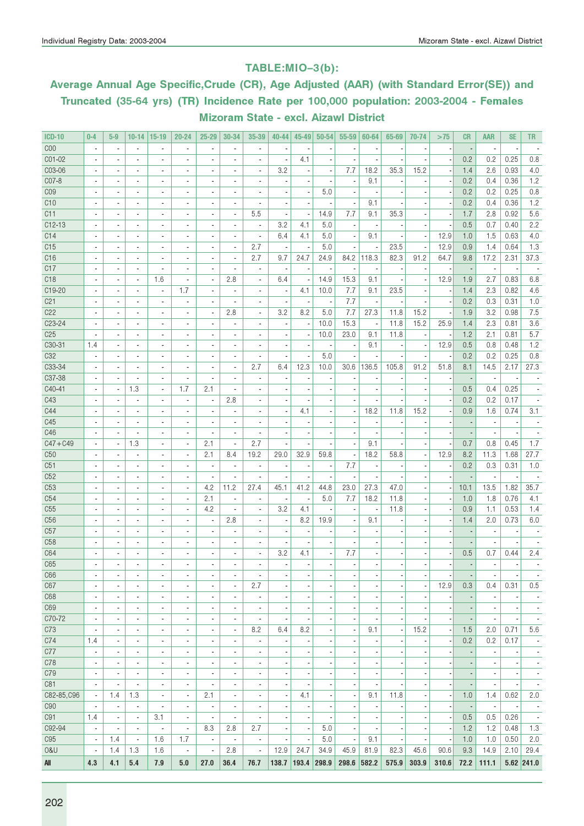#### TABLE:MIO–3(b):

# Average Annual Age Specific,Crude (CR), Age Adjusted (AAR) (with Standard Error(SE)) and Truncated (35-64 yrs) (TR) Incidence Rate per 100,000 population: 2003-2004 - Females Mizoram State - excl. Aizawl District

| <b>ICD-10</b>             | $0 - 4$                      | $5-9$                    | $10 - 14$                                            | $15-19$                                    | $20 - 24$                | $25 - 29$                      | 30-34                    | 35-39                                                | $40 - 44$                | 45-49                    | 50-54                    | 55-59                    | 60-64                    | 65-69                    | 70-74                    | >75                      | <b>CR</b>                | <b>AAR</b>               | <b>SE</b>                | <b>TR</b>                |
|---------------------------|------------------------------|--------------------------|------------------------------------------------------|--------------------------------------------|--------------------------|--------------------------------|--------------------------|------------------------------------------------------|--------------------------|--------------------------|--------------------------|--------------------------|--------------------------|--------------------------|--------------------------|--------------------------|--------------------------|--------------------------|--------------------------|--------------------------|
| COO                       |                              | $\overline{\phantom{a}}$ | $\blacksquare$                                       |                                            | $\overline{\phantom{a}}$ | ×,                             |                          | ÷,                                                   |                          |                          |                          |                          |                          |                          |                          |                          |                          | ÷,                       |                          |                          |
| C01-02                    |                              |                          | $\overline{a}$                                       |                                            |                          | ÷,                             |                          | $\overline{\phantom{a}}$                             |                          | 4.1                      |                          |                          |                          |                          |                          |                          | 0.2                      | 0.2                      | 0.25                     | 0.8                      |
| C03-06                    | $\overline{\phantom{a}}$     | $\blacksquare$           | $\overline{\phantom{a}}$                             | $\blacksquare$                             | $\blacksquare$           | $\blacksquare$                 | $\overline{\phantom{a}}$ | $\overline{\phantom{a}}$                             | 3.2                      |                          | $\overline{a}$           | 7.7                      | 18.2                     | 35.3                     | 15.2                     |                          | 1.4                      | 2.6                      | 0.93                     | 4.0                      |
| C07-8                     | $\blacksquare$               | $\blacksquare$           | $\blacksquare$                                       | $\overline{\phantom{a}}$                   | $\overline{\phantom{a}}$ | $\overline{a}$                 | $\blacksquare$           | $\overline{\phantom{a}}$                             |                          |                          | $\overline{a}$           | $\overline{\phantom{a}}$ | 9.1                      |                          |                          |                          | 0.2                      | 0.4                      | 0.36                     | 1.2                      |
| C <sub>09</sub>           |                              | ٠                        | $\blacksquare$                                       | ٠                                          | $\blacksquare$           | $\blacksquare$                 | ٠                        | ٠                                                    |                          |                          | 5.0                      | ÷,                       |                          |                          |                          |                          | 0.2                      | 0.2                      | 0.25                     | 0.8                      |
| C10                       |                              |                          | $\blacksquare$                                       |                                            |                          |                                | $\blacksquare$           | ä,                                                   |                          |                          |                          | ÷,                       | 9.1                      |                          |                          |                          | 0.2                      | 0.4                      | 0.36                     | 1.2                      |
| C11                       |                              | $\overline{\phantom{a}}$ | $\blacksquare$                                       | $\overline{a}$                             | $\overline{\phantom{a}}$ | $\overline{\phantom{a}}$       | $\blacksquare$           | 5.5                                                  | $\overline{a}$           | ٠.                       | 14.9                     | 7.7                      | 9.1                      | 35.3                     |                          |                          | 1.7                      | 2.8                      | 0.92                     | 5.6                      |
| $C12-13$                  |                              |                          | $\blacksquare$                                       | $\blacksquare$                             |                          | $\overline{a}$                 | ×,                       | $\overline{\phantom{a}}$                             | 3.2                      | 4.1                      | 5.0                      |                          |                          |                          |                          |                          | 0.5                      | 0.7                      | 0.40                     | 2.2                      |
| C14                       |                              | $\overline{a}$           | $\overline{\phantom{a}}$                             | $\overline{a}$                             |                          |                                |                          | ÷,                                                   | 6.4                      | 4.1                      | 5.0                      | ÷,                       | 9.1                      |                          |                          | 12.9                     | 1.0                      | 1.5                      | 0.63                     | 4.0                      |
| C15                       | $\blacksquare$               | $\blacksquare$           | $\overline{\phantom{a}}$                             | $\blacksquare$                             | $\blacksquare$           | $\blacksquare$                 | $\overline{\phantom{a}}$ | 2.7                                                  |                          |                          | 5.0                      | $\overline{\phantom{a}}$ |                          | 23.5                     |                          | 12.9                     | 0.9                      | 1.4                      | 0.64                     | 1.3                      |
| C16                       | $\blacksquare$               | $\blacksquare$           | $\blacksquare$                                       | $\overline{a}$                             | $\overline{\phantom{a}}$ | $\overline{\phantom{a}}$       | $\overline{\phantom{a}}$ | 2.7                                                  | 9.7                      | 24.7                     | 24.9                     | 84.2                     | 118.3                    | 82.3                     | 91.2                     | 64.7                     | 9.8                      | 17.2                     | 2.31                     | 37.3                     |
| C17                       |                              | ٠                        | $\blacksquare$                                       |                                            |                          | $\overline{\phantom{a}}$       | $\overline{\phantom{a}}$ | $\overline{\phantom{a}}$                             | ÷                        |                          |                          |                          |                          |                          |                          |                          |                          | $\overline{a}$           |                          |                          |
| C <sub>18</sub>           |                              |                          | $\blacksquare$                                       | 1.6                                        | ä,                       | $\overline{\phantom{a}}$       | 2.8                      | $\overline{\phantom{a}}$                             | 6.4                      |                          | 14.9                     | 15.3                     | 9.1                      |                          |                          | 12.9                     | 1.9                      | 2.7                      | 0.83                     | 6.8                      |
| C19-20                    |                              | $\overline{a}$           | $\overline{\phantom{a}}$                             | $\blacksquare$                             | 1.7                      | $\overline{a}$                 | $\blacksquare$           | $\blacksquare$                                       | $\overline{\phantom{a}}$ | 4.1                      | 10.0                     | 7.7                      | 9.1                      | 23.5                     |                          |                          | 1.4                      | 2.3                      | 0.82                     | 4.6                      |
| C <sub>21</sub>           |                              |                          | $\blacksquare$                                       | $\blacksquare$                             |                          |                                |                          | ٠                                                    |                          |                          |                          | 7.7                      |                          |                          |                          |                          | 0.2                      | 0.3                      | 0.31                     | 1.0                      |
| C22                       | $\overline{a}$               | $\overline{a}$           | $\overline{\phantom{a}}$                             | ä,                                         |                          | $\overline{a}$                 | 2.8                      | ÷,                                                   | 3.2                      | 8.2                      | 5.0                      | 7.7                      | 27.3                     | 11.8                     | 15.2                     |                          | 1.9                      | 3.2                      | 0.98                     | 7.5                      |
| C23-24                    |                              |                          |                                                      |                                            |                          |                                |                          |                                                      |                          |                          |                          | 15.3                     |                          | 11.8                     |                          |                          |                          |                          |                          |                          |
|                           | $\blacksquare$               | $\overline{a}$           | $\overline{\phantom{a}}$                             | $\blacksquare$                             | $\blacksquare$           | $\overline{\phantom{a}}$       | $\overline{\phantom{a}}$ | $\overline{\phantom{a}}$                             |                          |                          | 10.0                     |                          |                          |                          | 15.2                     | 25.9                     | 1.4                      | 2.3                      | 0.81                     | 3.6                      |
| C <sub>25</sub><br>C30-31 | $\overline{\phantom{a}}$     | $\blacksquare$           | $\blacksquare$                                       | $\overline{\phantom{a}}$                   | $\overline{\phantom{a}}$ | $\overline{\phantom{a}}$       | $\blacksquare$           | ä,                                                   | $\blacksquare$           | ٠.                       | 10.0                     | 23.0                     | 9.1                      | 11.8                     | $\overline{\phantom{a}}$ |                          | 1.2                      | 2.1                      | 0.81                     | 5.7                      |
| C32                       | 1.4                          | $\overline{a}$           | $\blacksquare$                                       |                                            | $\blacksquare$           | $\blacksquare$                 | $\blacksquare$           | ٠                                                    |                          |                          |                          | ÷,<br>ä,                 | 9.1                      |                          |                          | 12.9                     | 0.5<br>0.2               | 0.8<br>0.2               | 0.48                     | 1.2                      |
| C33-34                    |                              | $\overline{a}$           | $\overline{\phantom{a}}$<br>$\overline{\phantom{a}}$ | $\overline{\phantom{a}}$                   | $\overline{\phantom{a}}$ | $\overline{a}$                 |                          | 2.7                                                  | 6.4                      | 12.3                     | 5.0<br>10.0              | 30.6                     | 136.5                    | 105.8                    | 91.2                     | 51.8                     |                          | 14.5                     | 0.25<br>2.17             | 0.8<br>27.3              |
| C37-38                    |                              |                          | $\overline{\phantom{a}}$                             | $\blacksquare$                             |                          |                                | $\blacksquare$<br>٠      | ÷                                                    |                          |                          |                          |                          |                          |                          |                          |                          | 8.1                      |                          |                          |                          |
| C40-41                    | $\overline{\phantom{a}}$     | $\overline{\phantom{a}}$ | 1.3                                                  | $\blacksquare$                             | 1.7                      | 2.1                            |                          | $\overline{\phantom{a}}$                             |                          |                          |                          |                          |                          |                          |                          |                          | 0.5                      | 0.4                      | 0.25                     |                          |
| C43                       | $\blacksquare$               | $\overline{\phantom{a}}$ | $\blacksquare$                                       | $\blacksquare$                             | $\blacksquare$           | $\blacksquare$                 | 2.8                      |                                                      |                          |                          |                          | ä,                       |                          |                          |                          |                          | 0.2                      | 0.2                      | 0.17                     |                          |
| C44                       | $\overline{\phantom{a}}$     | $\blacksquare$           | $\blacksquare$                                       | $\blacksquare$                             | $\blacksquare$           | $\overline{\phantom{a}}$       | $\blacksquare$           | $\overline{\phantom{a}}$<br>$\overline{\phantom{a}}$ | $\blacksquare$           |                          |                          |                          | 18.2                     |                          | 15.2                     |                          | 0.9                      | 1.6                      | 0.74                     | 3.1                      |
| C45                       |                              | $\overline{a}$           | $\blacksquare$                                       | $\blacksquare$                             | $\blacksquare$           |                                | $\blacksquare$           |                                                      |                          | 4.1                      |                          | $\blacksquare$           |                          | 11.8                     |                          |                          |                          |                          |                          |                          |
| C46                       | $\overline{\phantom{a}}$     |                          | $\overline{\phantom{a}}$                             |                                            |                          | $\overline{\phantom{a}}$<br>ä, |                          | ٠                                                    |                          |                          |                          |                          |                          |                          |                          |                          |                          | $\overline{a}$           |                          |                          |
| $C47 + C49$               |                              | $\overline{a}$           | 1.3                                                  | $\overline{a}$                             | $\overline{\phantom{a}}$ | 2.1                            | $\blacksquare$           | 2.7                                                  |                          |                          |                          | ÷,                       | 9.1                      |                          |                          |                          | 0.7                      | 0.8                      | 0.45                     | 1.7                      |
|                           | $\blacksquare$               |                          |                                                      |                                            |                          |                                |                          | 19.2                                                 |                          |                          |                          |                          | 18.2                     |                          |                          | 12.9                     |                          |                          |                          |                          |
| C50<br>C51                | ä,                           |                          | $\blacksquare$<br>$\blacksquare$                     | $\blacksquare$<br>$\overline{\phantom{a}}$ | $\overline{\phantom{a}}$ | 2.1<br>$\overline{a}$          | 8.4<br>÷,                | $\overline{\phantom{a}}$                             | 29.0                     | 32.9                     | 59.8                     | ÷,<br>7.7                |                          | 58.8                     |                          |                          | 8.2<br>0.2               | 11.3<br>0.3              | 1.68<br>0.31             | 27.7<br>1.0              |
| C52                       | $\overline{\phantom{a}}$     | $\overline{a}$           |                                                      | $\blacksquare$                             | $\blacksquare$           | $\overline{\phantom{a}}$       | $\overline{\phantom{a}}$ | $\overline{\phantom{a}}$                             |                          |                          | $\overline{a}$           | ä,                       |                          |                          |                          |                          |                          | $\overline{\phantom{a}}$ |                          |                          |
| C <sub>53</sub>           | $\overline{\phantom{a}}$     | $\blacksquare$           | $\overline{\phantom{a}}$<br>$\blacksquare$           | $\overline{\phantom{a}}$                   | $\overline{\phantom{a}}$ | 4.2                            | 11.2                     | 27.4                                                 | 45.1                     | 41.2                     |                          | 23.0                     | 27.3                     | 47.0                     |                          |                          |                          | 13.5                     | 1.82                     | 35.7                     |
|                           |                              |                          |                                                      |                                            |                          |                                |                          |                                                      |                          |                          | 44.8                     |                          |                          |                          |                          |                          | 10.1                     |                          |                          |                          |
| C54                       | $\qquad \qquad \blacksquare$ | $\overline{a}$           | $\overline{\phantom{a}}$                             | $\blacksquare$                             | $\blacksquare$           | 2.1                            | $\overline{\phantom{a}}$ | $\overline{\phantom{a}}$                             |                          |                          | 5.0                      | 7.7                      | 18.2                     | 11.8                     |                          |                          | 1.0                      | 1.8                      | 0.76                     | 4.1                      |
| C55                       |                              |                          |                                                      |                                            |                          | 4.2                            |                          | $\overline{\phantom{a}}$                             | 3.2                      | 4.1                      |                          | ×,                       |                          | 11.8                     |                          |                          | 0.9                      | 1.1                      | 0.53                     | 1.4                      |
| C56                       | $\overline{\phantom{a}}$     | $\overline{a}$           | $\overline{\phantom{a}}$                             | $\blacksquare$                             |                          | $\blacksquare$                 | 2.8                      | $\blacksquare$                                       | $\overline{a}$           | 8.2                      | 19.9                     | $\overline{\phantom{a}}$ | 9.1                      |                          |                          |                          | 1.4                      | 2.0                      | 0.73                     | 6.0                      |
| C57                       |                              |                          | $\blacksquare$                                       | $\blacksquare$                             |                          | $\overline{\phantom{a}}$       | $\blacksquare$           | ä,                                                   | $\overline{a}$           |                          |                          | ×,                       |                          |                          |                          |                          |                          | ÷,                       |                          |                          |
| C58                       |                              | $\overline{a}$           | $\blacksquare$                                       | $\blacksquare$                             |                          | $\overline{\phantom{a}}$       | $\blacksquare$           | ٠                                                    |                          |                          |                          |                          |                          |                          |                          |                          |                          |                          |                          |                          |
| C64                       | $\blacksquare$               | $\overline{a}$           | $\blacksquare$                                       | $\overline{a}$                             | $\overline{a}$           | $\overline{a}$                 | $\overline{\phantom{a}}$ | $\overline{\phantom{a}}$                             | 3.2                      | 4.1                      | $\overline{a}$           | 7.7                      |                          |                          |                          |                          | 0.5                      | 0.7                      | 0.44                     | 2.4                      |
| C65                       | $\overline{\phantom{a}}$     |                          | $\overline{a}$                                       |                                            |                          | $\overline{a}$                 |                          | ä,                                                   |                          |                          | $\blacksquare$           | ä,                       |                          |                          |                          |                          |                          | ä,                       |                          |                          |
| C66                       | $\overline{\phantom{a}}$     | $\overline{\phantom{a}}$ | $\overline{\phantom{a}}$                             | $\overline{\phantom{a}}$                   | $\overline{\phantom{m}}$ | $\overline{\phantom{a}}$       | $\overline{\phantom{a}}$ | $\overline{\phantom{a}}$                             | $\overline{\phantom{a}}$ | $\overline{\phantom{a}}$ | $\overline{\phantom{a}}$ | $\overline{\phantom{a}}$ | $\overline{\phantom{a}}$ |                          | $\overline{\phantom{a}}$ | $\overline{\phantom{a}}$ | $\overline{\phantom{a}}$ | $\overline{\phantom{a}}$ | $\overline{\phantom{a}}$ | $\overline{\phantom{a}}$ |
| C67                       | $\overline{\phantom{a}}$     | $\overline{\phantom{a}}$ | $\blacksquare$                                       | ä,                                         | $\overline{\phantom{a}}$ | $\overline{\phantom{a}}$       | $\overline{\phantom{a}}$ | 2.7                                                  |                          |                          | ÷,                       | ÷                        |                          |                          | $\overline{\phantom{a}}$ | 12.9                     | 0.3                      | 0.4                      | 0.31                     | 0.5                      |
| C68                       | $\overline{\phantom{a}}$     | $\blacksquare$           | $\overline{\phantom{a}}$                             | $\blacksquare$                             | $\blacksquare$           | $\blacksquare$                 | $\overline{\phantom{a}}$ | $\overline{\phantom{a}}$                             |                          |                          |                          | ٠                        |                          |                          |                          |                          |                          | $\overline{\phantom{a}}$ |                          | $\overline{\phantom{a}}$ |
| C69                       | $\blacksquare$               | $\blacksquare$           | $\blacksquare$                                       | $\blacksquare$                             | $\blacksquare$           | $\overline{\phantom{a}}$       | $\overline{\phantom{a}}$ | $\overline{\phantom{a}}$                             | $\overline{\phantom{a}}$ |                          |                          | $\overline{\phantom{a}}$ |                          | $\overline{a}$           |                          |                          |                          | ×,                       | $\overline{\phantom{a}}$ | $\overline{\phantom{a}}$ |
| C70-72                    | $\overline{\phantom{a}}$     | $\overline{\phantom{m}}$ | $\overline{\phantom{a}}$                             | $\overline{\phantom{a}}$                   | $\overline{\phantom{a}}$ | $\overline{\phantom{a}}$       | $\overline{\phantom{a}}$ | $\overline{\phantom{a}}$                             |                          |                          |                          | $\overline{\phantom{a}}$ |                          |                          |                          |                          |                          |                          |                          | $\overline{\phantom{a}}$ |
| C73                       | $\overline{\phantom{a}}$     | $\overline{\phantom{a}}$ | $\overline{\phantom{a}}$                             | $\overline{\phantom{a}}$                   | $\blacksquare$           | $\overline{\phantom{a}}$       | $\overline{\phantom{a}}$ | 8.2                                                  | 6.4                      | 8.2                      | ÷,                       | $\overline{\phantom{a}}$ | 9.1                      |                          | 15.2                     |                          | 1.5                      | 2.0                      | 0.71                     | 5.6                      |
| C74                       | 1.4                          | $\overline{\phantom{a}}$ | $\blacksquare$                                       | $\blacksquare$                             | $\blacksquare$           | $\overline{\phantom{a}}$       | $\overline{\phantom{a}}$ | $\overline{\phantom{a}}$                             | $\overline{\phantom{a}}$ | $\overline{\phantom{a}}$ | ٠                        | $\overline{\phantom{a}}$ | $\blacksquare$           | $\overline{\phantom{a}}$ | $\overline{\phantom{a}}$ |                          | 0.2                      | 0.2                      | 0.17                     | $\overline{\phantom{a}}$ |
| C77                       | $\overline{\phantom{a}}$     | $\frac{1}{2}$            | $\overline{\phantom{a}}$                             | $\frac{1}{2}$                              | $\frac{1}{2}$            | $\overline{\phantom{a}}$       | $\overline{\phantom{a}}$ | $\overline{\phantom{a}}$                             |                          |                          | ٠                        | $\overline{a}$           |                          |                          |                          |                          | $\overline{\phantom{a}}$ | $\overline{\phantom{a}}$ | $\overline{\phantom{a}}$ | $\overline{\phantom{a}}$ |
| C78                       | ä,                           | $\overline{\phantom{a}}$ | $\blacksquare$                                       | $\overline{\phantom{a}}$                   | $\overline{a}$           | $\blacksquare$                 | ÷,                       | $\blacksquare$                                       |                          |                          |                          | ÷                        |                          |                          |                          |                          | $\overline{a}$           | ä,                       |                          | $\overline{\phantom{a}}$ |
| C79                       | $\overline{a}$               | $\blacksquare$           | $\overline{\phantom{a}}$                             | $\blacksquare$                             | $\overline{a}$           | $\overline{a}$                 | $\overline{\phantom{a}}$ | $\overline{\phantom{a}}$                             |                          |                          |                          | ٠                        |                          |                          |                          |                          |                          |                          |                          | $\overline{\phantom{a}}$ |
| C81                       | $\blacksquare$               | $\blacksquare$           | $\overline{\phantom{a}}$                             | $\blacksquare$                             | $\blacksquare$           | $\overline{\phantom{a}}$       | $\blacksquare$           | $\overline{\phantom{a}}$                             | $\overline{\phantom{a}}$ |                          |                          | $\overline{\phantom{a}}$ |                          |                          |                          |                          |                          | ×,                       | $\overline{\phantom{a}}$ | $\overline{\phantom{a}}$ |
| C82-85, C96               | $\overline{\phantom{a}}$     | 1.4                      | 1.3                                                  | $\overline{\phantom{a}}$                   | $\overline{\phantom{a}}$ | 2.1                            | $\overline{\phantom{a}}$ | $\overline{\phantom{a}}$                             | ÷                        | 4.1                      |                          | $\overline{\phantom{a}}$ | 9.1                      | 11.8                     |                          |                          | 1.0                      | 1.4                      | 0.62                     | 2.0                      |
| C90                       | $\overline{\phantom{a}}$     | $\overline{\phantom{a}}$ | $\overline{\phantom{a}}$                             | $\blacksquare$                             | $\overline{\phantom{a}}$ | $\overline{\phantom{a}}$       | $\overline{\phantom{a}}$ | $\overline{\phantom{a}}$                             |                          |                          |                          | ×,                       |                          |                          |                          |                          |                          | $\overline{\phantom{a}}$ |                          | $\overline{\phantom{a}}$ |
| C91                       | 1.4                          | $\overline{\phantom{a}}$ | $\overline{\phantom{a}}$                             | 3.1                                        | $\blacksquare$           | $\overline{\phantom{a}}$       | $\overline{\phantom{a}}$ | $\overline{\phantom{a}}$                             | $\blacksquare$           | $\overline{\phantom{a}}$ |                          | $\overline{\phantom{a}}$ |                          |                          |                          |                          | 0.5                      | 0.5                      | 0.26                     | $\sim$                   |
| C92-94                    | $\overline{\phantom{a}}$     | $\overline{\phantom{a}}$ | $\blacksquare$                                       | $\overline{\phantom{a}}$                   | $\overline{\phantom{a}}$ | 8.3                            | 2.8                      | 2.7                                                  | $\overline{\phantom{a}}$ |                          | 5.0                      | $\overline{\phantom{a}}$ |                          |                          |                          |                          | 1.2                      | 1.2                      | 0.48                     | 1.3                      |
| C95                       | $\overline{\phantom{a}}$     | 1.4                      | $\overline{\phantom{a}}$                             | 1.6                                        | 1.7                      | $\overline{\phantom{a}}$       | $\overline{\phantom{a}}$ | $\overline{\phantom{a}}$                             |                          |                          | 5.0                      | $\overline{\phantom{a}}$ | 9.1                      |                          | ÷                        |                          | 1.0                      | 1.0                      | 0.50                     | 2.0                      |
| 0&U                       | ×,                           | 1.4                      | 1.3                                                  | 1.6                                        | $\overline{\phantom{a}}$ | $\overline{\phantom{a}}$       | 2.8                      | $\overline{\phantom{a}}$                             | 12.9                     | 24.7                     | 34.9                     | 45.9                     | 81.9                     | 82.3                     | 45.6                     | 90.6                     | 9.3                      | 14.9                     | 2.10                     | 29.4                     |
| All                       | 4.3                          | 4.1                      | 5.4                                                  | 7.9                                        | 5.0                      | 27.0                           | 36.4                     | 76.7                                                 | 138.7                    | 193.4                    | 298.9                    | 298.6                    | 582.2                    | 575.9                    | 303.9                    | 310.6                    | 72.2                     | 111.1                    |                          | $5.62$ 241.0             |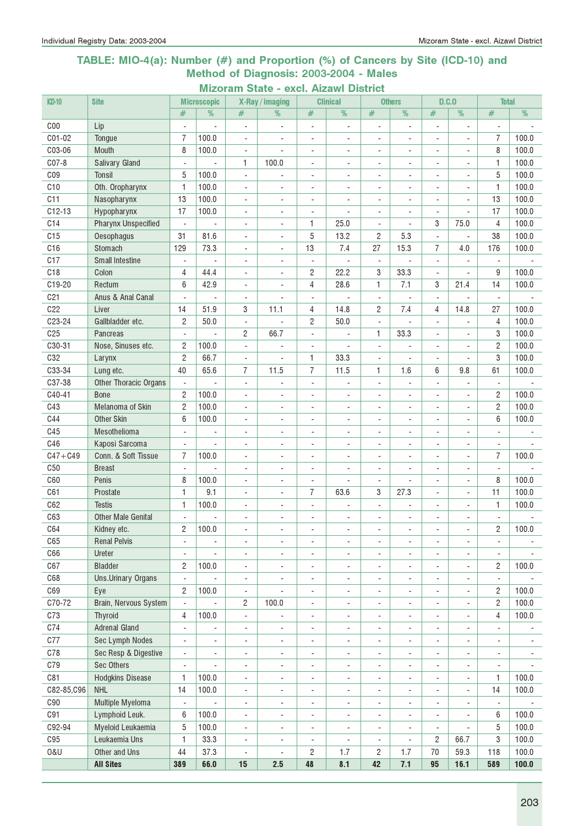#### TABLE: MIO-4(a): Number (#) and Proportion (%) of Cancers by Site (ICD-10) and Method of Diagnosis: 2003-2004 - Males

| Mizoram State - excl. Aizawl District |  |  |  |  |
|---------------------------------------|--|--|--|--|
|---------------------------------------|--|--|--|--|

| $CD-10$         | <b>Site</b>                  |                               | <b>Microscopic</b>                |                               | X-Ray / imaging                   |                          | <b>Clinical</b>          |                              | <b>Others</b>            |                                            | D.C.0                    | <b>Total</b>             |       |
|-----------------|------------------------------|-------------------------------|-----------------------------------|-------------------------------|-----------------------------------|--------------------------|--------------------------|------------------------------|--------------------------|--------------------------------------------|--------------------------|--------------------------|-------|
|                 |                              | #                             | %                                 | #                             | %                                 | #                        | %                        | $\#$                         | %                        | #                                          | %                        | $\#$                     | %     |
| CO <sub>0</sub> | Lip                          | $\overline{a}$                | $\overline{a}$                    | ÷,                            | $\overline{\phantom{a}}$          | $\overline{\phantom{a}}$ | $\blacksquare$           | ÷,                           | $\overline{a}$           | L.                                         | ÷.                       |                          |       |
| C01-02          | Tongue                       | 7                             | 100.0                             | $\overline{a}$                | ÷,                                | $\overline{\phantom{a}}$ | $\overline{\phantom{a}}$ | ٠                            | ÷,                       | ÷,                                         | $\frac{1}{2}$            | 7                        | 100.0 |
| C03-06          | Mouth                        | 8                             | 100.0                             | $\overline{\phantom{a}}$      | $\overline{\phantom{a}}$          | $\overline{\phantom{a}}$ | $\blacksquare$           | $\overline{\phantom{a}}$     | ÷,                       | $\overline{\phantom{a}}$                   | $\overline{\phantom{a}}$ | 8                        | 100.0 |
| $CO7-8$         | <b>Salivary Gland</b>        | $\blacksquare$                |                                   | 1                             | 100.0                             | $\overline{\phantom{a}}$ | $\overline{\phantom{a}}$ | $\overline{\phantom{0}}$     | $\blacksquare$           | $\blacksquare$                             | ٠                        | 1                        | 100.0 |
| C <sub>09</sub> | <b>Tonsil</b>                | 5                             | 100.0                             | $\blacksquare$                | $\overline{\phantom{a}}$          | $\overline{\phantom{a}}$ | $\overline{\phantom{a}}$ | $\overline{a}$               | $\blacksquare$           | $\blacksquare$                             | ٠                        | 5                        | 100.0 |
| C10             | Oth. Oropharynx              | 1                             | 100.0                             | ÷,                            | $\blacksquare$                    | $\blacksquare$           | $\sim$                   | ÷,                           | $\blacksquare$           |                                            |                          | 1                        | 100.0 |
| C11             | Nasopharynx                  | 13                            | 100.0                             | $\overline{a}$                | $\overline{\phantom{a}}$          | $\blacksquare$           | $\overline{\phantom{a}}$ | ٠                            | ÷,                       |                                            |                          | 13                       | 100.0 |
| $C12-13$        | Hypopharynx                  | 17                            | 100.0                             | $\overline{\phantom{a}}$      | $\overline{\phantom{a}}$          | $\overline{\phantom{a}}$ |                          | $\overline{\phantom{a}}$     | ÷,                       |                                            |                          | 17                       | 100.0 |
| C <sub>14</sub> | <b>Pharynx Unspecified</b>   | $\overline{\phantom{a}}$      |                                   | $\overline{\phantom{a}}$      | $\blacksquare$                    | 1                        | 25.0                     | ÷,                           |                          | 3                                          | 75.0                     | $\overline{4}$           | 100.0 |
| C15             | Oesophagus                   | 31                            | 81.6                              | $\overline{\phantom{a}}$      | $\overline{\phantom{a}}$          | 5                        | 13.2                     | 2                            | 5.3                      | $\blacksquare$                             |                          | 38                       | 100.0 |
| C16             | Stomach                      | 129                           | 73.3                              | $\overline{\phantom{a}}$      | $\overline{a}$                    | 13                       | 7.4                      | 27                           | 15.3                     | 7                                          | 4.0                      | 176                      | 100.0 |
| C17             | <b>Small Intestine</b>       | $\overline{\phantom{a}}$      | $\blacksquare$                    | ÷,                            | $\blacksquare$                    | $\overline{\phantom{a}}$ |                          | $\overline{\phantom{a}}$     | $\overline{a}$           | $\blacksquare$                             |                          | $\overline{a}$           |       |
| C18             | Colon                        | 4                             | 44.4                              | $\overline{a}$                | ä,                                | 2                        | 22.2                     | 3                            | 33.3                     |                                            |                          | 9                        | 100.0 |
| C19-20          | Rectum                       | 6                             | 42.9                              | ÷,                            | ä,                                | 4                        | 28.6                     | 1                            | 7.1                      | 3                                          | 21.4                     | 14                       | 100.0 |
| C <sub>21</sub> | Anus & Anal Canal            | ÷,                            | ÷,                                | $\overline{\phantom{a}}$      |                                   | $\blacksquare$           |                          | $\blacksquare$               | ÷,                       | $\overline{\phantom{a}}$                   | ÷,                       | $\overline{\phantom{a}}$ |       |
| C22             | Liver                        | 14                            | 51.9                              | 3                             | 11.1                              | 4                        | 14.8                     | 2                            | 7.4                      | 4                                          | 14.8                     | 27                       | 100.0 |
| C23-24          | Gallbladder etc.             | $\overline{2}$                | 50.0                              | $\blacksquare$                |                                   | $\mathbf{2}$             | 50.0                     | $\overline{\phantom{a}}$     | $\overline{a}$           | $\sim$                                     | ÷.                       | 4                        | 100.0 |
| C <sub>25</sub> | Pancreas                     | $\overline{\phantom{a}}$      | $\overline{a}$                    | $\overline{c}$                | 66.7                              | ÷,                       | $\sim$                   | 1                            | 33.3                     | $\blacksquare$                             | $\frac{1}{2}$            | 3                        | 100.0 |
| C30-31          | Nose, Sinuses etc.           | $\overline{c}$                | 100.0                             | $\blacksquare$                | $\overline{\phantom{a}}$          | $\overline{\phantom{a}}$ | $\overline{a}$           | $\blacksquare$               | ä,                       | $\blacksquare$                             |                          | $\overline{c}$           | 100.0 |
| C32             | Larynx                       | $\overline{c}$                | 66.7                              | $\blacksquare$                | ÷,                                | 1                        | 33.3                     | $\overline{\phantom{a}}$     | ÷,                       |                                            |                          | 3                        | 100.0 |
| C33-34          | Lung etc.                    | 40                            | 65.6                              | $\overline{7}$                | 11.5                              | 7                        | 11.5                     | 1                            | 1.6                      | 6                                          | 9.8                      | 61                       | 100.0 |
| C37-38          | <b>Other Thoracic Organs</b> | $\overline{\phantom{a}}$      |                                   | $\overline{\phantom{a}}$      | $\blacksquare$                    | $\overline{\phantom{a}}$ | $\overline{\phantom{a}}$ | $\blacksquare$               | ÷,                       | $\overline{\phantom{a}}$                   |                          | $\overline{\phantom{a}}$ |       |
| C40-41          | <b>Bone</b>                  | $\overline{c}$                | 100.0                             | $\overline{\phantom{a}}$      | $\overline{\phantom{a}}$          | $\overline{\phantom{a}}$ | $\overline{\phantom{a}}$ | $\overline{\phantom{a}}$     | ÷,                       | $\overline{\phantom{a}}$                   | $\overline{\phantom{a}}$ | $\overline{c}$           | 100.0 |
| C43             | Melanoma of Skin             | $\overline{2}$                | 100.0                             | $\overline{\phantom{a}}$      | $\blacksquare$                    | $\overline{\phantom{a}}$ | $\sim$                   | $\overline{\phantom{0}}$     | $\overline{\phantom{a}}$ | $\overline{\phantom{a}}$                   | $\overline{\phantom{a}}$ | $\overline{c}$           | 100.0 |
| C44             | Other Skin                   | 6                             | 100.0                             | $\overline{\phantom{a}}$      | $\blacksquare$                    | ÷,                       | $\sim$                   | ÷,                           | ÷,                       |                                            |                          | 6                        | 100.0 |
| C45             | Mesothelioma                 | $\blacksquare$                | ÷,                                | $\overline{\phantom{a}}$      | ÷,                                | ÷                        |                          | ÷,                           | $\overline{a}$           |                                            |                          | $\sim$                   |       |
| C46             | Kaposi Sarcoma               |                               | $\blacksquare$                    | $\overline{\phantom{a}}$      | $\blacksquare$                    | ÷,                       | $\sim$                   | ÷,                           | ÷,                       | ä,                                         | ÷.                       | $\overline{a}$           |       |
| $C47 + C49$     | Conn. & Soft Tissue          | 7                             | 100.0                             | $\overline{a}$                | $\blacksquare$                    | $\overline{\phantom{a}}$ | $\overline{\phantom{a}}$ | ÷,                           | ÷,                       | ÷                                          | $\frac{1}{2}$            | 7                        | 100.0 |
| C50             | <b>Breast</b>                | $\blacksquare$                |                                   | $\overline{\phantom{a}}$      | $\blacksquare$                    | ÷,                       | $\sim$                   | $\overline{a}$               | $\overline{a}$           |                                            | ٠                        | $\blacksquare$           |       |
| C60             | Penis                        | 8                             | 100.0                             | $\blacksquare$                | $\blacksquare$                    | $\overline{\phantom{a}}$ | $\blacksquare$           | $\blacksquare$               | $\blacksquare$           | $\blacksquare$                             | ÷.                       | 8                        | 100.0 |
| C61             | Prostate                     | 1                             | 9.1                               | $\blacksquare$                | $\blacksquare$                    | $\overline{7}$           | 63.6                     | 3                            | 27.3                     | $\mathbf{r}$                               | ÷.                       | 11                       | 100.0 |
| C62             | <b>Testis</b>                | $\mathbf{1}$                  | 100.0                             | ÷,                            | $\overline{\phantom{a}}$          | $\overline{\phantom{a}}$ | $\blacksquare$           | ä,                           | ä,                       |                                            | ÷                        | 1                        | 100.0 |
| C63             | <b>Other Male Genital</b>    |                               |                                   | $\overline{\phantom{a}}$      | $\blacksquare$                    | ÷,                       | $\overline{\phantom{a}}$ | ÷,                           | ÷,                       |                                            | ٠                        |                          |       |
| C64             | Kidney etc.                  | $\overline{c}$                | 100.0                             |                               | $\overline{\phantom{0}}$          | ÷,                       | $\overline{\phantom{a}}$ | $\overline{a}$               | ÷,                       |                                            | ÷,                       | $\overline{c}$           | 100.0 |
| C65             | <b>Renal Pelvis</b>          | $\overline{\phantom{a}}$      | $\overline{\phantom{a}}$          | $\overline{\phantom{a}}$      | $\overline{\phantom{a}}$          | ٠                        | $\overline{\phantom{a}}$ | $\overline{\phantom{a}}$     | $\overline{\phantom{a}}$ | $\overline{\phantom{a}}$                   | $\overline{\phantom{a}}$ | $\overline{\phantom{a}}$ |       |
| C66             | Ureter                       | $\overline{\phantom{a}}$      |                                   | $\overline{\phantom{a}}$      | $\overline{\phantom{a}}$          | $\overline{\phantom{a}}$ | $\overline{\phantom{a}}$ | $\qquad \qquad \blacksquare$ | $\overline{\phantom{a}}$ | ÷,                                         | $\blacksquare$           | $\overline{\phantom{a}}$ |       |
| C67             | <b>Bladder</b>               | 2                             | 100.0                             | $\overline{\phantom{a}}$      | $\overline{\phantom{a}}$          | ٠                        | $\overline{\phantom{a}}$ | ٠                            | ÷,                       | $\overline{a}$                             | $\overline{\phantom{a}}$ | $\overline{c}$           | 100.0 |
| C68             | <b>Uns.Urinary Organs</b>    | ÷.                            | ÷,                                | $\blacksquare$                | $\blacksquare$                    | $\overline{\phantom{a}}$ | ÷,                       | $\blacksquare$               | ÷,                       | ÷,                                         | $\overline{\phantom{0}}$ | $\blacksquare$           |       |
| C69             |                              |                               |                                   |                               |                                   |                          |                          |                              |                          |                                            |                          |                          | 100.0 |
| C70-72          | Eye<br>Brain, Nervous System | 2<br>$\overline{\phantom{a}}$ | 100.0<br>$\overline{\phantom{a}}$ | $\overline{\phantom{a}}$<br>2 | $\overline{\phantom{a}}$<br>100.0 | $\overline{\phantom{a}}$ | $\blacksquare$           | $\blacksquare$               | $\overline{a}$           | $\overline{\phantom{a}}$<br>$\blacksquare$ | ÷,<br>٠                  | 2<br>$\overline{c}$      | 100.0 |
| C73             |                              |                               |                                   |                               |                                   | $\overline{\phantom{a}}$ | $\overline{\phantom{a}}$ | $\overline{\phantom{0}}$     | $\overline{\phantom{a}}$ |                                            |                          |                          |       |
|                 | Thyroid                      | 4                             | 100.0                             | $\blacksquare$                | $\overline{\phantom{a}}$          | $\blacksquare$           | $\blacksquare$           | ÷,                           | $\blacksquare$           | $\overline{\phantom{a}}$                   | $\overline{\phantom{a}}$ | 4                        | 100.0 |
| C74             | <b>Adrenal Gland</b>         | $\Box$                        | ÷,                                | $\blacksquare$                | $\blacksquare$                    | $\overline{a}$           | $\overline{\phantom{a}}$ | $\overline{\phantom{a}}$     | $\blacksquare$           | ÷,                                         | $\overline{\phantom{0}}$ | $\blacksquare$           |       |
| C77             | <b>Sec Lymph Nodes</b>       | $\blacksquare$                | ٠                                 | $\overline{a}$                | $\overline{\phantom{a}}$          | $\overline{\phantom{m}}$ | $\overline{\phantom{a}}$ | $\overline{\phantom{a}}$     | $\blacksquare$           |                                            | ٠                        | $\overline{\phantom{a}}$ |       |
| C78             | Sec Resp & Digestive         | $\Box$                        | $\overline{\phantom{m}}$          | $\overline{\phantom{a}}$      | ۰                                 | $\overline{\phantom{m}}$ | $\overline{\phantom{a}}$ | $\overline{\phantom{a}}$     | $\blacksquare$           | $\blacksquare$                             | $\blacksquare$           | $\blacksquare$           | ۰     |
| C79             | Sec Others                   | $\overline{\phantom{a}}$      |                                   | $\overline{\phantom{a}}$      | $\overline{\phantom{a}}$          | $\blacksquare$           | $\overline{\phantom{a}}$ | $\overline{\phantom{a}}$     | $\blacksquare$           | $\overline{\phantom{a}}$                   | $\overline{\phantom{a}}$ | $\overline{\phantom{a}}$ |       |
| C81             | <b>Hodgkins Disease</b>      | 1                             | 100.0                             | $\overline{\phantom{a}}$      | $\overline{\phantom{a}}$          | ÷,                       | $\overline{\phantom{a}}$ | $\overline{\phantom{a}}$     | $\blacksquare$           | $\overline{\phantom{a}}$                   | $\overline{\phantom{a}}$ | 1                        | 100.0 |
| C82-85,C96      | <b>NHL</b>                   | 14                            | 100.0                             | $\overline{\phantom{a}}$      | ÷,                                | $\overline{\phantom{a}}$ | ÷,                       | $\overline{a}$               | $\overline{a}$           | ÷,                                         | ä,                       | 14                       | 100.0 |
| C90             | Multiple Myeloma             | $\blacksquare$                | $\blacksquare$                    | $\blacksquare$                | $\blacksquare$                    | $\overline{a}$           | $\overline{\phantom{a}}$ | $\blacksquare$               | ÷,                       | ÷,                                         | ÷.                       | $\overline{\phantom{a}}$ |       |
| C91             | Lymphoid Leuk.               | 6                             | 100.0                             | $\overline{\phantom{a}}$      | $\overline{\phantom{a}}$          | $\overline{\phantom{a}}$ | $\overline{\phantom{a}}$ | $\blacksquare$               | $\blacksquare$           | $\blacksquare$                             | $\overline{\phantom{a}}$ | 6                        | 100.0 |
| C92-94          | Myeloid Leukaemia            | 5                             | 100.0                             | $\blacksquare$                | $\overline{\phantom{a}}$          | $\overline{\phantom{a}}$ | $\overline{\phantom{a}}$ | $\frac{1}{2}$                | $\overline{\phantom{a}}$ | $\overline{\phantom{a}}$                   | $\overline{\phantom{a}}$ | 5                        | 100.0 |
| C95             | Leukaemia Uns                | 1                             | 33.3                              | $\blacksquare$                | $\blacksquare$                    | $\overline{\phantom{a}}$ | $\overline{a}$           | $\overline{\phantom{a}}$     | $\blacksquare$           | $\overline{c}$                             | 66.7                     | 3                        | 100.0 |
| 0&U             | Other and Uns                | 44                            | 37.3                              | $\overline{\phantom{a}}$      | $\overline{\phantom{a}}$          | 2                        | 1.7                      | 2                            | 1.7                      | 70                                         | 59.3                     | 118                      | 100.0 |
|                 | <b>All Sites</b>             | 389                           | 66.0                              | 15                            | 2.5                               | 48                       | 8.1                      | 42                           | 7.1                      | 95                                         | 16.1                     | 589                      | 100.0 |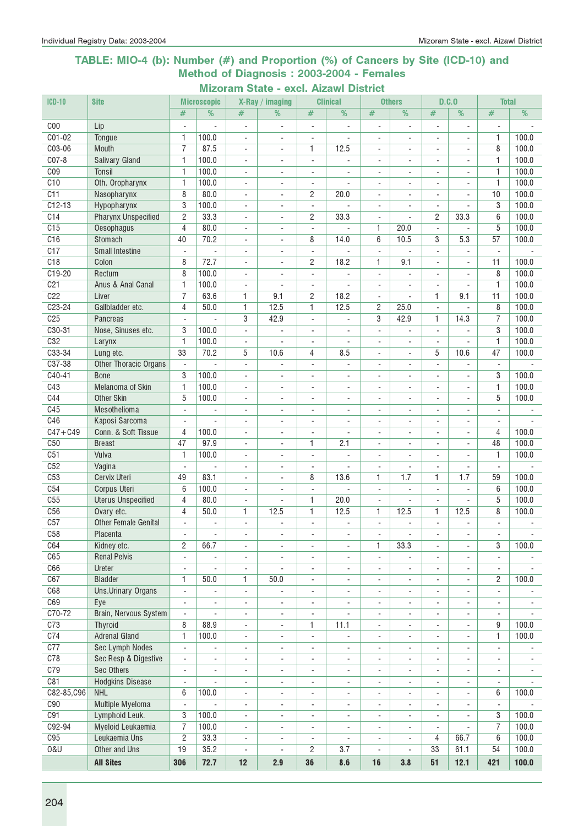#### TABLE: MIO-4 (b): Number (#) and Proportion (%) of Cancers by Site (ICD-10) and Method of Diagnosis : 2003-2004 - Females

Mizoram State - excl. Aizawl District<br>
sconic X-Ray / imaging Clinical 0 ICD-10 Site Microscopic X-Ray / imaging Clinical Others D.C.O Total # | % | # | % | # | % | # | % | # | % C00 Lip - - - - - - - - - - - - C01-02 | Tongue | 1 | 100.0 | - | - | - | - | - | - | - | - | 1 | 100.0 C03-06 | Mouth | 7 | 87.5 | - | - | 1 | 12.5 | - | - | - | - | - | 8 | 100.0 C07-8 Salivary Gland 1 100.0 - - - - - - - - 1 100.0 C09 | Tonsil | 1 | 100.0 | | - | - | - | - | - | - | 1 | 100.0 C10 Oth. Oropharynx 1 100.0 - - - - - - - - 1 100.0 C11 | Nasopharynx | 8 | 80.0 | - | - | 2 | 20.0 | - | - | - | - | 10 | 100.0 C12-13 | Hypopharynx | 3 | 100.0 | - | - | - | - | - | - | - | - | 3 | 100.0 C14 | Pharynx Unspecified | 2 | 33.3 | - | - | 2 | 33.3 | - | - | 2 | 33.3 | 6 | 100.0 C15 | Oesophagus | 4 | 80.0 | - | - | - | - | 1 | 20.0 | - | - | 5 | 100.0 C16 | Stomach | 40 | 70.2 | - | - | 8 | 14.0 | 6 | 10.5 | 3 | 5.3 | 57 | 100.0 C17 Small Intestine - - - - - - - - - - - - C18 | Colon | 8 | 72.7 | - | - | 2 | 18.2 | 1 | 9.1 | - | - | 11 | 100.0 C19-20 Rectum | 8 100.0 | - | - | - | - | - | - | 8 | 100.0 C21 Anus & Anal Canal 1 100.0 - - - - - - - - - 1 100.0 C22 | Liver | 7 | 63.6 | 1 | 9.1 | 2 | 18.2 | - | - | 1 | 9.1 | 11 | 100.0 C23-24 | Gallbladder etc. | 4 | 50.0 | 1 | 12.5 | 1 | 12.5 | 2 | 25.0 | - | - | 8 | 100.0 C25 | Pancreas | - | - | 3 | 42.9 | - | - | 3 | 42.9 | 1 | 14.3 | 7 | 100.0 C30-31 Nose, Sinuses etc. 3 100.0 - - - - - - - - - 3 100.0 C32 Larynx 1 100.0 - - - - - - - - 1 100.0 C33-34 | Lung etc. | 33 | 70.2 | 5 | 10.6 | 4 | 8.5 | - | - | 5 | 10.6 | 47 | 100.0 C37-38 Other Thoracic Organs - - - - - - - - - - - - C40-41 | Bone | 3 | 100.0 | - | - | - | - | - | - | - | 3 | 100.0 C43 Melanoma of Skin 1 100.0 - - - - - - - - 1 100.0 C44 Other Skin 5 100.0 - - - - - - - - 5 100.0 C45 Mesothelioma - - - - - - - - - - - - C46 Kaposi Sarcoma - - - - - - - - - - - - C47+C49 Conn. & Soft Tissue 4 100.0 - - - - - - - - - 4 100.0 C50 Breast 47 97.9 - - 1 2.1 - - - - 48 100.0 C51 | Vulva | 1 | 100.0 | - | - | - | - | - | - | - | 1 | 100.0 C52 Vagina - - - - - - - - - - - - C53 | Cervix Uteri | 49 | 83.1 | - | - | 8 | 13.6 | 1 | 1.7 | 1 | 1.7 | 59 | 100.0 C54 Corpus Uteri 6 100.0 - - - - - - - - 6 100.0 C55 Uterus Unspecified 4 80.0 - 1 20.0 - - - 5 100.0 C56 | Ovary etc. | 4 | 50.0 | 1 | 12.5 | 1 | | 12.5 | 1 | 12.5 | 8 | 100.0 C57 Other Female Genital C58 Placenta - - - - - - - - - - - - C64 | Kidney etc. | 2 | 66.7 | - | - - | - | - | - | - | - | - | 3 | 100.0 C65 Renal Pelvis - - - - - - - - - - - - C66 Ureter - - - - - - - - - - - - C67 | Bladder | 1 | 50.0 | 1 | 50.0 | - | - | - | - | - | 2 | 100.0 C68 Uns.Urinary Organs - - - - - - - - - - - - C69 Eye - - - - - - - - - - - - C70-72 Brain, Nervous System - - - - - - - - - - - - C73 | Thyroid | 8 | 88.9 | - | - | 1 | 11.1 | - | - | - | - | 9 | 100.0 C74 Adrenal Gland 1 100.0 - - - - - - - - 1 100.0 C77 Sec Lymph Nodes - - - - - - - - - - - - C78 Sec Resp & Digestive - - - - - - - - - - - - C79 Sec Others - - - - - - - - - - - - C81 Hodgkins Disease - - - - - - - - - - - - C82-85,C96 NHL 6 | 100.0 - - - - - - - - 6 | 100.0 C90 Multiple Myeloma - - - - - - - - - - - - C91 | Lymphoid Leuk. | 3 | 100.0 | - | - | - | - | - | - | - | - | - | 3 | 100.0 C92-94 Myeloid Leukaemia 7 100.0 - - - - - - - - 7 100.0 C95 | Leukaemia Uns | 2 | 33.3 | - | - | - | - | - | 4 | 66.7 | 6 | 100.0 O&U | Other and Uns | 19 | 35.2 | - | - | 2 | 3.7 | - | - | 33 | 61.1 | 54 | 100.0

All Sites | 306 | 72.7 | 12 | 2.9 | 36 | 8.6 | 16 | 3.8 | 51 | 12.1 | 421 | 100.0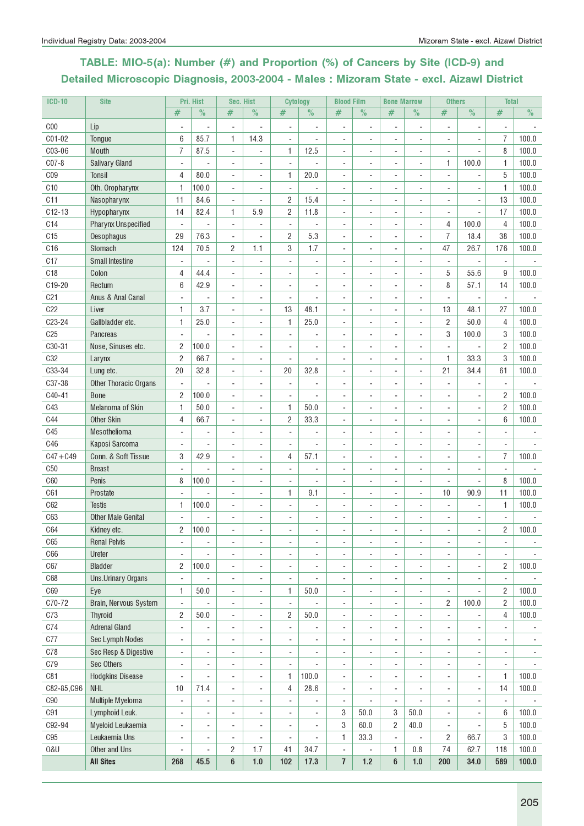# TABLE: MIO-5(a): Number (#) and Proportion (%) of Cancers by Site (ICD-9) and Detailed Microscopic Diagnosis, 2003-2004 - Males : Mizoram State - excl. Aizawl District

| <b>ICD-10</b>   | <b>Site</b>                  |                          | Pri. Hist      |                          | Sec. Hist                | <b>Cytology</b>          |                          | <b>Blood Film</b>            |                          | <b>Bone Marrow</b> |                          | <b>Others</b>            |                          | <b>Total</b>                     |                |
|-----------------|------------------------------|--------------------------|----------------|--------------------------|--------------------------|--------------------------|--------------------------|------------------------------|--------------------------|--------------------|--------------------------|--------------------------|--------------------------|----------------------------------|----------------|
|                 |                              | #                        | $\%$           | #                        | $\%$                     | #                        | $\%$                     | #                            | $\%$                     | $\#$               | $\%$                     | #                        | $\%$                     | #                                | $\%$           |
| C <sub>00</sub> | Lip                          |                          |                | ÷,                       |                          | ÷,                       |                          | ä,                           | ä,                       |                    | $\blacksquare$           |                          |                          |                                  |                |
| C01-02          | Tongue                       | 6                        | 85.7           | 1                        | 14.3                     | ÷,                       |                          | ÷,                           |                          | ÷,                 | $\overline{a}$           |                          | ÷,                       | 7                                | 100.0          |
| C03-06          | Mouth                        | 7                        | 87.5           | ÷,                       | $\sim$                   | 1                        | 12.5                     | $\overline{\phantom{a}}$     | ٠                        | ٠                  | $\blacksquare$           | $\overline{\phantom{a}}$ | $\overline{\phantom{a}}$ | 8                                | 100.0          |
| $C07-8$         | <b>Salivary Gland</b>        | ÷,                       |                | ٠                        | $\blacksquare$           | $\blacksquare$           |                          | $\overline{\phantom{a}}$     | ٠                        | ٠                  | $\blacksquare$           | 1                        | 100.0                    | 1                                | 100.0          |
| C <sub>09</sub> | <b>Tonsil</b>                | 4                        | 80.0           | ä,                       |                          | 1                        | 20.0                     | $\frac{1}{2}$                |                          |                    | ä,                       |                          | ÷,                       | 5                                | 100.0          |
| C10             | Oth. Oropharynx              | 1                        | 100.0          |                          |                          |                          |                          |                              |                          |                    |                          |                          |                          | $\mathbf{1}$                     | 100.0          |
| C11             | Nasopharynx                  | 11                       | 84.6           | ÷,                       |                          | 2                        | 15.4                     |                              |                          |                    |                          |                          |                          | 13                               | 100.0          |
| $C12-13$        | Hypopharynx                  | 14                       | 82.4           | 1                        | 5.9                      | 2                        | 11.8                     | $\overline{\phantom{a}}$     |                          |                    | $\overline{\phantom{a}}$ |                          |                          | 17                               | 100.0          |
| C14             | <b>Pharynx Unspecified</b>   | ÷,                       |                | ÷,                       | $\overline{\phantom{a}}$ | $\overline{\phantom{a}}$ |                          | $\overline{\phantom{a}}$     | ٠                        | ÷                  | $\overline{\phantom{a}}$ | 4                        | 100.0                    | 4                                | 100.0          |
| C15             | Oesophagus                   | 29                       | 76.3           | ÷,                       | $\blacksquare$           | 2                        | 5.3                      | ä,                           | $\overline{\phantom{a}}$ | ٠                  | $\blacksquare$           | $\overline{7}$           | 18.4                     | 38                               | 100.0          |
| C16             | Stomach                      | 124                      | 70.5           | $\overline{c}$           | 1.1                      | 3                        | 1.7                      | ÷                            |                          |                    | ÷.                       | 47                       | 26.7                     | 176                              | 100.0          |
| C17             | <b>Small Intestine</b>       | ÷,                       |                | ÷,                       |                          |                          |                          |                              |                          |                    |                          |                          | ÷,                       |                                  |                |
| C <sub>18</sub> | Colon                        | 4                        | 44.4           | ÷,                       |                          |                          |                          |                              |                          |                    |                          | 5                        | 55.6                     | 9                                | 100.0          |
| C19-20          | Rectum                       | 6                        | 42.9           | ÷,                       |                          |                          |                          |                              |                          |                    | ÷                        | 8                        | 57.1                     | 14                               | 100.0          |
| C <sub>21</sub> | Anus & Anal Canal            | ÷,                       | ÷,             | ÷,                       |                          | ÷,                       | ä,                       | ÷,                           |                          |                    | ÷,                       | ÷,                       | $\overline{\phantom{a}}$ | ÷,                               |                |
| C22             | Liver                        | 1                        | 3.7            | ä,                       | $\sim$                   | 13                       | 48.1                     | ä,                           |                          |                    | $\sim$                   | 13                       | 48.1                     | 27                               | 100.0          |
| C23-24          | Gallbladder etc.             | 1                        | 25.0           | ٠                        | $\blacksquare$           | 1                        | 25.0                     | ٠                            | ٠                        | ٠                  | $\blacksquare$           | $\overline{2}$           | 50.0                     | 4                                | 100.0          |
| C <sub>25</sub> | <b>Pancreas</b>              | $\overline{\phantom{a}}$ | L              | ä,                       |                          | ÷,                       |                          | $\overline{\phantom{a}}$     | L,                       |                    | ä,                       | 3                        | 100.0                    | 3                                | 100.0          |
| C30-31          | Nose, Sinuses etc.           | 2                        | 100.0          |                          |                          |                          |                          |                              |                          |                    |                          |                          | L.                       | $\overline{2}$                   | 100.0          |
| <b>C32</b>      |                              | 2                        | 66.7           |                          |                          |                          |                          |                              |                          |                    |                          | 1                        | 33.3                     | 3                                | 100.0          |
| C33-34          | Larynx                       | 20                       | 32.8           |                          |                          | 20                       | 32.8                     | ÷,                           |                          |                    | $\overline{\phantom{a}}$ | 21                       | 34.4                     | 61                               | 100.0          |
| C37-38          | Lung etc.                    |                          |                | $\overline{a}$           | $\overline{\phantom{a}}$ |                          |                          |                              |                          |                    |                          |                          |                          |                                  |                |
|                 | <b>Other Thoracic Organs</b> | $\overline{\phantom{a}}$ |                | $\overline{a}$           | $\overline{\phantom{a}}$ | $\overline{\phantom{a}}$ | $\overline{\phantom{a}}$ | $\overline{\phantom{a}}$     | ٠                        | ÷                  | $\overline{\phantom{a}}$ | $\overline{a}$           |                          | $\overline{a}$<br>$\overline{2}$ |                |
| C40-41          | <b>Bone</b>                  | $\overline{c}$           | 100.0          | ٠                        | $\blacksquare$           | $\sim$                   |                          | $\overline{\phantom{a}}$     | $\blacksquare$           | $\overline{a}$     | $\blacksquare$           |                          |                          | $\overline{2}$                   | 100.0          |
| C43             | Melanoma of Skin             | 1                        | 50.0           | $\overline{a}$           | $\overline{a}$           | 1                        | 50.0                     | ä,                           |                          |                    |                          |                          | ÷,                       | 6                                | 100.0          |
| <b>C44</b>      | <b>Other Skin</b>            | 4                        | 66.7           |                          |                          | 2                        | 33.3                     |                              |                          |                    |                          |                          |                          |                                  | 100.0          |
| C45             | Mesothelioma                 | ä,                       | ÷,             |                          |                          |                          |                          |                              |                          |                    |                          |                          |                          |                                  |                |
| C46             | Kaposi Sarcoma               | ä,                       | ÷,             |                          |                          |                          |                          |                              |                          |                    |                          |                          |                          |                                  |                |
| $C47 + C49$     | Conn. & Soft Tissue          | 3                        | 42.9           | ÷,                       |                          | 4                        | 57.1                     | ÷,                           |                          |                    |                          |                          | ÷,                       | $\overline{7}$                   | 100.0          |
| C50             | <b>Breast</b>                |                          |                | ä,                       |                          | ÷,                       |                          | ä,                           |                          | ä,                 | $\overline{\phantom{a}}$ | ÷,                       | ÷,                       |                                  |                |
| <b>C60</b>      | Penis                        | 8                        | 100.0          | ä,                       | $\blacksquare$           | ÷,                       | ÷,                       | ä,                           | ٠                        | ä,                 | $\sim$                   | $\overline{\phantom{a}}$ | $\overline{\phantom{a}}$ | 8                                | 100.0          |
| C61             | Prostate                     |                          |                | ä,                       |                          | 1                        | 9.1                      | ÷                            | ä,                       | ä,                 | $\sim$                   | 10                       | 90.9                     | 11                               | 100.0          |
| C62             | <b>Testis</b>                | 1                        | 100.0          |                          |                          |                          |                          |                              |                          |                    |                          |                          |                          | 1                                | 100.0          |
| C63             | <b>Other Male Genital</b>    |                          |                |                          |                          |                          |                          |                              |                          |                    |                          |                          |                          |                                  |                |
| C64             | Kidney etc.                  | 2                        | 100.0          |                          |                          |                          |                          |                              |                          |                    |                          |                          | ÷,                       | $\overline{2}$                   | 100.0          |
| C65             | <b>Renal Pelvis</b>          | $\overline{a}$           | ÷              | ÷                        |                          |                          |                          | $\qquad \qquad \blacksquare$ | ٠                        | ٠                  | $\overline{a}$           |                          |                          |                                  |                |
| C66             | Ureter                       | ÷.                       |                | ٠                        |                          |                          |                          | $\overline{a}$               | ٠                        | ٠                  | $\overline{\phantom{a}}$ |                          |                          |                                  |                |
| C67             | <b>Bladder</b>               | $\overline{c}$           | 100.0          | ٠                        |                          | $\overline{\phantom{a}}$ | $\overline{\phantom{a}}$ | ä,                           | ٠                        | ٠                  | $\blacksquare$           | $\blacksquare$           | ÷,                       | $\overline{2}$                   | 100.0          |
| C68             | Uns.Urinary Organs           | $\blacksquare$           |                | ÷,                       |                          | ÷,                       |                          | ÷,                           | -                        |                    | ÷,                       |                          |                          | $\overline{\phantom{a}}$         |                |
| C69             | Eye                          | 1                        | 50.0           | ä,                       |                          | 1                        | 50.0                     | ä,                           |                          | ä,                 | $\overline{\phantom{a}}$ | ÷,                       |                          | $\overline{2}$                   | 100.0          |
| C70-72          | Brain, Nervous System        | $\blacksquare$           |                | $\overline{a}$           | $\overline{\phantom{a}}$ | $\blacksquare$           | ÷,                       | ÷,                           | ٠                        | $\overline{a}$     | $\overline{\phantom{a}}$ | $\overline{c}$           | 100.0                    | $\overline{c}$                   | 100.0          |
| C73             | <b>Thyroid</b>               | 2                        | 50.0           | $\overline{a}$           | $\overline{\phantom{a}}$ | $\overline{\mathbf{2}}$  | 50.0                     | $\blacksquare$               | ÷                        | ÷,                 | $\overline{a}$           | $\blacksquare$           | $\overline{a}$           | 4                                | 100.0          |
| C74             | <b>Adrenal Gland</b>         | ÷,                       | ÷              | ÷,                       | $\overline{\phantom{a}}$ | $\overline{\phantom{a}}$ | ÷,                       | $\overline{\phantom{a}}$     | ÷,                       | ÷,                 | ÷,                       | $\overline{\phantom{a}}$ | ÷,                       | ÷,                               | $\sim$         |
| C77             | Sec Lymph Nodes              | ÷.                       | ÷.             | ÷,                       | $\mathbf{r}$             | $\overline{\phantom{a}}$ | ÷,                       | $\overline{\phantom{a}}$     | ä,                       | ä,                 | $\overline{\phantom{a}}$ | ٠                        | $\overline{\phantom{a}}$ | $\overline{\phantom{a}}$         | $\sim$         |
| C78             | Sec Resp & Digestive         | ÷,                       | ÷.             | ٠                        | ÷.                       | $\overline{\phantom{a}}$ | ÷                        | ä,                           | ÷                        | ä,                 | $\blacksquare$           | ÷.                       | $\blacksquare$           | ٠                                | $\blacksquare$ |
| <b>C79</b>      | Sec Others                   | ÷,                       |                |                          |                          | ÷,                       |                          | L.                           |                          |                    |                          |                          | $\blacksquare$           | $\blacksquare$                   |                |
| C81             | <b>Hodgkins Disease</b>      | ÷,                       |                | ÷,                       |                          | 1                        | 100.0                    |                              |                          |                    |                          |                          | ÷,                       | $\mathbf{1}$                     | 100.0          |
| C82-85, C96     | <b>NHL</b>                   | 10                       | 71.4           | ÷,                       | $\overline{\phantom{a}}$ | 4                        | 28.6                     | $\overline{\phantom{a}}$     | ÷                        | ٠                  | $\overline{\phantom{a}}$ | ÷,                       | $\overline{a}$           | 14                               | 100.0          |
| C90             | Multiple Myeloma             | $\overline{\phantom{a}}$ | ÷              | $\overline{\phantom{a}}$ | $\overline{\phantom{a}}$ | $\overline{\phantom{a}}$ |                          | $\overline{\phantom{a}}$     |                          |                    |                          | $\overline{\phantom{a}}$ |                          | $\overline{\phantom{a}}$         |                |
| C91             | Lymphoid Leuk.               | ÷,                       | ÷,             | ÷,                       | $\overline{\phantom{a}}$ | $\overline{\phantom{a}}$ | ÷,                       | 3                            | 50.0                     | 3                  | 50.0                     | ÷,                       | ÷,                       | 6                                | 100.0          |
| C92-94          | Myeloid Leukaemia            | ÷,                       | $\overline{a}$ | $\overline{a}$           | $\blacksquare$           | $\overline{a}$           | $\overline{\phantom{a}}$ | 3                            | 60.0                     | 2                  | 40.0                     | $\overline{\phantom{a}}$ | ÷,                       | 5                                | 100.0          |
| C95             | Leukaemia Uns                | ÷                        | ÷              | ÷,                       |                          | ÷,                       |                          | 1                            | 33.3                     | $\blacksquare$     | ÷,                       | $\overline{c}$           | 66.7                     | $\sqrt{3}$                       | 100.0          |
| 0&U             | Other and Uns                | ÷                        | ÷              | $\overline{c}$           | 1.7                      | 41                       | 34.7                     | ÷,                           |                          | 1                  | 0.8                      | 74                       | 62.7                     | 118                              | 100.0          |
|                 | <b>All Sites</b>             | 268                      | 45.5           | 6                        | 1.0                      | 102                      | 17.3                     | $\overline{1}$               | $1.2$                    | 6                  | 1.0                      | 200                      | 34.0                     | 589                              | 100.0          |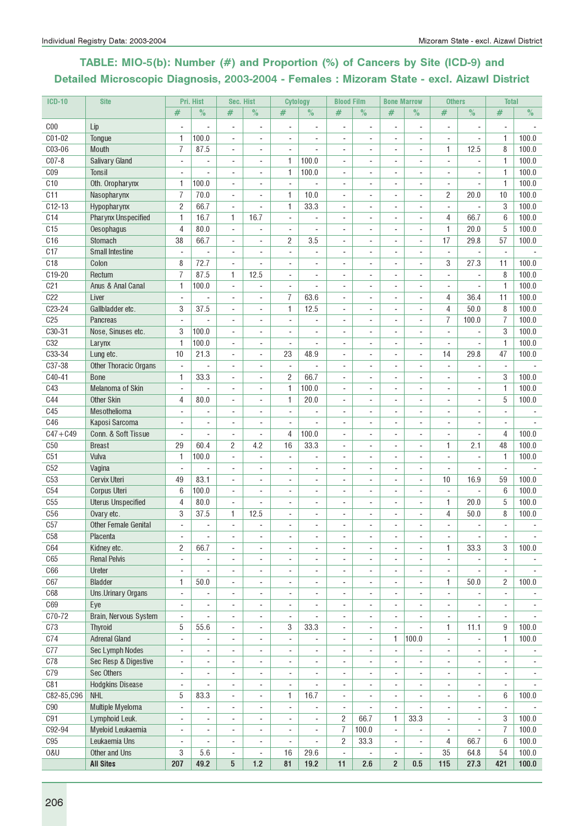# TABLE: MIO-5(b): Number (#) and Proportion (%) of Cancers by Site (ICD-9) and Detailed Microscopic Diagnosis, 2003-2004 - Females : Mizoram State - excl. Aizawl District

| <b>ICD-10</b>   | <b>Site</b>                 |                          | Pri. Hist                | Sec. Hist                |                              | <b>Cytology</b>          |                          | <b>Blood Film</b>        |                          | <b>Bone Marrow</b>       |                          | <b>Others</b>                |                              | <b>Total</b>             |       |
|-----------------|-----------------------------|--------------------------|--------------------------|--------------------------|------------------------------|--------------------------|--------------------------|--------------------------|--------------------------|--------------------------|--------------------------|------------------------------|------------------------------|--------------------------|-------|
|                 |                             | #                        | $\%$                     | #                        | $\%$                         | #                        | $\frac{1}{2}$            | #                        | $\%$                     | #                        | $\%$                     | #                            | $\%$                         | #                        | $\%$  |
| C <sub>00</sub> | Lip                         |                          |                          | $\overline{a}$           | $\overline{\phantom{a}}$     | $\overline{\phantom{a}}$ | ÷,                       | ÷,                       | $\overline{\phantom{a}}$ | $\overline{a}$           | $\overline{\phantom{a}}$ | $\overline{\phantom{a}}$     | ÷,                           | $\blacksquare$           |       |
| C01-02          | Tongue                      | 1                        | 100.0                    | $\overline{a}$           | $\overline{\phantom{a}}$     |                          |                          | $\blacksquare$           |                          | ٠                        | $\overline{a}$           | $\overline{\phantom{a}}$     | ÷,                           | 1                        | 100.0 |
| C03-06          | <b>Mouth</b>                | $\overline{7}$           | 87.5                     | ÷,                       | $\overline{\phantom{a}}$     |                          |                          | ÷.                       |                          |                          | ÷,                       | 1                            | 12.5                         | 8                        | 100.0 |
| $C07-8$         | <b>Salivary Gland</b>       |                          |                          | ÷,                       | ä,                           | $\mathbf{1}$             | 100.0                    |                          |                          |                          | $\overline{\phantom{a}}$ | ÷,                           |                              | $\mathbf{1}$             | 100.0 |
| C <sub>09</sub> | Tonsil                      | $\sim$                   |                          | ÷,                       | ÷,                           | $\mathbf{1}$             | 100.0                    | ä,                       |                          |                          | $\overline{a}$           | $\sim$                       |                              | 1                        | 100.0 |
| C10             | Oth. Oropharynx             | 1                        | 100.0                    | ÷,                       | ÷.                           | $\overline{a}$           |                          | ÷.                       | $\overline{a}$           | $\overline{a}$           | $\blacksquare$           | $\sim$                       | ä,                           | $\mathbf{1}$             | 100.0 |
| C11             | Nasopharynx                 | $\overline{1}$           | 70.0                     | ÷,                       | $\overline{\phantom{a}}$     | $\mathbf{1}$             | 10.0                     | L.                       |                          |                          | ÷,                       | 2                            | 20.0                         | 10                       | 100.0 |
| $C12-13$        | Hypopharynx                 | $\overline{c}$           | 66.7                     | ÷,                       | $\overline{\phantom{a}}$     | $\mathbf{1}$             | 33.3                     | ÷,                       |                          |                          | $\overline{\phantom{a}}$ | $\blacksquare$               | ÷,                           | 3                        | 100.0 |
| C <sub>14</sub> | <b>Pharynx Unspecified</b>  | 1                        | 16.7                     | 1                        | 16.7                         | $\overline{\phantom{a}}$ |                          |                          |                          |                          | $\overline{a}$           | 4                            | 66.7                         | 6                        | 100.0 |
| C <sub>15</sub> | Oesophagus                  | $\overline{4}$           | 80.0                     | $\overline{a}$           | $\blacksquare$               |                          |                          |                          |                          |                          | $\overline{a}$           | 1                            | 20.0                         | 5                        | 100.0 |
| C16             | Stomach                     | 38                       | 66.7                     | ÷,                       | $\blacksquare$               | $\overline{c}$           | 3.5                      | ÷.                       |                          |                          | $\blacksquare$           | 17                           | 29.8                         | 57                       | 100.0 |
| C17             | <b>Small Intestine</b>      | $\blacksquare$           | $\sim$                   | ÷,                       | ÷,                           | ÷,                       | ä,                       | ä,                       | ÷                        |                          | ÷,                       | $\mathbf{r}$                 | ÷,                           | $\overline{\phantom{a}}$ |       |
| C18             | Colon                       | 8                        | 72.7                     | ÷,                       | ä,                           | $\overline{\phantom{a}}$ | ä,                       |                          |                          |                          | $\overline{\phantom{a}}$ | 3                            | 27.3                         | 11                       | 100.0 |
| C19-20          | Rectum                      | $\overline{1}$           | 87.5                     | 1                        | 12.5                         | $\blacksquare$           | ä,                       | $\blacksquare$           |                          | $\blacksquare$           | $\overline{a}$           | $\blacksquare$               | ÷,                           | 8                        | 100.0 |
| C <sub>21</sub> | Anus & Anal Canal           | 1                        | 100.0                    | $\blacksquare$           | ÷,                           | $\overline{\phantom{a}}$ | L,                       | $\sim$                   | $\sim$                   | $\blacksquare$           | $\overline{\phantom{a}}$ | $\blacksquare$               | $\overline{a}$               | 1                        | 100.0 |
| C <sub>22</sub> | Liver                       | $\blacksquare$           | ÷,                       | ÷,                       | ä,                           | $\overline{7}$           | 63.6                     | ÷,                       |                          |                          | $\overline{\phantom{a}}$ | 4                            | 36.4                         | 11                       | 100.0 |
| C23-24          | Gallbladder etc.            | 3                        | 37.5                     | $\overline{a}$           | $\overline{a}$               | $\mathbf{1}$             | 12.5                     | $\blacksquare$           |                          |                          | $\overline{a}$           | 4                            | 50.0                         | 8                        | 100.0 |
| C <sub>25</sub> | <b>Pancreas</b>             | ÷,                       |                          | $\overline{a}$           | ÷                            | ÷,                       |                          |                          |                          |                          | $\overline{a}$           | $\overline{7}$               | 100.0                        | 7                        | 100.0 |
| C30-31          | Nose. Sinuses etc.          | 3                        | 100.0                    | ÷,                       | ä,                           |                          |                          |                          |                          |                          | $\overline{\phantom{a}}$ | ÷,                           |                              | 3                        | 100.0 |
| <b>C32</b>      | Larynx                      | $\mathbf{1}$             | 100.0                    | ÷,                       | ä,                           | ÷,                       |                          |                          |                          |                          |                          |                              |                              | $\mathbf{1}$             | 100.0 |
| C33-34          | Lung etc.                   | 10                       | 21.3                     | ÷,                       | $\overline{\phantom{a}}$     | 23                       | 48.9                     | ÷.                       | ÷.                       | ÷                        | $\overline{\phantom{a}}$ | 14                           | 29.8                         | 47                       | 100.0 |
| C37-38          | Other Thoracic Organs       | $\overline{\phantom{a}}$ | ÷.                       | ÷,                       | ä,                           | L.                       |                          | L.                       |                          |                          | ä,                       | $\mathbf{r}$                 | L.                           | $\sim$                   |       |
| C40-41          | <b>Bone</b>                 | 1                        | 33.3                     | ÷,                       | $\overline{\phantom{a}}$     | $\overline{c}$           | 66.7                     | ä,                       |                          |                          | $\overline{\phantom{a}}$ | $\overline{\phantom{a}}$     | ÷,                           | 3                        | 100.0 |
| C43             | Melanoma of Skin            | $\overline{\phantom{a}}$ |                          | $\overline{a}$           | $\overline{\phantom{a}}$     | $\mathbf{1}$             | 100.0                    | ÷,                       |                          |                          | $\overline{a}$           | $\overline{\phantom{a}}$     |                              | 1                        | 100.0 |
| C44             | <b>Other Skin</b>           | 4                        | 80.0                     | ÷,                       | $\sim$                       | $\mathbf{1}$             | 20.0                     | ä,                       |                          |                          | $\overline{\phantom{a}}$ | $\overline{\phantom{a}}$     | ÷                            | 5                        | 100.0 |
| C45             | Mesothelioma                | $\overline{\phantom{a}}$ |                          | ÷,                       | ÷,                           | $\overline{a}$           |                          | ÷.                       |                          |                          | ÷,                       | ÷.                           |                              |                          |       |
| <b>C46</b>      | Kaposi Sarcoma              | $\blacksquare$           | ÷.                       | ÷,                       | $\blacksquare$               | ÷,                       | L.                       | ä,                       |                          |                          | ÷,                       | L.                           |                              | $\blacksquare$           |       |
| $C47 + C49$     | Conn. & Soft Tissue         | $\overline{\phantom{a}}$ | $\sim$                   | ÷,                       | ÷,                           | 4                        | 100.0                    | $\overline{\phantom{a}}$ |                          |                          | $\overline{a}$           | $\overline{\phantom{a}}$     | ÷,                           | 4                        | 100.0 |
| C50             | <b>Breast</b>               | 29                       | 60.4                     | $\overline{2}$           | 4.2                          | 16                       | 33.3                     | $\blacksquare$           | $\blacksquare$           | $\blacksquare$           | $\overline{\phantom{a}}$ | 1                            | 2.1                          | 48                       | 100.0 |
| C51             | Vulva                       | $\mathbf{1}$             | 100.0                    | ÷,                       | $\blacksquare$               | $\blacksquare$           | L,                       | $\blacksquare$           | ×.                       | $\sim$                   | $\blacksquare$           | $\blacksquare$               | ÷,                           | $\mathbf{1}$             | 100.0 |
| C52             | Vagina                      | $\overline{\phantom{a}}$ | $\blacksquare$           | ÷,                       | ä,                           | $\overline{\phantom{a}}$ | ÷.                       | ÷.                       |                          |                          | $\overline{\phantom{a}}$ | $\overline{a}$               | ä,                           | $\blacksquare$           |       |
| C53             | <b>Cervix Uteri</b>         | 49                       | 83.1                     | $\overline{a}$           | $\overline{a}$               | $\overline{a}$           | ÷,                       |                          |                          |                          | $\overline{\phantom{a}}$ | 10                           | 16.9                         | 59                       | 100.0 |
| C54             | <b>Corpus Uteri</b>         | $6\phantom{1}6$          | 100.0                    | $\overline{a}$           | ÷                            |                          |                          |                          |                          |                          | $\overline{\phantom{a}}$ | $\overline{\phantom{a}}$     |                              | 6                        | 100.0 |
| C55             | <b>Uterus Unspecified</b>   | $\overline{4}$           | 80.0                     | ÷,                       | L,                           |                          |                          |                          |                          |                          | $\overline{\phantom{a}}$ | 1                            | 20.0                         | 5                        | 100.0 |
| C56             | Ovary etc.                  | 3                        | 37.5                     | $\mathbf{1}$             | 12.5                         |                          |                          |                          |                          |                          | $\overline{\phantom{a}}$ | $\overline{4}$               | 50.0                         | 8                        | 100.0 |
| C57             | <b>Other Female Genital</b> | ÷.                       | ÷.                       | $\blacksquare$           | ÷                            |                          |                          |                          |                          |                          | $\blacksquare$           | $\blacksquare$               | ÷                            | $\blacksquare$           |       |
| C58             | Placenta                    | $\overline{\phantom{a}}$ | $\overline{\phantom{m}}$ | $\overline{\phantom{a}}$ | $\overline{\phantom{a}}$     |                          |                          |                          |                          |                          | $\overline{\phantom{a}}$ | ٠                            | ٠                            | $\overline{\phantom{a}}$ |       |
| C64             | Kidney etc.                 | $\overline{c}$           | 66.7                     | ÷,                       | ÷,                           | $\blacksquare$           |                          | $\overline{\phantom{a}}$ | $\sim$                   | $\sim$                   | $\overline{\phantom{a}}$ | $\mathbf{1}$                 | 33.3                         | 3                        | 100.0 |
| C65             | <b>Renal Pelvis</b>         | $\overline{\phantom{a}}$ |                          | $\overline{a}$           | ÷,                           | $\overline{\phantom{a}}$ |                          |                          |                          |                          | ÷,                       | $\overline{\phantom{a}}$     |                              | $\overline{\phantom{a}}$ |       |
| C66             | Ureter                      | ÷,                       |                          | $\overline{a}$           | ÷,                           | $\overline{a}$           |                          |                          |                          |                          |                          | $\blacksquare$               |                              |                          |       |
| C67             | <b>Bladder</b>              | 1                        | 50.0                     | ÷,                       | $\omega$                     | ÷,                       | ä,                       | ÷,                       | $\blacksquare$           | $\sim$                   | ÷,                       | 1                            | 50.0                         | 2                        | 100.0 |
| <b>C68</b>      | <b>Uns.Urinary Organs</b>   | $\blacksquare$           |                          | ÷,                       | ÷,                           |                          |                          |                          |                          |                          |                          | ÷,                           |                              | $\overline{\phantom{a}}$ |       |
| C69             | Eye                         | $\overline{\phantom{a}}$ | ÷,                       | $\overline{a}$           | $\overline{a}$               | $\overline{\phantom{a}}$ | ÷,                       | ÷,                       | ٠                        |                          | $\overline{a}$           | $\overline{\phantom{a}}$     |                              | $\overline{\phantom{a}}$ |       |
| C70-72          | Brain, Nervous System       | $\overline{\phantom{a}}$ | $\sim$                   | $\overline{a}$           | $\overline{\phantom{a}}$     | $\overline{\phantom{a}}$ |                          | $\overline{\phantom{a}}$ | $\sim$                   | $\sim$                   | $\overline{a}$           | $\overline{\phantom{a}}$     | $\overline{a}$               | $\blacksquare$           |       |
| C <sub>73</sub> | Thyroid                     | 5                        | 55.6                     | ÷,                       | $\blacksquare$               | 3                        | 33.3                     | $\blacksquare$           | $\blacksquare$           | $\blacksquare$           | $\blacksquare$           | 1                            | 11.1                         | 9                        | 100.0 |
| C74             | <b>Adrenal Gland</b>        | ÷,                       | ÷.                       | ÷,                       | ÷,                           | ÷,                       | L.                       | ä,                       | ä,                       | 1                        | 100.0                    | $\overline{\phantom{a}}$     | $\overline{a}$               | 1                        | 100.0 |
| C77             | Sec Lymph Nodes             | $\overline{a}$           | $\overline{\phantom{a}}$ | $\overline{a}$           | $\qquad \qquad \blacksquare$ | $\overline{\phantom{a}}$ | $\overline{\phantom{0}}$ | $\overline{a}$           | ٠                        | $\overline{\phantom{a}}$ |                          | $\qquad \qquad \blacksquare$ | $\qquad \qquad \blacksquare$ | $\overline{\phantom{a}}$ |       |
| C78             | Sec Resp & Digestive        | $\overline{a}$           |                          | $\overline{a}$           | $\qquad \qquad \blacksquare$ | $\overline{\phantom{a}}$ |                          |                          |                          | -                        | $\overline{a}$           | $\qquad \qquad \blacksquare$ | $\qquad \qquad \blacksquare$ | ۰                        |       |
| C79             | Sec Others                  | ÷,                       |                          | ÷,                       | ÷,                           | ÷,                       |                          |                          |                          |                          | $\overline{\phantom{a}}$ | $\overline{a}$               | ä,                           | ÷,                       |       |
| C81             | <b>Hodgkins Disease</b>     | $\blacksquare$           |                          | ÷,                       | ÷,                           | ÷,                       |                          | ÷,                       | ä,                       |                          | $\overline{\phantom{a}}$ | $\overline{a}$               |                              | $\blacksquare$           |       |
| C82-85, C96     | <b>NHL</b>                  | 5                        | 83.3                     | $\overline{a}$           | ÷,                           | 1                        | 16.7                     | ä,                       |                          | $\sim$                   |                          | $\overline{a}$               |                              | 6                        | 100.0 |
| C90             | Multiple Myeloma            | $\overline{\phantom{a}}$ | $\overline{\phantom{a}}$ | $\overline{\phantom{a}}$ | $\overline{a}$               | $\overline{\phantom{a}}$ | ÷,                       | $\overline{\phantom{a}}$ |                          | $\overline{\phantom{a}}$ |                          | $\overline{\phantom{a}}$     |                              | $\overline{\phantom{a}}$ |       |
| C91             | Lymphoid Leuk.              | $\overline{\phantom{a}}$ |                          | $\overline{\phantom{a}}$ | $\overline{a}$               | $\overline{\phantom{a}}$ |                          | $\overline{c}$           | 66.7                     | 1                        | 33.3                     | $\blacksquare$               | ÷.                           | 3                        | 100.0 |
| C92-94          | Myeloid Leukaemia           | $\blacksquare$           | $\sim$                   | ÷,                       | ä,                           | $\blacksquare$           |                          | $\overline{7}$           | 100.0                    | $\overline{\phantom{a}}$ |                          | $\sim$                       |                              | $\overline{I}$           | 100.0 |
| C95             | Leukaemia Uns               | ÷,                       |                          | $\overline{a}$           | $\overline{a}$               | $\overline{\phantom{a}}$ |                          | $\overline{c}$           | 33.3                     | $\overline{\phantom{a}}$ |                          | 4                            | 66.7                         | 6                        | 100.0 |
| <b>U&amp;0</b>  | Other and Uns               | 3                        | 5.6                      | $\overline{a}$           | $\overline{a}$               | 16                       | 29.6                     | $\overline{\phantom{a}}$ |                          | $\blacksquare$           | ÷,                       | 35                           | 64.8                         | 54                       | 100.0 |
|                 | <b>All Sites</b>            | 207                      | 49.2                     | $5\phantom{.0}$          | $1.2$                        | 81                       | 19.2                     | 11                       | 2.6                      | $\overline{2}$           | 0.5                      | 115                          | 27.3                         | 421                      | 100.0 |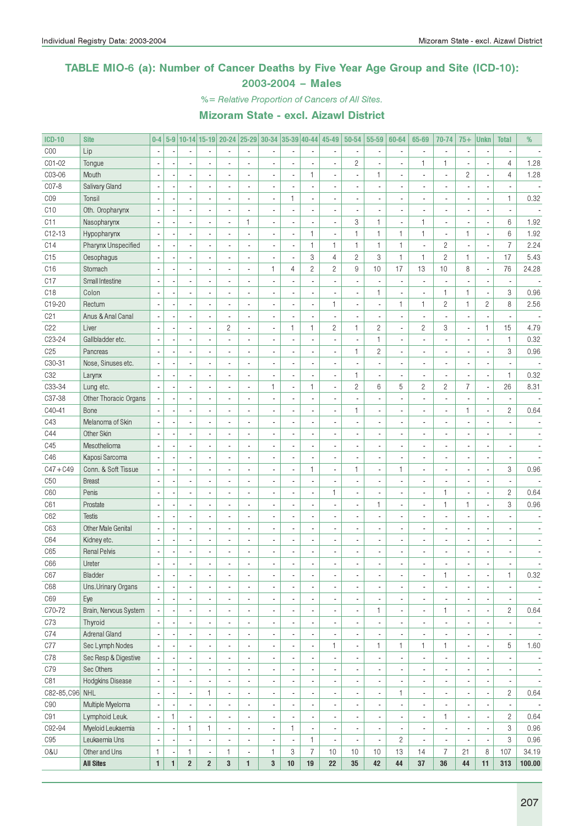#### TABLE MIO-6 (a): Number of Cancer Deaths by Five Year Age Group and Site (ICD-10): 2003-2004 – Males

%= Relative Proportion of Cancers of All Sites.

| <b>ICD-10</b>   | <b>Site</b>               | $0-4$                    |              |                          |                          | 5-9 10-14 15-19 20-24 25-29 30-34 35-39 40-44 45-49 |                          |                          |              |                          |                              | $50 - 54$                | 55-59                    | 60-64          | 65-69                    | 70-74                    | $75+$          | <b>Unkn</b>    | <b>Total</b>             | %                        |
|-----------------|---------------------------|--------------------------|--------------|--------------------------|--------------------------|-----------------------------------------------------|--------------------------|--------------------------|--------------|--------------------------|------------------------------|--------------------------|--------------------------|----------------|--------------------------|--------------------------|----------------|----------------|--------------------------|--------------------------|
| COO             | Lip                       |                          |              |                          |                          |                                                     |                          |                          |              |                          |                              |                          | $\blacksquare$           |                |                          | $\overline{a}$           |                |                |                          |                          |
| CO1-02          | Tongue                    |                          |              |                          |                          |                                                     |                          |                          |              |                          |                              | $\mathbf{2}$             | ÷,                       |                | 1                        | $\mathbf{1}$             |                |                | $\overline{4}$           | 1.28                     |
| C03-06          | Mouth                     |                          |              |                          |                          |                                                     |                          |                          |              | $\mathbf{1}$             |                              |                          | 1                        |                |                          | ÷,                       | $\overline{c}$ | Ĩ.             | $\overline{4}$           | 1.28                     |
| C07-8           | Salivary Gland            |                          |              |                          |                          |                                                     |                          |                          |              | Ĭ.                       |                              |                          | $\blacksquare$           |                |                          | $\overline{a}$           |                |                |                          |                          |
| CO <sub>9</sub> | Tonsil                    |                          |              |                          |                          |                                                     |                          | $\overline{\phantom{a}}$ | 1            | $\blacksquare$           |                              |                          | ä,                       |                |                          | ä,                       |                | Ĩ.             | $\mathbf{1}$             | 0.32                     |
| C10             | Oth. Oropharynx           |                          |              |                          |                          |                                                     |                          |                          |              | Ĭ.                       |                              |                          | $\overline{a}$           |                |                          | ä,                       |                |                |                          |                          |
| C11             | Nasopharynx               |                          |              |                          |                          |                                                     | $\mathbf{1}$             | Ĭ.                       |              | Ĭ.                       |                              | 3                        | $\mathbf{1}$             |                | 1                        | $\overline{a}$           |                | Ĩ.             | 6                        | 1.92                     |
| $C12-13$        | Hypopharynx               |                          |              |                          |                          |                                                     |                          |                          |              | $\mathbf{1}$             |                              | $\mathbf{1}$             | $\mathbf{1}$             | $\mathbf{1}$   | 1                        | ÷,                       | $\mathbf{1}$   | ÷,             | 6                        | 1.92                     |
| C14             | Pharynx Unspecified       |                          |              |                          |                          |                                                     |                          |                          |              | $\mathbf{1}$             | $\mathbf{1}$                 | 1                        | $\mathbf{1}$             | 1              | ä,                       | $\mathbf{2}$             |                | Ĩ.             | $\overline{7}$           | 2.24                     |
| C15             | Oesophagus                |                          |              |                          |                          |                                                     |                          |                          |              | 3                        | $\overline{4}$               | $\overline{c}$           | 3                        | $\mathbf{1}$   | $\mathbf{1}$             | $\sqrt{2}$               | $\mathbf{1}$   | ÷,             | 17                       | 5.43                     |
| C16             | Stomach                   |                          |              |                          |                          |                                                     |                          | $\mathbf{1}$             | 4            | $\sqrt{2}$               | $\overline{c}$               | 9                        | 10                       | 17             | 13                       | 10                       | 8              | Ĭ.             | 76                       | 24.28                    |
| C17             | Small Intestine           |                          |              |                          |                          |                                                     |                          |                          |              | ÷,                       |                              |                          | ÷,                       |                | $\overline{a}$           |                          |                | Ĩ.             |                          |                          |
| C18             | Colon                     |                          |              |                          |                          |                                                     |                          |                          |              | $\blacksquare$           |                              |                          | $\mathbf{1}$             |                |                          | $\mathbf{1}$             | $\mathbf{1}$   | Ĭ.             | 3                        | 0.96                     |
| C19-20          |                           |                          |              | ä,                       |                          |                                                     |                          |                          |              |                          | $\mathbf{1}$                 |                          | $\overline{\phantom{a}}$ | $\mathbf{1}$   | $\mathbf{1}$             | $\overline{c}$           | $\mathbf{1}$   |                | 8                        | 2.56                     |
|                 | Rectum                    |                          |              |                          |                          |                                                     |                          |                          |              | $\blacksquare$           |                              |                          |                          |                |                          |                          |                | $\overline{c}$ |                          |                          |
| C <sub>21</sub> | Anus & Anal Canal         |                          |              | $\blacksquare$           |                          |                                                     |                          | ÷,                       |              | $\overline{\phantom{a}}$ |                              |                          | $\blacksquare$           |                |                          | ÷,                       |                |                |                          |                          |
| C22             | Liver                     |                          |              | ÷,                       |                          | $\mathbf{2}$                                        |                          | $\blacksquare$           | $\mathbf{1}$ | $\mathbf{1}$             | $\overline{c}$               | $\mathbf{1}$             | $\sqrt{2}$               |                | $\overline{c}$           | 3                        |                | $\mathbf{1}$   | 15                       | 4.79                     |
| C23-24          | Gallbladder etc.          |                          |              | $\blacksquare$           |                          |                                                     |                          |                          |              | $\overline{\phantom{a}}$ |                              |                          | $\mathbf{1}$             |                |                          | Ĭ.                       |                | ł,             | $\mathbf{1}$             | 0.32                     |
| C <sub>25</sub> | Pancreas                  |                          |              | ä,                       |                          |                                                     |                          |                          |              | $\overline{\phantom{a}}$ |                              | $\mathbf{1}$             | $\sqrt{2}$               |                |                          | ÷,                       |                | Ĩ.             | 3                        | 0.96                     |
| C30-31          | Nose, Sinuses etc.        |                          |              | ä,                       |                          |                                                     |                          |                          |              | $\overline{\phantom{a}}$ |                              |                          | $\blacksquare$           |                |                          | ÷,                       |                |                |                          |                          |
| C <sub>32</sub> | Larynx                    |                          |              |                          |                          |                                                     |                          |                          |              | $\overline{\phantom{a}}$ |                              | $\mathbf{1}$             | $\blacksquare$           |                |                          | ÷,                       |                | Ĭ.             | $\mathbf{1}$             | 0.32                     |
| C33-34          | Lung etc.                 |                          |              |                          |                          |                                                     |                          | $\mathbf{1}$             | ä,           | $\mathbf{1}$             |                              | $\mathbf{2}$             | 6                        | 5              | $\overline{c}$           | $\mathbf{2}$             | $\overline{7}$ | ÷,             | 26                       | 8.31                     |
| C37-38          | Other Thoracic Organs     |                          |              |                          |                          |                                                     |                          |                          |              | Ĭ.                       |                              |                          | ÷,                       |                |                          | ä,                       |                | Ĩ.             |                          |                          |
| C40-41          | Bone                      |                          |              |                          |                          |                                                     |                          |                          |              | Ĭ.                       |                              | 1                        | $\blacksquare$           |                |                          | ä,                       | $\mathbf{1}$   | Ĭ.             | $\sqrt{2}$               | 0.64                     |
| C43             | Melanoma of Skin          |                          |              |                          |                          |                                                     |                          |                          |              | $\blacksquare$           |                              |                          | $\overline{a}$           |                |                          | ä,                       |                |                |                          |                          |
| C44             | Other Skin                |                          |              |                          |                          |                                                     |                          |                          |              | Ĭ.                       |                              |                          | $\blacksquare$           |                |                          | ä,                       |                |                |                          |                          |
| C45             | Mesothelioma              |                          |              |                          |                          |                                                     |                          |                          |              | Ĭ.                       |                              |                          | $\blacksquare$           |                |                          | ä,                       |                |                |                          |                          |
| C46             | Kaposi Sarcoma            |                          |              |                          |                          |                                                     |                          |                          |              | Ĭ.                       |                              |                          | $\blacksquare$           |                |                          | ä,                       |                | ÷,             |                          |                          |
| $C47 + C49$     | Conn. & Soft Tissue       |                          |              |                          |                          |                                                     |                          |                          |              | $\mathbf{1}$             |                              | $\mathbf{1}$             | $\overline{\phantom{a}}$ | $\mathbf{1}$   |                          | ä,                       |                | Ĩ.             | 3                        | 0.96                     |
| C50             | <b>Breast</b>             |                          |              |                          |                          |                                                     |                          |                          |              | Ĭ.                       |                              |                          | $\blacksquare$           |                |                          | ä,                       |                |                |                          |                          |
| C60             | Penis                     |                          |              |                          |                          |                                                     |                          |                          |              | $\blacksquare$           | 1                            |                          | $\blacksquare$           |                |                          | $\mathbf{1}$             |                | Ĭ.             | $\sqrt{2}$               | 0.64                     |
| C61             | Prostate                  |                          |              |                          |                          |                                                     |                          |                          |              | Ĭ.                       |                              |                          | $\mathbf{1}$             |                |                          | $\mathbf{1}$             | $\mathbf{1}$   | ł,             | 3                        | 0.96                     |
| C62             | <b>Testis</b>             |                          |              |                          |                          |                                                     |                          |                          |              | $\blacksquare$           |                              |                          | $\blacksquare$           |                |                          | ÷,                       |                |                |                          |                          |
| C63             | <b>Other Male Genital</b> |                          |              | ä,                       |                          |                                                     |                          |                          |              | $\blacksquare$           |                              |                          | $\overline{\phantom{a}}$ |                |                          | ÷,                       |                |                |                          |                          |
| C64             | Kidney etc.               |                          |              | ÷,                       |                          |                                                     |                          |                          |              | $\blacksquare$           |                              |                          | $\blacksquare$           |                |                          | ÷,                       |                |                |                          |                          |
| C65             | <b>Renal Pelvis</b>       |                          |              |                          |                          |                                                     |                          |                          |              | Ĭ.                       |                              |                          | ÷,                       |                |                          | ÷,                       |                |                |                          |                          |
| C66             | Ureter                    |                          |              |                          |                          |                                                     |                          |                          |              | $\overline{a}$           |                              |                          | ÷,                       |                |                          |                          |                |                |                          |                          |
| C67             | Bladder                   | ٠                        |              |                          |                          |                                                     |                          |                          |              |                          |                              |                          |                          |                |                          | 1                        |                |                | 1                        | 0.32                     |
| C68             | Uns.Urinary Organs        | $\overline{\phantom{a}}$ |              | $\overline{\phantom{a}}$ |                          | ٠                                                   | ä,                       | $\overline{\phantom{a}}$ |              | $\overline{\phantom{a}}$ | $\qquad \qquad \blacksquare$ |                          | $\overline{\phantom{a}}$ | $\blacksquare$ | $\blacksquare$           | $\overline{\phantom{a}}$ |                | ٠              |                          | $\overline{\phantom{a}}$ |
| C69             | Eye                       |                          |              | $\overline{\phantom{a}}$ |                          | $\blacksquare$                                      | ä,                       | $\overline{\phantom{a}}$ |              | $\overline{\phantom{a}}$ | $\qquad \qquad \blacksquare$ |                          | $\blacksquare$           |                | $\overline{\phantom{a}}$ | $\overline{\phantom{a}}$ |                | ٠              | $\overline{\phantom{a}}$ | $\overline{\phantom{a}}$ |
| C70-72          | Brain, Nervous System     | $\blacksquare$           |              | $\overline{\phantom{a}}$ |                          | $\blacksquare$                                      | ä,                       | $\overline{\phantom{a}}$ |              | $\overline{\phantom{a}}$ | ٠                            |                          | $\mathbf{1}$             | ×,             | $\frac{1}{2}$            | $\mathbf{1}$             |                | ÷,             | $\mathbf{2}$             | 0.64                     |
| C73             | Thyroid                   |                          |              | $\overline{\phantom{a}}$ |                          | $\blacksquare$                                      | ä,                       | $\overline{\phantom{a}}$ |              | $\overline{\phantom{a}}$ |                              |                          | $\blacksquare$           |                | $\overline{\phantom{a}}$ | $\overline{\phantom{a}}$ |                | ٠              |                          | $\overline{\phantom{a}}$ |
| C74             | <b>Adrenal Gland</b>      |                          |              | $\overline{\phantom{a}}$ |                          | ٠                                                   |                          | $\overline{\phantom{a}}$ |              | $\overline{\phantom{a}}$ |                              | $\overline{\phantom{a}}$ | $\overline{\phantom{a}}$ |                | $\overline{\phantom{a}}$ | $\overline{\phantom{a}}$ |                | ٠              | $\overline{\phantom{a}}$ | $\overline{\phantom{a}}$ |
| C77             | Sec Lymph Nodes           |                          |              | $\overline{\phantom{a}}$ |                          | $\blacksquare$                                      |                          | $\overline{\phantom{a}}$ |              | $\blacksquare$           | $\mathbf{1}$                 | $\overline{\phantom{a}}$ | $\mathbf{1}$             | 1              | $\mathbf{1}$             | $\mathbf{1}$             |                | ÷,             | $\,$ 5 $\,$              | 1.60                     |
| C78             | Sec Resp & Digestive      |                          |              | $\overline{\phantom{a}}$ |                          | $\blacksquare$                                      | ä,                       | $\overline{\phantom{a}}$ |              | $\overline{\phantom{a}}$ |                              |                          | $\blacksquare$           |                | $\overline{\phantom{a}}$ | $\overline{\phantom{a}}$ |                | ٠              |                          | $\overline{\phantom{a}}$ |
| C79             | Sec Others                |                          |              | $\overline{\phantom{a}}$ |                          | $\blacksquare$                                      | ä,                       | $\overline{\phantom{a}}$ |              | $\overline{\phantom{a}}$ |                              |                          | $\overline{\phantom{a}}$ |                | $\frac{1}{2}$            | $\overline{\phantom{a}}$ |                | ٠              | $\overline{\phantom{a}}$ | $\overline{\phantom{a}}$ |
|                 | Hodgkins Disease          |                          |              |                          |                          |                                                     |                          |                          |              |                          |                              |                          |                          |                |                          |                          |                |                |                          |                          |
| C81             |                           | ÷,                       |              | $\overline{\phantom{a}}$ |                          | $\blacksquare$                                      | ä,                       | $\overline{\phantom{a}}$ |              | $\overline{\phantom{a}}$ |                              |                          | $\blacksquare$           |                | $\frac{1}{2}$            | $\overline{\phantom{a}}$ |                | ٠              | $\overline{\phantom{a}}$ | $\overline{\phantom{a}}$ |
| C82-85, C96 NHL |                           | ÷,                       |              | $\overline{\phantom{a}}$ | $\mathbf{1}$             | $\blacksquare$                                      | ä,                       | $\overline{\phantom{a}}$ |              | $\overline{\phantom{a}}$ |                              |                          | $\blacksquare$           | $\mathbf{1}$   | $\overline{\phantom{a}}$ | $\overline{\phantom{a}}$ |                | ÷,             | $\mathbf{2}$             | 0.64                     |
| C90             | Multiple Myeloma          | ÷,                       |              | $\overline{\phantom{a}}$ |                          | $\blacksquare$                                      | ä,                       | $\overline{\phantom{a}}$ |              | $\overline{\phantom{a}}$ |                              |                          | $\blacksquare$           |                | $\frac{1}{2}$            | $\overline{\phantom{a}}$ |                | ٠              |                          |                          |
| C91             | Lymphoid Leuk.            | $\overline{\phantom{a}}$ | $\mathbf{1}$ | $\overline{\phantom{a}}$ |                          | ٠                                                   | ä,                       | ÷,                       |              | $\blacksquare$           |                              |                          | $\overline{\phantom{a}}$ |                | $\frac{1}{2}$            | $\mathbf{1}$             |                | ×,             | $\mathbf{2}$             | 0.64                     |
| C92-94          | Myeloid Leukaemia         | $\overline{\phantom{a}}$ |              | 1                        | $\mathbf{1}$             | $\blacksquare$                                      | ä,                       | $\overline{\phantom{a}}$ | $\mathbf{1}$ | $\overline{\phantom{a}}$ |                              |                          | $\overline{\phantom{a}}$ |                | $\frac{1}{2}$            | $\overline{\phantom{a}}$ |                | ٠              | 3                        | 0.96                     |
| C95             | Leukaemia Uns             | $\overline{\phantom{a}}$ |              | $\overline{\phantom{a}}$ |                          |                                                     | $\blacksquare$           | $\overline{\phantom{a}}$ |              | $\mathbf{1}$             | $\overline{\phantom{a}}$     |                          | $\overline{\phantom{a}}$ | $\overline{c}$ | $\overline{\phantom{a}}$ | ÷,                       |                | ÷,             | 3                        | 0.96                     |
| 0&U             | Other and Uns             | 1                        |              | 1                        | $\overline{\phantom{a}}$ | $\mathbf{1}$                                        | $\overline{\phantom{a}}$ | $\mathbf{1}$             | 3            | $\overline{7}$           | 10                           | 10                       | 10                       | 13             | 14                       | $\overline{7}$           | 21             | 8              | 107                      | 34.19                    |
|                 | <b>All Sites</b>          | $\mathbf{1}$             | $\mathbf{1}$ | $\overline{2}$           | $\overline{2}$           | $\bf{3}$                                            | $\mathbf{1}$             | 3                        | 10           | 19                       | 22                           | 35                       | 42                       | 44             | $37\,$                   | 36                       | 44             | 11             | 313                      | 100.00                   |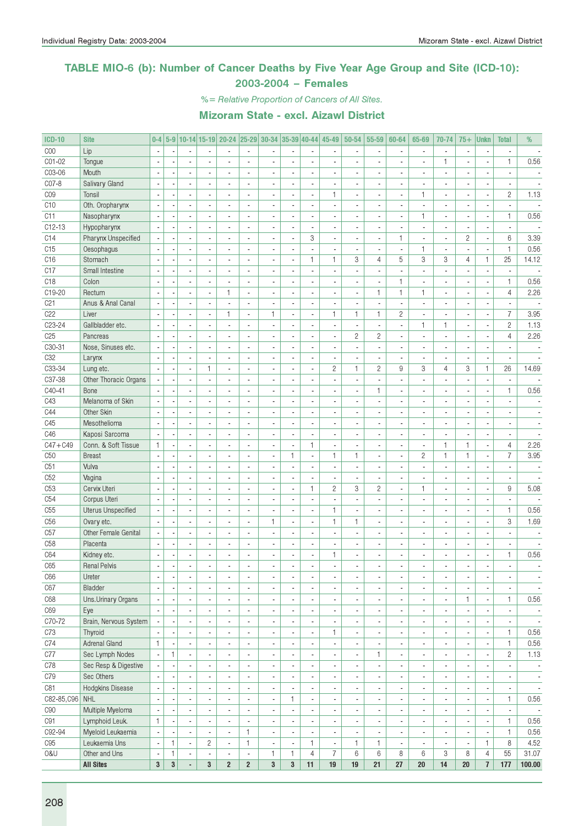#### TABLE MIO-6 (b): Number of Cancer Deaths by Five Year Age Group and Site (ICD-10): 2003-2004 – Females

%= Relative Proportion of Cancers of All Sites.

| <b>ICD-10</b>   | <b>Site</b>           | $0 - 4$                  |                |                          |                          | 5-9 10-14 15-19 20-24 25-29 30-34 35-39 40-44 45-49 |                              |                              |                          |                             |                          | 50-54                        | 55-59                    | 60-64                    | 65-69                    | 70-74                    | $75+$                    | <b>Unkn</b>              | <b>Total</b>             | %                        |
|-----------------|-----------------------|--------------------------|----------------|--------------------------|--------------------------|-----------------------------------------------------|------------------------------|------------------------------|--------------------------|-----------------------------|--------------------------|------------------------------|--------------------------|--------------------------|--------------------------|--------------------------|--------------------------|--------------------------|--------------------------|--------------------------|
| C <sub>00</sub> | Lip                   |                          |                |                          |                          |                                                     |                              |                              |                          |                             |                          |                              |                          |                          |                          | $\blacksquare$           |                          |                          |                          |                          |
| C01-02          | Tongue                |                          |                |                          | L.                       | ÷.                                                  |                              | ÷,                           | L.                       | ÷,                          |                          | L.                           |                          | L.                       | $\overline{a}$           | $\mathbf{1}$             |                          | $\overline{a}$           | $\mathbf{1}$             | 0.56                     |
| C03-06          | Mouth                 | ÷,                       | $\overline{a}$ | $\blacksquare$           | $\overline{\phantom{a}}$ | $\overline{\phantom{a}}$                            | ٠                            | $\overline{\phantom{a}}$     | ä,                       | $\blacksquare$              | $\blacksquare$           | ä,                           | $\blacksquare$           | $\overline{\phantom{a}}$ | $\overline{a}$           | $\blacksquare$           | $\blacksquare$           | $\blacksquare$           | $\overline{\phantom{a}}$ |                          |
| C07-8           | Salivary Gland        | $\overline{\phantom{a}}$ |                | $\blacksquare$           |                          | $\blacksquare$                                      |                              | ÷,                           | $\overline{\phantom{a}}$ | $\overline{\phantom{a}}$    |                          |                              | $\blacksquare$           | $\overline{\phantom{a}}$ |                          | $\overline{\phantom{a}}$ |                          | ×,                       | $\overline{a}$           |                          |
| C <sub>09</sub> | Tonsil                | $\overline{\phantom{a}}$ |                |                          |                          | ÷.                                                  |                              | ä,                           | ÷,                       | ÷,                          | 1                        |                              |                          | ÷,                       | 1                        | ÷.                       |                          | $\overline{a}$           | $\mathbf{2}$             | 1.13                     |
| C10             | Oth. Oropharynx       | $\overline{\phantom{a}}$ |                | $\overline{a}$           | ä,                       | $\overline{\phantom{a}}$                            | $\overline{\phantom{a}}$     | $\overline{\phantom{a}}$     | $\overline{\phantom{a}}$ | $\overline{a}$              | $\overline{a}$           | ÷.                           | $\blacksquare$           | $\overline{a}$           | $\overline{a}$           | $\blacksquare$           | $\overline{a}$           | $\blacksquare$           | $\overline{\phantom{a}}$ |                          |
| C11             | Nasopharynx           |                          |                |                          |                          | $\overline{a}$                                      |                              | ä,                           | ä,                       | $\blacksquare$              |                          |                              | $\blacksquare$           |                          | $\mathbf{1}$             | $\overline{\phantom{a}}$ |                          | $\overline{a}$           | $\mathbf{1}$             | 0.56                     |
| C12-13          | Hypopharynx           |                          |                |                          |                          |                                                     | $\overline{\phantom{a}}$     |                              | ä,                       | $\overline{\phantom{a}}$    |                          |                              | $\blacksquare$           |                          |                          | $\overline{\phantom{a}}$ |                          |                          |                          |                          |
| C14             | Pharynx Unspecified   |                          |                | $\overline{a}$           | ä,                       | $\blacksquare$                                      |                              | ä,                           | ÷,                       | 3                           | $\overline{\phantom{a}}$ | ä,                           | $\blacksquare$           | 1                        | ä,                       | ä,                       | $\overline{c}$           | $\overline{a}$           | 6                        | 3.39                     |
| C15             | Oesophagus            | $\overline{a}$           |                | $\blacksquare$           | ä,                       | $\blacksquare$                                      | $\overline{\phantom{a}}$     | ä,                           | ÷,                       | $\blacksquare$              | $\blacksquare$           | ä,                           | $\blacksquare$           | $\overline{\phantom{a}}$ | 1                        | $\overline{\phantom{a}}$ | $\overline{\phantom{a}}$ | ä,                       | $\mathbf{1}$             | 0.56                     |
| C <sub>16</sub> | Stomach               |                          |                |                          |                          | $\blacksquare$                                      |                              | $\qquad \qquad \blacksquare$ | ÷,                       | $\mathbf{1}$                | $\mathbf{1}$             | 3                            | 4                        | 5                        | 3                        | 3                        | 4                        | 1                        | 25                       | 14.12                    |
| C17             | Small Intestine       |                          |                |                          |                          | $\overline{\phantom{a}}$                            |                              | ä,                           | ÷,                       | $\mathcal{L}_{\mathcal{A}}$ | $\overline{a}$           | ÷,                           | $\overline{\phantom{a}}$ | $\sim$                   | $\overline{a}$           | $\overline{a}$           |                          | ä,                       |                          |                          |
| C <sub>18</sub> | Colon                 |                          |                | $\sim$                   | ä,                       | $\overline{\phantom{a}}$                            | $\overline{\phantom{a}}$     | $\overline{\phantom{a}}$     | ÷,                       | $\overline{a}$              |                          |                              | $\blacksquare$           | $\mathbf{1}$             |                          | $\overline{\phantom{a}}$ |                          | ä,                       | $\mathbf{1}$             | 0.56                     |
|                 |                       |                          |                |                          |                          | 1                                                   |                              |                              |                          |                             |                          |                              |                          | $\mathbf{1}$             |                          |                          |                          |                          |                          |                          |
| C19-20          | Rectum                |                          |                |                          |                          | $\overline{a}$                                      |                              |                              |                          | $\overline{\phantom{a}}$    |                          |                              | 1                        | $\overline{a}$           | 1<br>$\mathbb{Z}^2$      | $\overline{\phantom{a}}$ |                          |                          | $\overline{4}$           | 2.26                     |
| C <sub>21</sub> | Anus & Anal Canal     |                          |                | $\overline{a}$           | $\overline{a}$           |                                                     |                              | ÷,                           | ÷,                       | $\overline{\phantom{a}}$    | $\overline{a}$           | $\overline{a}$               | ä,                       |                          |                          | $\overline{a}$           |                          | ÷,                       |                          |                          |
| C22             | Liver                 | ÷,                       |                | $\overline{a}$           | $\overline{\phantom{a}}$ | $\mathbf{1}$                                        | $\overline{\phantom{a}}$     | 1                            | $\overline{\phantom{a}}$ | ÷.                          | $\mathbf{1}$             | $\mathbf{1}$                 | $\mathbf{1}$             | $\overline{c}$           | $\blacksquare$           | $\blacksquare$           | $\blacksquare$           | $\overline{a}$           | $\overline{7}$           | 3.95                     |
| C23-24          | Gallbladder etc.      |                          |                | $\blacksquare$           | $\overline{a}$           | $\overline{a}$                                      | $\overline{\phantom{a}}$     | ä,                           | ä,                       | $\blacksquare$              | $\overline{\phantom{a}}$ | ä,                           | $\overline{\phantom{a}}$ | ä,                       | 1                        | $\mathbf{1}$             | $\overline{\phantom{a}}$ | $\blacksquare$           | $\overline{2}$           | 1.13                     |
| C25             | Pancreas              |                          |                |                          |                          |                                                     |                              | ä,                           |                          | $\overline{\phantom{a}}$    |                          | $\overline{c}$               | $\overline{c}$           |                          |                          | ÷,                       |                          | ٠                        | $\overline{4}$           | 2.26                     |
| C30-31          | Nose, Sinuses etc.    |                          |                |                          | $\overline{a}$           | $\blacksquare$                                      |                              | ä,                           | ä,                       | $\overline{\phantom{a}}$    |                          |                              | $\blacksquare$           | ÷.                       | $\overline{a}$           | ä,                       |                          |                          |                          |                          |
| C <sub>32</sub> | Larynx                |                          |                | $\overline{a}$           | ÷,                       | ÷.                                                  | $\overline{\phantom{a}}$     | ÷,                           | ÷,                       | $\sim$                      |                          |                              | $\blacksquare$           | $\overline{a}$           |                          | ÷.                       | $\overline{a}$           | ä,                       |                          |                          |
| C33-34          | Lung etc.             |                          |                |                          | $\mathbf{1}$             | $\blacksquare$                                      |                              |                              | ä,                       | $\overline{\phantom{a}}$    | $\mathbf{2}$             | $\mathbf{1}$                 | $\overline{c}$           | 9                        | 3                        | $\overline{4}$           | 3                        | 1                        | 26                       | 14.69                    |
| C37-38          | Other Thoracic Organs |                          |                |                          | $\overline{a}$           | $\overline{a}$                                      |                              | ÷,                           | ÷,                       | $\overline{\phantom{a}}$    |                          |                              |                          |                          | $\overline{a}$           |                          |                          | ÷,                       |                          |                          |
| C40-41          | Bone                  | $\overline{\phantom{a}}$ | ÷,             | $\overline{a}$           | $\overline{a}$           | $\mathcal{L}_{\mathcal{A}}$                         | $\overline{a}$               | ä,                           | ä,                       | $\blacksquare$              | $\overline{a}$           | ÷,                           | 1                        | ÷.                       | $\overline{a}$           | $\overline{\phantom{a}}$ | $\overline{a}$           | ä,                       | $\mathbf{1}$             | 0.56                     |
| C43             | Melanoma of Skin      |                          |                |                          | $\overline{a}$           | $\overline{\phantom{a}}$                            |                              | ÷,                           | ä,                       | $\overline{\phantom{a}}$    | $\overline{\phantom{a}}$ |                              | $\blacksquare$           | ä,                       |                          | $\overline{\phantom{a}}$ |                          | ÷                        |                          |                          |
| C44             | Other Skin            |                          |                |                          |                          |                                                     |                              | ä,                           | Ĭ.                       | $\overline{a}$              |                          |                              | $\overline{a}$           |                          |                          | ÷,                       |                          | Ĭ.                       |                          |                          |
| C45             | Mesothelioma          |                          |                |                          | $\overline{a}$           | $\overline{\phantom{a}}$                            | ÷,                           | ä,                           | $\overline{\phantom{a}}$ | $\overline{a}$              |                          |                              | $\overline{a}$           |                          | $\overline{a}$           | $\overline{\phantom{a}}$ |                          | $\overline{a}$           | $\overline{a}$           |                          |
| C46             | Kaposi Sarcoma        |                          |                |                          |                          | $\overline{a}$                                      |                              | ä,                           | $\overline{\phantom{a}}$ | $\overline{\phantom{a}}$    |                          |                              | $\blacksquare$           |                          |                          | $\overline{\phantom{a}}$ |                          |                          |                          |                          |
| $C47 + C49$     | Conn. & Soft Tissue   | $\mathbf{1}$             |                |                          |                          | $\overline{\phantom{a}}$                            | $\overline{\phantom{a}}$     | ä,                           | $\overline{\phantom{a}}$ | $\mathbf{1}$                |                          |                              | $\blacksquare$           |                          | ÷,                       | $\mathbf{1}$             | $\mathbf{1}$             | l,                       | $\overline{4}$           | 2.26                     |
| C50             | <b>Breast</b>         |                          |                | $\overline{a}$           | ä,                       | $\overline{\phantom{a}}$                            |                              | ÷,                           | $\mathbf{1}$             | ä,                          | 1                        | $\mathbf{1}$                 | $\overline{\phantom{a}}$ | ÷.                       | $\overline{c}$           | $\mathbf{1}$             | $\mathbf{1}$             | $\overline{a}$           | $\overline{7}$           | 3.95                     |
| C51             | Vulva                 |                          |                | $\overline{\phantom{a}}$ | ä,                       | $\mathcal{L}_{\mathcal{A}}$                         | $\overline{\phantom{a}}$     | ä,                           | $\overline{\phantom{a}}$ | $\blacksquare$              | $\overline{a}$           | $\overline{a}$               | $\overline{\phantom{a}}$ | ÷.                       | $\overline{a}$           | $\blacksquare$           | $\overline{a}$           | $\blacksquare$           | $\overline{\phantom{a}}$ |                          |
| C52             | Vagina                |                          |                |                          |                          | $\blacksquare$                                      |                              | ÷,                           | $\overline{\phantom{a}}$ | $\overline{\phantom{a}}$    |                          |                              | $\overline{\phantom{a}}$ |                          |                          | $\overline{\phantom{a}}$ |                          |                          | $\overline{a}$           |                          |
| C53             | Cervix Uteri          |                          |                |                          |                          | $\overline{a}$                                      |                              | ä,                           | ÷,                       | $\mathbf{1}$                | $\overline{c}$           | 3                            | $\overline{c}$           | ÷,                       | $\mathbf{1}$             | $\overline{a}$           |                          | ÷,                       | 9                        | 5.08                     |
| C54             | Corpus Uteri          |                          |                | $\overline{\phantom{a}}$ | ä,                       | $\overline{a}$                                      | $\overline{a}$               | ÷,                           | $\overline{\phantom{a}}$ | $\blacksquare$              | $\overline{a}$           | ÷.                           | $\overline{\phantom{a}}$ | $\overline{a}$           | $\overline{a}$           | $\overline{\phantom{a}}$ | $\overline{\phantom{a}}$ | $\blacksquare$           | $\blacksquare$           |                          |
| C55             | Uterus Unspecified    |                          |                |                          |                          | $\blacksquare$                                      |                              |                              | ä,                       | $\overline{\phantom{a}}$    | 1                        |                              | $\blacksquare$           |                          |                          | ä,                       |                          | Ĭ.                       | $\mathbf{1}$             | 0.56                     |
| C56             | Ovary etc.            |                          |                |                          |                          | $\blacksquare$                                      | $\overline{\phantom{a}}$     | $\mathbf{1}$                 | $\overline{\phantom{a}}$ | $\overline{\phantom{a}}$    | 1                        | $\mathbf{1}$                 | $\overline{\phantom{a}}$ |                          |                          | $\overline{\phantom{a}}$ |                          | ×,                       | 3                        | 1.69                     |
| C57             | Other Female Genital  |                          |                |                          | ÷,                       | $\sim$                                              |                              | ÷,                           | ä,                       | $\blacksquare$              |                          | $\overline{a}$               | $\overline{\phantom{a}}$ | ÷,                       | $\overline{a}$           | ä,                       |                          | ÷,                       |                          |                          |
| C <sub>58</sub> | Placenta              | $\overline{a}$           |                | $\overline{a}$           | $\overline{\phantom{a}}$ | $\overline{\phantom{a}}$                            | $\overline{\phantom{a}}$     | $\overline{\phantom{a}}$     | ä,                       | $\overline{\phantom{a}}$    | $\overline{a}$           | ä,                           | $\overline{\phantom{a}}$ | ÷.                       | $\overline{a}$           | $\overline{\phantom{a}}$ | $\blacksquare$           | $\overline{\phantom{a}}$ | $\blacksquare$           | $\overline{a}$           |
| C64             | Kidney etc.           |                          |                | $\blacksquare$           | $\overline{a}$           | $\overline{\phantom{a}}$                            | ä,                           | $\overline{\phantom{a}}$     | ä,                       | $\blacksquare$              | 1                        |                              | $\blacksquare$           | $\overline{\phantom{a}}$ |                          | $\overline{\phantom{a}}$ | $\overline{\phantom{a}}$ | Ĭ.                       | $\mathbf{1}$             | 0.56                     |
| C65             | <b>Renal Pelvis</b>   |                          |                |                          |                          |                                                     |                              |                              |                          | $\overline{\phantom{a}}$    |                          |                              | $\blacksquare$           |                          |                          |                          |                          |                          |                          |                          |
| C66             | Ureter                |                          | ٠              | $\overline{\phantom{a}}$ | ٠                        | $\overline{\phantom{a}}$                            | $\overline{\phantom{a}}$     | $\overline{\phantom{a}}$     | $\overline{\phantom{a}}$ | ٠                           | $\overline{\phantom{a}}$ | ٠                            | ۰                        | $\overline{\phantom{a}}$ | $\overline{\phantom{a}}$ | $\overline{\phantom{a}}$ | $\overline{\phantom{a}}$ | $\overline{\phantom{a}}$ |                          |                          |
| C67             | Bladder               | $\overline{\phantom{a}}$ |                |                          | ä,                       | $\overline{\phantom{a}}$                            | $\overline{\phantom{a}}$     | $\overline{\phantom{a}}$     | ä,                       | $\blacksquare$              | $\blacksquare$           | ä,                           | $\blacksquare$           | $\overline{\phantom{a}}$ | $\blacksquare$           | $\overline{\phantom{a}}$ |                          | $\overline{\phantom{a}}$ |                          | $\overline{\phantom{a}}$ |
| C68             | Uns.Urinary Organs    |                          | ×,             | $\blacksquare$           | ٠                        | $\blacksquare$                                      | ٠                            | $\overline{\phantom{a}}$     | $\blacksquare$           | $\overline{\phantom{a}}$    | $\blacksquare$           | $\overline{\phantom{a}}$     | $\overline{\phantom{a}}$ | $\overline{\phantom{a}}$ | $\blacksquare$           | $\overline{\phantom{a}}$ | $\mathbf{1}$             | ÷,                       | $\mathbf{1}$             | 0.56                     |
| C69             | Eye                   |                          |                |                          |                          | $\blacksquare$                                      | $\blacksquare$               | ٠                            | $\overline{\phantom{a}}$ | $\overline{\phantom{a}}$    |                          | $\overline{\phantom{a}}$     | $\overline{\phantom{a}}$ |                          | $\frac{1}{2}$            | $\overline{\phantom{a}}$ |                          | ×,                       | $\overline{\phantom{a}}$ | $\overline{\phantom{a}}$ |
| C70-72          | Brain, Nervous System | $\overline{\phantom{a}}$ | ×,             | $\blacksquare$           | ÷,                       | $\blacksquare$                                      | $\overline{\phantom{a}}$     | ÷,                           | $\overline{\phantom{a}}$ | $\Box$                      |                          | $\overline{\phantom{a}}$     | $\overline{\phantom{a}}$ | $\overline{\phantom{a}}$ | $\overline{\phantom{a}}$ | $\overline{\phantom{a}}$ |                          | $\overline{\phantom{a}}$ | ÷,                       | $\overline{\phantom{a}}$ |
| C73             | Thyroid               |                          |                | $\blacksquare$           | $\blacksquare$           | $\blacksquare$                                      |                              | ÷,                           | $\overline{\phantom{a}}$ | $\overline{\phantom{a}}$    | 1                        | ÷,                           | $\overline{\phantom{a}}$ | ä,                       | ٠                        |                          |                          | $\blacksquare$           | $\mathbf{1}$             | 0.56                     |
| C74             |                       | $\mathbf{1}$             |                |                          |                          |                                                     |                              |                              |                          |                             |                          |                              |                          |                          |                          | $\overline{\phantom{a}}$ |                          |                          | $\mathbf{1}$             | $0.56\,$                 |
|                 | Adrenal Gland         |                          | ÷,             | $\overline{\phantom{a}}$ | $\overline{\phantom{a}}$ | $\overline{\phantom{a}}$                            | $\overline{\phantom{a}}$     | $\overline{\phantom{a}}$     | $\overline{\phantom{a}}$ | ÷.                          | $\overline{\phantom{a}}$ | $\overline{\phantom{a}}$     | $\overline{\phantom{a}}$ | $\overline{\phantom{a}}$ | $\overline{\phantom{a}}$ | $\overline{\phantom{a}}$ | $\overline{\phantom{a}}$ | $\blacksquare$           |                          |                          |
| C77             | Sec Lymph Nodes       | $\blacksquare$           | 1              | $\overline{\phantom{a}}$ | $\blacksquare$           | $\blacksquare$                                      | $\overline{\phantom{a}}$     | $\overline{\phantom{a}}$     | $\overline{\phantom{a}}$ | $\overline{\phantom{a}}$    | $\overline{\phantom{a}}$ | $\overline{\phantom{a}}$     | 1                        | $\overline{\phantom{a}}$ | $\overline{\phantom{a}}$ | $\overline{\phantom{a}}$ | $\overline{\phantom{a}}$ | $\overline{\phantom{a}}$ | $\mathbf{2}$             | 1.13                     |
| C78             | Sec Resp & Digestive  |                          |                |                          | $\overline{a}$           | $\overline{\phantom{a}}$                            | $\qquad \qquad \blacksquare$ | $\qquad \qquad \blacksquare$ | $\overline{\phantom{a}}$ | $\blacksquare$              | $\overline{\phantom{a}}$ | $\qquad \qquad \blacksquare$ | $\overline{\phantom{a}}$ | $\overline{\phantom{a}}$ | $\overline{\phantom{a}}$ | $\overline{\phantom{a}}$ |                          | $\blacksquare$           | $\overline{\phantom{a}}$ | $\overline{\phantom{a}}$ |
| C79             | Sec Others            |                          |                |                          | ä,                       | $\overline{\phantom{a}}$                            | $\overline{\phantom{a}}$     | ÷,                           | $\overline{\phantom{a}}$ | $\overline{\phantom{a}}$    | $\overline{\phantom{a}}$ | ÷,                           | $\overline{\phantom{a}}$ | $\overline{\phantom{a}}$ | $\blacksquare$           | ÷.                       |                          | $\overline{\phantom{a}}$ | $\blacksquare$           | $\overline{\phantom{a}}$ |
| C81             | Hodgkins Disease      | $\blacksquare$           |                | $\overline{a}$           | $\overline{a}$           | $\blacksquare$                                      | ٠                            | $\overline{\phantom{a}}$     | $\sim$                   | ÷.                          | $\blacksquare$           | ä,                           | $\overline{\phantom{a}}$ | $\overline{\phantom{a}}$ | $\blacksquare$           | $\overline{\phantom{a}}$ |                          | $\overline{\phantom{a}}$ | $\blacksquare$           | $\overline{\phantom{a}}$ |
| C82-85, C96     | NHL                   |                          |                |                          |                          | $\overline{\phantom{a}}$                            | ٠                            | ä,                           | $\mathbf{1}$             | $\overline{\phantom{a}}$    |                          |                              | $\blacksquare$           |                          | $\blacksquare$           | $\overline{\phantom{a}}$ |                          | $\overline{\phantom{a}}$ | $\mathbf{1}$             | 0.56                     |
| C90             | Multiple Myeloma      | $\overline{\phantom{a}}$ |                |                          | $\overline{a}$           | $\overline{\phantom{a}}$                            | $\overline{\phantom{a}}$     |                              | $\overline{\phantom{a}}$ | $\blacksquare$              |                          |                              | $\overline{\phantom{a}}$ |                          | $\frac{1}{2}$            | $\overline{\phantom{a}}$ |                          | $\overline{\phantom{a}}$ |                          | $\overline{\phantom{a}}$ |
| C91             | Lymphoid Leuk.        | $\mathbf{1}$             |                | $\overline{\phantom{a}}$ | ä,                       | $\blacksquare$                                      | ä,                           | ÷,                           | $\blacksquare$           | $\mathbb{L}$                | ÷,                       | ä,                           | $\overline{\phantom{a}}$ | $\overline{\phantom{a}}$ | $\overline{\phantom{a}}$ | $\blacksquare$           |                          | $\overline{\phantom{a}}$ | $\mathbf{1}$             | 0.56                     |
| C92-94          | Myeloid Leukaemia     | ÷,                       | $\overline{a}$ | $\blacksquare$           | $\overline{\phantom{a}}$ | $\overline{\phantom{a}}$                            | $\mathbf{1}$                 | $\overline{\phantom{a}}$     | $\overline{\phantom{a}}$ | $\mathbb{L}$                | $\blacksquare$           | $\overline{\phantom{a}}$     | $\overline{\phantom{a}}$ | $\sim$                   | $\overline{\phantom{a}}$ | $\overline{\phantom{a}}$ | $\overline{\phantom{a}}$ | $\overline{\phantom{a}}$ | $\mathbf{1}$             | 0.56                     |
| C95             | Leukaemia Uns         | $\blacksquare$           | $\mathbf{1}$   | $\overline{\phantom{a}}$ | $\overline{2}$           | $\overline{\phantom{a}}$                            | $\mathbf{1}$                 | $\blacksquare$               | $\overline{\phantom{a}}$ | $\mathbf{1}$                | $\overline{\phantom{a}}$ | $\mathbf{1}$                 | $\mathbf{1}$             | $\overline{\phantom{a}}$ | $\overline{\phantom{a}}$ | $\overline{\phantom{a}}$ | $\overline{\phantom{a}}$ | 1                        | 8                        | 4.52                     |
| 0&U             | Other and Uns         | ÷,                       | $\mathbf{1}$   | $\overline{\phantom{a}}$ | $\overline{\phantom{a}}$ | ٠                                                   | $\overline{\phantom{a}}$     | 1                            | 1                        | $\overline{4}$              | 7                        | 6                            | 6                        | 8                        | 6                        | 3                        | 8                        | 4                        | 55                       | 31.07                    |
|                 | <b>All Sites</b>      | $\bf 3$                  | $\bf{3}$       | $\blacksquare$           | $\mathbf 3$              | $\overline{2}$                                      | $\overline{2}$               | $\mathbf{3}$                 | $\mathbf{3}$             | 11                          | 19                       | 19                           | 21                       | 27                       | $20\,$                   | 14                       | 20                       | $\overline{\mathbf{r}}$  | 177                      | 100.00                   |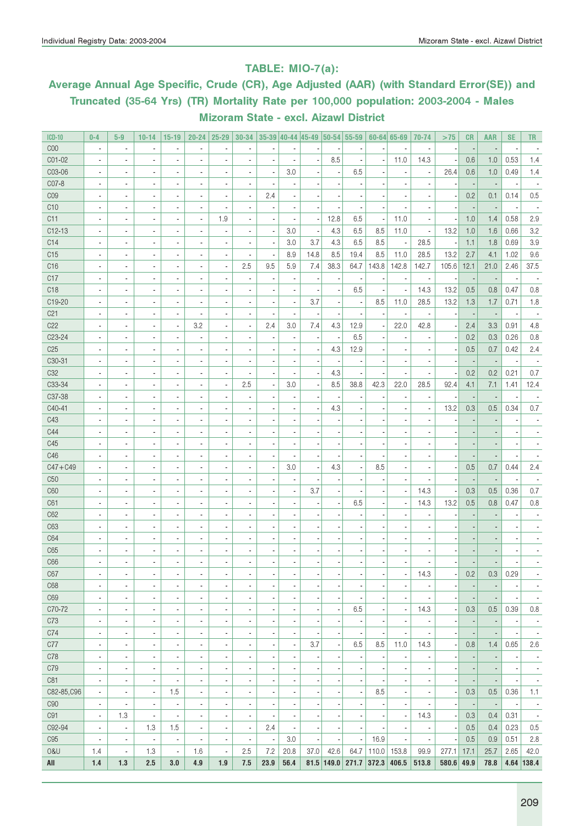#### TABLE: MIO-7(a):

## Average Annual Age Specific, Crude (CR), Age Adjusted (AAR) (with Standard Error(SE)) and Truncated (35-64 Yrs) (TR) Mortality Rate per 100,000 population: 2003-2004 - Males Mizoram State - excl. Aizawl District

| <b>ICD-10</b>   | $0 - 4$                  | $5-9$                    | $10 - 14$                | $15 - 19$                | $20 - 24$                | $25 - 29$                | 30-34                    |                          |                          |      |                          | $35-39$ 40-44 45-49 50-54 55-59 |       | $60 - 64$ 65-69          | 70-74                    | >75          | CR                       | AAR                      | <b>SE</b>                | <b>TR</b>                |
|-----------------|--------------------------|--------------------------|--------------------------|--------------------------|--------------------------|--------------------------|--------------------------|--------------------------|--------------------------|------|--------------------------|---------------------------------|-------|--------------------------|--------------------------|--------------|--------------------------|--------------------------|--------------------------|--------------------------|
| COO             | $\overline{\phantom{a}}$ | ×,                       |                          | $\overline{\phantom{a}}$ | $\overline{a}$           |                          |                          | ÷                        |                          |      |                          |                                 |       |                          |                          |              |                          |                          |                          |                          |
| CO1-02          | ÷,                       | ×,                       | ٠                        | $\overline{\phantom{a}}$ | ÷,                       | ×,                       | $\overline{\phantom{a}}$ | Ĭ.                       | ÷,                       |      | 8.5                      | ÷,                              |       | 11.0                     | 14.3                     |              | 0.6                      | 1.0                      | 0.53                     | 1.4                      |
| C03-06          | $\overline{\phantom{a}}$ | $\overline{\phantom{a}}$ | $\overline{\phantom{a}}$ | $\overline{\phantom{a}}$ | $\overline{a}$           | ×,                       | $\overline{a}$           | ÷,                       | 3.0                      |      | $\overline{\phantom{a}}$ | 6.5                             |       | $\overline{\phantom{a}}$ |                          | 26.4         | 0.6                      | 1.0                      | 0.49                     | 1.4                      |
| CO7-8           | $\overline{\phantom{a}}$ | ×,                       | $\overline{\phantom{a}}$ | $\overline{\phantom{a}}$ | $\overline{\phantom{a}}$ | ÷                        | $\overline{a}$           | ÷,                       |                          |      |                          |                                 |       | $\overline{\phantom{a}}$ |                          |              | $\overline{\phantom{a}}$ |                          |                          |                          |
| C <sub>09</sub> | $\overline{\phantom{a}}$ | ×,                       | $\overline{\phantom{a}}$ | $\overline{\phantom{a}}$ | $\blacksquare$           | ×,                       | $\blacksquare$           | 2.4                      |                          |      |                          |                                 |       | $\blacksquare$           | $\overline{a}$           |              | 0.2                      | 0.1                      | 0.14                     | 0.5                      |
| C10             | $\overline{\phantom{a}}$ | $\overline{a}$           | ٠                        | $\overline{\phantom{a}}$ | $\overline{a}$           |                          |                          | ×,                       |                          |      | $\overline{\phantom{a}}$ |                                 |       | ÷,                       |                          |              | $\overline{\phantom{a}}$ |                          |                          |                          |
| C11             | $\overline{\phantom{a}}$ | ×,                       | ٠                        | $\overline{\phantom{a}}$ | $\blacksquare$           | 1.9                      |                          | ÷,                       |                          |      | 12.8                     | 6.5                             |       | 11.0                     | $\overline{\phantom{a}}$ |              | 1.0                      | 1.4                      | 0.58                     | 2.9                      |
| $C12-13$        | ÷,                       | ×,                       | $\overline{\phantom{a}}$ | $\overline{\phantom{a}}$ | $\overline{\phantom{a}}$ |                          | $\overline{\phantom{m}}$ | $\overline{\phantom{a}}$ | 3.0                      |      | 4.3                      | 6.5                             | 8.5   | 11.0                     | $\overline{\phantom{a}}$ | 13.2         | 1.0                      | 1.6                      | 0.66                     | 3.2                      |
| C14             | $\overline{\phantom{a}}$ | $\overline{a}$           | $\overline{\phantom{a}}$ | $\overline{\phantom{a}}$ | $\overline{\phantom{a}}$ |                          | $\blacksquare$           | ÷,                       | 3.0                      | 3.7  | 4.3                      | 6.5                             | 8.5   | $\overline{\phantom{a}}$ | 28.5                     |              | 1.1                      | 1.8                      | 0.69                     | 3.9                      |
| C15             | $\blacksquare$           | $\overline{a}$           | $\overline{\phantom{a}}$ | $\overline{\phantom{a}}$ | $\overline{\phantom{a}}$ | $\overline{\phantom{a}}$ | $\blacksquare$           | ÷,                       | 8.9                      | 14.8 | 8.5                      | 19.4                            | 8.5   | 11.0                     | 28.5                     | 13.2         | 2.7                      | 4.1                      | 1.02                     | 9.6                      |
| C16             | $\blacksquare$           | $\overline{a}$           | $\overline{\phantom{a}}$ | $\overline{\phantom{a}}$ | $\overline{\phantom{a}}$ | ×,                       | 2.5                      | 9.5                      | 5.9                      | 7.4  | 38.3                     | 64.7                            | 143.8 | 142.8                    | 142.7                    | 105.6        | 12.1                     | 21.0                     | 2.46                     | 37.5                     |
| C17             | $\blacksquare$           | $\overline{a}$           | $\overline{\phantom{a}}$ | $\overline{\phantom{a}}$ | $\overline{\phantom{a}}$ |                          | $\overline{\phantom{a}}$ | ÷                        | $\overline{\phantom{a}}$ |      | $\overline{\phantom{a}}$ | $\overline{\phantom{a}}$        |       | $\overline{\phantom{a}}$ | ×,                       |              | $\overline{\phantom{a}}$ |                          |                          | $\overline{\phantom{a}}$ |
| C <sub>18</sub> | $\blacksquare$           | $\overline{a}$           | ÷,                       | $\overline{\phantom{a}}$ | $\overline{\phantom{a}}$ |                          |                          | ×,                       |                          |      |                          | 6.5                             |       | ÷,                       | 14.3                     | 13.2         | 0.5                      | 0.8                      | 0.47                     | 0.8                      |
| C19-20          |                          | $\overline{a}$           | ÷,                       | $\overline{\phantom{a}}$ | $\blacksquare$           | $\overline{a}$           | $\blacksquare$           | ×,                       | $\overline{a}$           | 3.7  |                          | $\overline{\phantom{a}}$        | 8.5   | 11.0                     | 28.5                     | 13.2         | 1.3                      | 1.7                      | 0.71                     | 1.8                      |
| C <sub>21</sub> | $\blacksquare$           | $\overline{a}$           |                          | $\overline{\phantom{a}}$ | $\blacksquare$           | $\blacksquare$           | $\blacksquare$           | ×,                       |                          |      | $\blacksquare$           |                                 |       | $\blacksquare$           |                          |              | $\overline{\phantom{a}}$ |                          |                          |                          |
| C22             | ÷,                       | $\overline{a}$           | $\blacksquare$           | $\blacksquare$           | 3.2                      | $\overline{a}$           | $\overline{\phantom{a}}$ | 2.4                      | 3.0                      | 7.4  | 4.3                      | 12.9                            |       | 22.0                     | 42.8                     |              | 2.4                      | 3.3                      | 0.91                     | 4.8                      |
| C23-24          |                          | $\blacksquare$           | $\blacksquare$           | $\blacksquare$           | $\blacksquare$           | $\overline{a}$           | $\blacksquare$           | ×,                       |                          |      | $\blacksquare$           | 6.5                             |       | $\blacksquare$           |                          |              | 0.2                      | 0.3                      | 0.26                     | 0.8                      |
| C <sub>25</sub> | $\blacksquare$           | $\overline{\phantom{a}}$ | $\blacksquare$           | $\blacksquare$           | $\blacksquare$           |                          | $\blacksquare$           | ×,                       |                          |      | 4.3                      | 12.9                            |       | $\blacksquare$           |                          |              | 0.5                      | 0.7                      | 0.42                     | 2.4                      |
| C30-31          |                          |                          |                          | $\blacksquare$           |                          |                          |                          |                          |                          |      |                          |                                 |       | $\blacksquare$           |                          |              |                          |                          |                          |                          |
|                 | $\blacksquare$           | $\overline{\phantom{a}}$ | $\blacksquare$           |                          | $\blacksquare$           | $\overline{a}$           | $\blacksquare$           | ×,                       |                          |      | $\blacksquare$<br>4.3    |                                 |       |                          |                          |              | 0.2                      | 0.2                      | 0.21                     | 0.7                      |
| C <sub>32</sub> | $\blacksquare$           | $\overline{\phantom{a}}$ | $\blacksquare$           | $\blacksquare$           | $\blacksquare$           | $\blacksquare$           | $\blacksquare$           | ÷,                       |                          |      |                          |                                 |       | $\blacksquare$           |                          |              |                          |                          |                          |                          |
| C33-34          | $\overline{\phantom{a}}$ | $\blacksquare$           | $\blacksquare$           | $\blacksquare$           | $\blacksquare$           | $\overline{a}$           | 2.5                      | $\overline{\phantom{a}}$ | 3.0                      |      | 8.5                      | 38.8                            | 42.3  | 22.0                     | 28.5                     | 92.4         | 4.1                      | 7.1                      | 1.41                     | 12.4                     |
| C37-38          | $\overline{\phantom{a}}$ | $\overline{\phantom{a}}$ | $\blacksquare$           | ٠                        | $\overline{\phantom{a}}$ |                          | $\blacksquare$           | $\blacksquare$           |                          |      | $\overline{\phantom{a}}$ |                                 |       | $\blacksquare$           | $\overline{\phantom{a}}$ |              |                          |                          |                          |                          |
| C40-41          | $\overline{\phantom{a}}$ | $\overline{\phantom{a}}$ | $\blacksquare$           | $\overline{a}$           | $\overline{\phantom{a}}$ | ٠                        | $\blacksquare$           | $\blacksquare$           |                          |      | 4.3                      |                                 |       | $\overline{a}$           |                          | 13.2         | 0.3                      | 0.5                      | 0.34                     | 0.7                      |
| C43             | $\overline{\phantom{a}}$ | $\overline{\phantom{a}}$ | $\overline{\phantom{a}}$ | $\overline{a}$           | $\overline{\phantom{a}}$ | $\overline{a}$           |                          | $\blacksquare$           |                          |      | $\overline{\phantom{a}}$ |                                 |       | $\overline{a}$           |                          |              |                          |                          |                          |                          |
| C44             | $\overline{\phantom{a}}$ | $\overline{\phantom{a}}$ | $\overline{a}$           | $\overline{a}$           | $\blacksquare$           | $\overline{a}$           |                          | $\blacksquare$           |                          |      | $\overline{\phantom{a}}$ |                                 |       | $\overline{a}$           | $\blacksquare$           |              |                          |                          |                          |                          |
| C45             | $\overline{\phantom{a}}$ | $\overline{\phantom{a}}$ | $\overline{\phantom{a}}$ | $\overline{a}$           | $\blacksquare$           | $\overline{a}$           |                          | ×,                       |                          |      | $\overline{\phantom{a}}$ |                                 |       | $\overline{a}$           | $\blacksquare$           |              |                          |                          |                          |                          |
| C46             | $\overline{\phantom{a}}$ | $\overline{\phantom{a}}$ | $\overline{\phantom{a}}$ | $\overline{a}$           | $\blacksquare$           | $\overline{a}$           |                          | ×,                       |                          |      | $\overline{\phantom{a}}$ |                                 |       | $\overline{a}$           | $\blacksquare$           |              |                          |                          |                          |                          |
| $C47 + C49$     | $\overline{\phantom{a}}$ | $\overline{\phantom{a}}$ | $\overline{\phantom{a}}$ | ٠                        | $\blacksquare$           | $\overline{\phantom{a}}$ |                          | ä,                       | 3.0                      |      | 4.3                      | ÷,                              | 8.5   | $\blacksquare$           | $\overline{a}$           |              | 0.5                      | 0.7                      | 0.44                     | 2.4                      |
| C <sub>50</sub> | $\overline{\phantom{a}}$ | $\overline{\phantom{a}}$ | $\overline{\phantom{a}}$ | ٠                        | $\blacksquare$           |                          |                          | ×,                       | $\overline{a}$           |      |                          |                                 |       | $\blacksquare$           | $\overline{a}$           |              |                          |                          |                          |                          |
| C60             | $\overline{\phantom{a}}$ | $\overline{\phantom{a}}$ | $\overline{a}$           | $\overline{\phantom{a}}$ | $\blacksquare$           |                          |                          | ×,                       |                          | 3.7  |                          |                                 |       | $\overline{\phantom{a}}$ | 14.3                     |              | 0.3                      | 0.5                      | 0.36                     | 0.7                      |
| C61             | $\overline{a}$           | $\overline{\phantom{a}}$ | $\overline{a}$           | $\overline{\phantom{a}}$ | $\blacksquare$           |                          |                          | ×,                       |                          |      |                          | 6.5                             |       | $\overline{\phantom{a}}$ | 14.3                     | 13.2         | 0.5                      | 0.8                      | 0.47                     | 0.8                      |
| C62             | $\overline{a}$           | $\overline{\phantom{a}}$ | $\overline{a}$           | $\overline{\phantom{a}}$ | $\blacksquare$           |                          |                          | ×,                       |                          |      |                          |                                 |       | $\blacksquare$           | $\overline{a}$           |              |                          |                          |                          |                          |
| C63             | $\overline{\phantom{a}}$ | $\overline{\phantom{a}}$ | $\overline{a}$           | $\overline{\phantom{a}}$ | $\blacksquare$           |                          |                          | ×,                       |                          |      |                          |                                 |       | $\blacksquare$           | $\overline{a}$           |              |                          |                          |                          |                          |
| C64             | $\blacksquare$           | $\overline{\phantom{a}}$ | $\overline{a}$           | $\overline{\phantom{a}}$ | $\blacksquare$           |                          |                          | ×,                       |                          |      |                          |                                 |       | $\blacksquare$           | $\overline{a}$           |              |                          |                          |                          |                          |
| C65             | $\overline{a}$           |                          | ÷,                       | $\overline{\phantom{a}}$ | $\overline{a}$           | $\overline{a}$           |                          | $\overline{a}$           |                          |      |                          |                                 |       | $\overline{a}$           |                          |              |                          |                          |                          |                          |
| C66             | $\overline{\phantom{a}}$ |                          |                          |                          |                          |                          |                          | ä,                       |                          |      |                          |                                 |       |                          |                          |              |                          |                          |                          |                          |
| C6/             | $\overline{\phantom{a}}$ | $\overline{\phantom{a}}$ | $\overline{\phantom{a}}$ | $\overline{\phantom{a}}$ | $\overline{\phantom{a}}$ | $\overline{a}$           | $\overline{\phantom{a}}$ | $\overline{\phantom{a}}$ | $\overline{\phantom{a}}$ | ٠    | $\overline{\phantom{a}}$ | $\overline{\phantom{a}}$        | ٠     | $\overline{\phantom{a}}$ | 14.3                     |              | 0.2                      | 0.3                      | 0.29                     |                          |
| C68             | ÷,                       | $\blacksquare$           | $\blacksquare$           | ä,                       | ä,                       | $\overline{a}$           | $\overline{a}$           | ä,                       | ä,                       |      |                          |                                 |       | $\blacksquare$           |                          |              |                          |                          |                          | $\overline{\phantom{a}}$ |
| C69             | ÷,                       | $\overline{\phantom{a}}$ | $\overline{\phantom{a}}$ | $\overline{\phantom{a}}$ | $\overline{\phantom{a}}$ | ×,                       | ×,                       | ÷,                       | ä,                       |      |                          |                                 |       | $\blacksquare$           |                          |              |                          |                          |                          | $\overline{\phantom{a}}$ |
| C70-72          | $\overline{\phantom{a}}$ | $\overline{\phantom{a}}$ | $\overline{\phantom{a}}$ | $\overline{\phantom{a}}$ | $\overline{a}$           | ÷                        | $\overline{a}$           | ×,                       | $\overline{a}$           |      | $\overline{\phantom{a}}$ | 6.5                             |       | $\overline{\phantom{a}}$ | 14.3                     |              | 0.3                      | 0.5                      | 0.39                     | 0.8                      |
| C73             | $\overline{\phantom{a}}$ | $\overline{\phantom{a}}$ | $\overline{\phantom{a}}$ | $\overline{\phantom{a}}$ | $\overline{a}$           | ×,                       | ×,                       | ×,                       | ÷,                       |      |                          | ×,                              |       | $\overline{\phantom{a}}$ | $\overline{\phantom{a}}$ |              |                          |                          | $\overline{a}$           | $\overline{\phantom{a}}$ |
| C74             | $\blacksquare$           | $\blacksquare$           | $\overline{\phantom{a}}$ | $\overline{\phantom{a}}$ | $\blacksquare$           | ×,                       | $\overline{\phantom{a}}$ | ÷,                       | ä,                       |      | $\overline{\phantom{a}}$ |                                 |       | $\blacksquare$           | ÷,                       |              |                          | $\overline{\phantom{a}}$ | ×,                       | $\overline{\phantom{a}}$ |
| C77             | $\overline{\phantom{a}}$ | $\blacksquare$           | $\overline{\phantom{a}}$ | $\overline{\phantom{a}}$ | $\blacksquare$           | ×,                       | $\overline{\phantom{a}}$ | $\blacksquare$           | $\overline{\phantom{a}}$ | 3.7  | $\overline{\phantom{a}}$ | 6.5                             | 8.5   | 11.0                     | 14.3                     |              | 0.8                      | 1.4                      | 0.65                     | 2.6                      |
| C78             | $\overline{\phantom{a}}$ | $\blacksquare$           | $\overline{\phantom{a}}$ | $\overline{\phantom{a}}$ | $\blacksquare$           | ×,                       | $\overline{\phantom{a}}$ | $\blacksquare$           | $\overline{\phantom{a}}$ |      | $\overline{\phantom{a}}$ | $\overline{\phantom{a}}$        |       | $\overline{\phantom{a}}$ | $\overline{\phantom{a}}$ |              | ł,                       |                          |                          | $\overline{\phantom{a}}$ |
| C79             | $\overline{\phantom{a}}$ | $\blacksquare$           | ÷,                       | $\overline{\phantom{a}}$ | $\blacksquare$           | ×,                       | $\overline{\phantom{a}}$ | ÷,                       | ä,                       |      |                          | $\overline{a}$                  |       | $\blacksquare$           | $\blacksquare$           |              |                          |                          | $\overline{a}$           | $\overline{\phantom{a}}$ |
| C81             | $\overline{\phantom{a}}$ | $\blacksquare$           | $\blacksquare$           | ÷,                       | $\overline{\phantom{a}}$ | ×,                       | $\overline{\phantom{a}}$ | ÷,                       | ä,                       |      |                          | $\overline{a}$                  |       | $\blacksquare$           | $\overline{\phantom{a}}$ |              |                          |                          |                          | $\overline{\phantom{a}}$ |
| C82-85, C96     | $\overline{\phantom{a}}$ | $\overline{\phantom{a}}$ | $\overline{\phantom{a}}$ | 1.5                      | ä,                       | ×,                       | $\overline{\phantom{a}}$ | ÷,                       | ä,                       |      |                          | $\overline{\phantom{a}}$        | 8.5   | $\overline{\phantom{a}}$ | $\overline{\phantom{a}}$ |              | 0.3                      | 0.5                      | 0.36                     | 1.1                      |
| <b>C90</b>      | $\overline{\phantom{a}}$ | $\overline{a}$           | ÷,                       | $\overline{\phantom{a}}$ | $\overline{\phantom{a}}$ | ×,                       | $\overline{\phantom{a}}$ | ÷,                       | ä,                       |      |                          | ×,                              |       | $\blacksquare$           |                          |              | ł,                       | $\overline{\phantom{a}}$ | $\overline{\phantom{a}}$ | $\overline{\phantom{a}}$ |
| C91             | $\overline{\phantom{a}}$ | 1.3                      | $\overline{\phantom{a}}$ | ÷,                       | $\overline{\phantom{a}}$ | $\overline{\phantom{m}}$ | $\overline{\phantom{a}}$ | ×,                       | $\overline{a}$           |      |                          | $\overline{a}$                  |       | $\overline{\phantom{a}}$ | 14.3                     |              | 0.3                      | 0.4                      | 0.31                     | $\overline{\phantom{a}}$ |
| C92-94          | $\overline{\phantom{a}}$ | $\overline{a}$           | 1.3                      | 1.5                      | $\overline{\phantom{m}}$ | $\overline{\phantom{m}}$ | $\overline{\phantom{a}}$ | 2.4                      | $\overline{\phantom{a}}$ |      | $\overline{\phantom{a}}$ | $\overline{a}$                  |       | $\overline{\phantom{a}}$ | $\overline{\phantom{a}}$ |              | 0.5                      | 0.4                      | 0.23                     | 0.5                      |
| C95             | $\overline{\phantom{a}}$ | $\overline{\phantom{a}}$ | $\overline{\phantom{a}}$ | $\overline{\phantom{a}}$ | $\frac{1}{2}$            | $\overline{\phantom{m}}$ | $\overline{\phantom{a}}$ | $\overline{\phantom{a}}$ | 3.0                      |      | $\overline{\phantom{a}}$ | $\overline{\phantom{a}}$        | 16.9  | $\overline{\phantom{a}}$ | $\overline{\phantom{a}}$ |              | 0.5                      | 0.9                      | 0.51                     | 2.8                      |
| 0&U             | 1.4                      | $\overline{\phantom{a}}$ | 1.3                      | $\overline{\phantom{a}}$ | 1.6                      | $\overline{a}$           | 2.5                      | 7.2                      | 20.8                     | 37.0 | 42.6                     | 64.7                            | 110.0 | 153.8                    | 99.9                     | 277.1        | 17.1                     | 25.7                     | 2.65                     | 42.0                     |
| All             | 1.4                      | 1.3                      | 2.5                      | 3.0                      | 4.9                      | 1.9                      | 7.5                      | 23.9                     | 56.4                     |      | $81.5$ 149.0             |                                 |       | $271.7$ 372.3 406.5      | 513.8                    | $580.6$ 49.9 |                          | 78.8                     |                          | 4.64 138.4               |